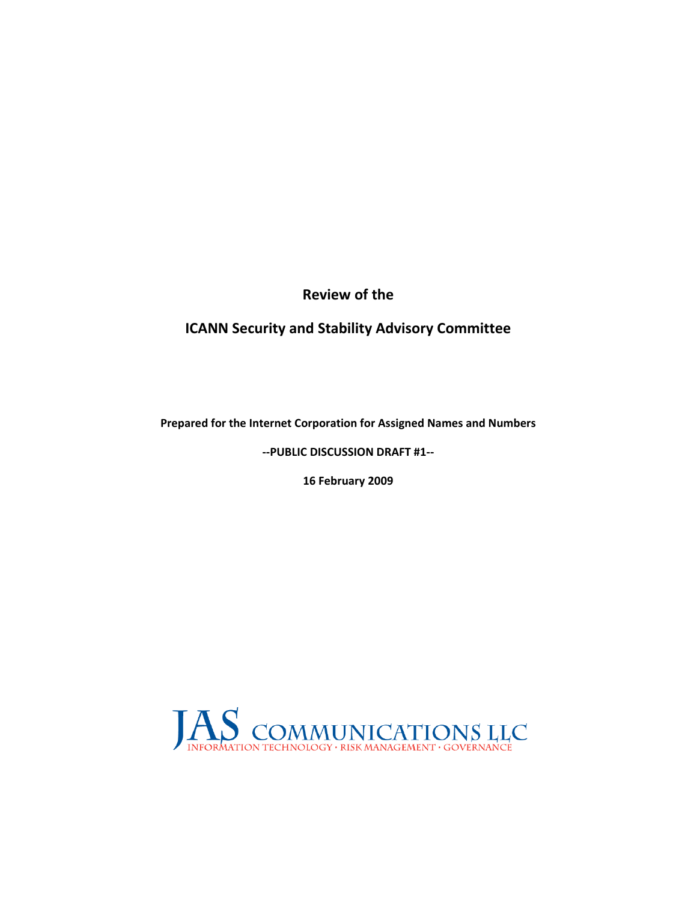**Review of the** 

**ICANN Security and Stability Advisory Committee**

**Prepared for the Internet Corporation for Assigned Names and Numbers**

**‐‐PUBLIC DISCUSSION DRAFT #1‐‐** 

**16 February 2009**

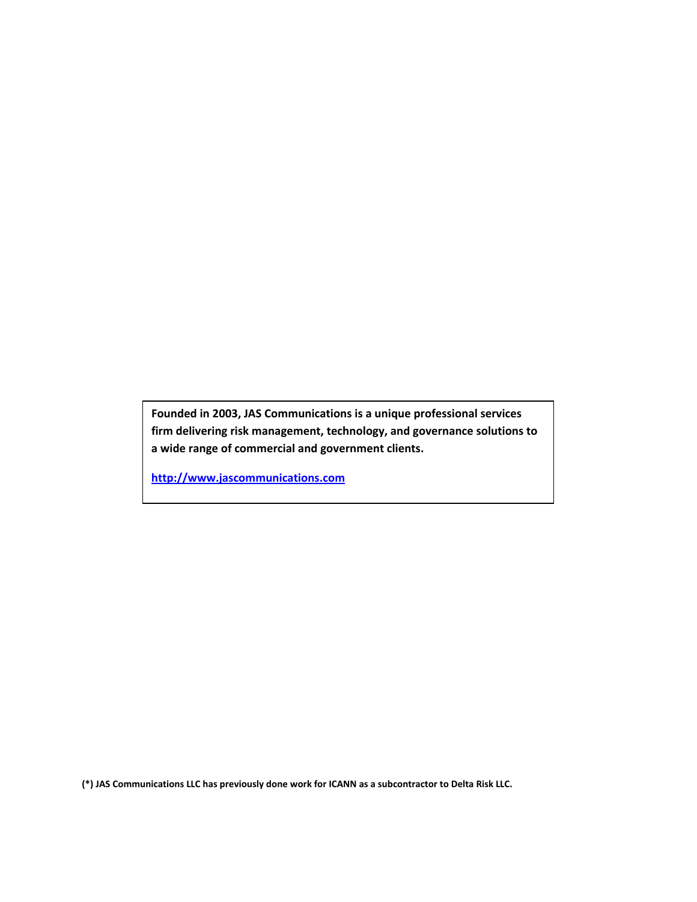**Founded in 2003, JAS Communications is a unique professional services firm delivering risk management, technology, and governance solutions to a wide range of commercial and government clients.**

**[http://www.jascommunications.com](http://www.jascommunications.com/)**

**(\*) JAS Communications LLC has previously done work for ICANN as a subcontractor to Delta Risk LLC.**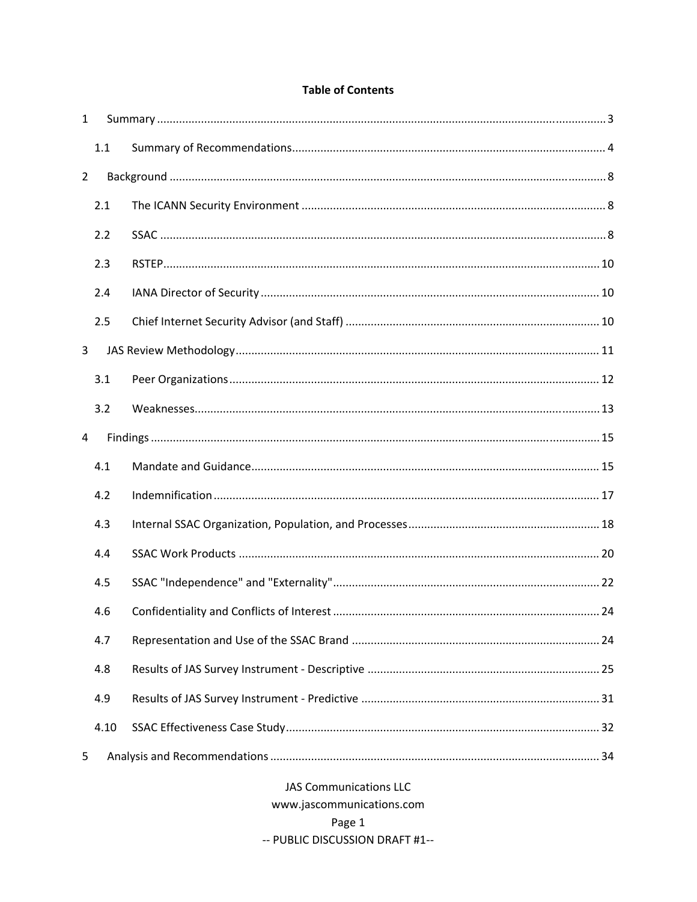### **Table of Contents**

| $\mathbf{1}$   |                               |                           |  |  |  |  |  |
|----------------|-------------------------------|---------------------------|--|--|--|--|--|
|                | 1.1                           |                           |  |  |  |  |  |
| $\overline{2}$ |                               |                           |  |  |  |  |  |
|                | 2.1                           |                           |  |  |  |  |  |
|                | 2.2                           |                           |  |  |  |  |  |
|                | 2.3                           |                           |  |  |  |  |  |
|                | 2.4                           |                           |  |  |  |  |  |
|                | 2.5                           |                           |  |  |  |  |  |
| 3              |                               |                           |  |  |  |  |  |
|                | 3.1                           |                           |  |  |  |  |  |
|                | 3.2                           |                           |  |  |  |  |  |
| 4              |                               |                           |  |  |  |  |  |
|                | 4.1                           |                           |  |  |  |  |  |
|                | 4.2                           |                           |  |  |  |  |  |
|                | 4.3                           |                           |  |  |  |  |  |
|                | 4.4                           |                           |  |  |  |  |  |
|                | 4.5                           |                           |  |  |  |  |  |
|                | 4.6                           |                           |  |  |  |  |  |
|                | 4.7                           |                           |  |  |  |  |  |
|                | 4.8                           |                           |  |  |  |  |  |
|                | 4.9                           |                           |  |  |  |  |  |
|                | 4.10                          |                           |  |  |  |  |  |
| 5              |                               |                           |  |  |  |  |  |
|                | <b>JAS Communications LLC</b> |                           |  |  |  |  |  |
|                |                               | www.jascommunications.com |  |  |  |  |  |

Page 1

-- PUBLIC DISCUSSION DRAFT #1--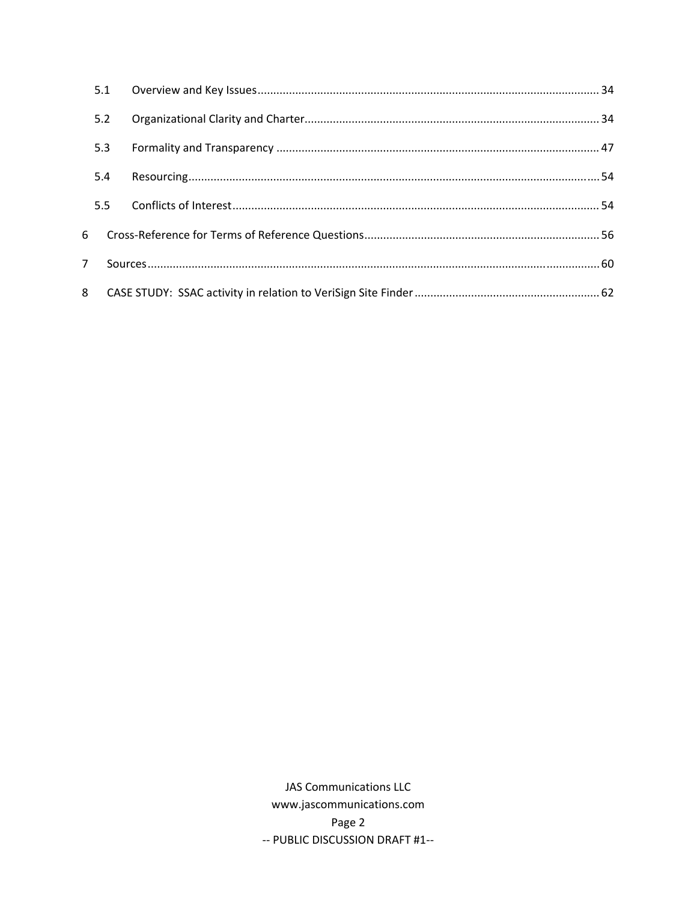| 5.1 |  |
|-----|--|
| 5.2 |  |
| 5.3 |  |
| 5.4 |  |
| 5.5 |  |
| 6   |  |
| 7   |  |
| 8   |  |

**JAS Communications LLC** www.jascommunications.com Page 2 -- PUBLIC DISCUSSION DRAFT #1--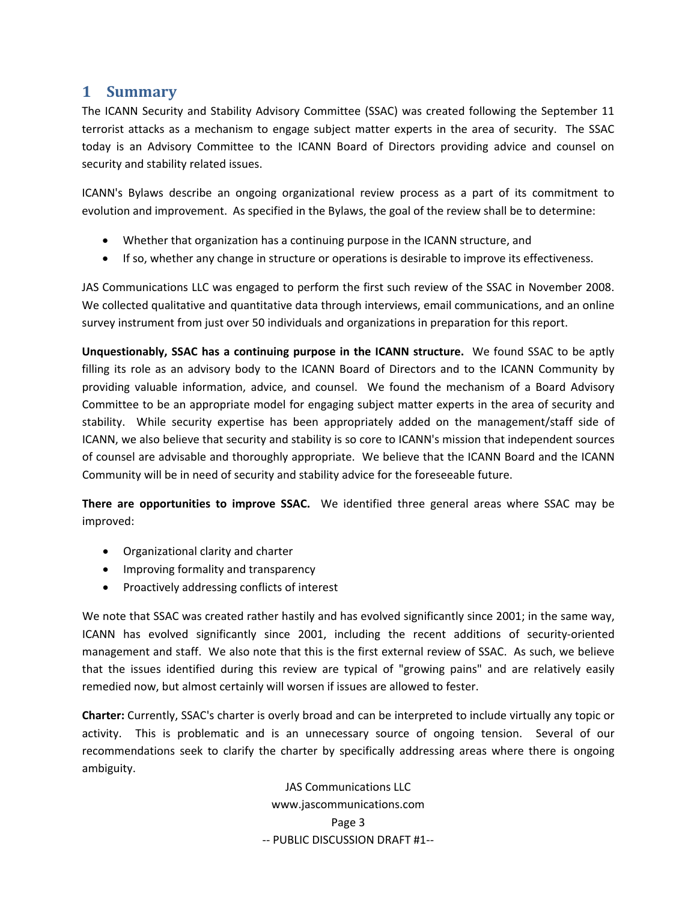# <span id="page-4-0"></span>**1 Summary**

The ICANN Security and Stability Advisory Committee (SSAC) was created following the September 11 terrorist attacks as a mechanism to engage subject matter experts in the area of security. The SSAC today is an Advisory Committee to the ICANN Board of Directors providing advice and counsel on security and stability related issues.

ICANN's Bylaws describe an ongoing organizational review process as a part of its commitment to evolution and improvement. As specified in the Bylaws, the goal of the review shall be to determine:

- Whether that organization has a continuing purpose in the ICANN structure, and
- If so, whether any change in structure or operations is desirable to improve its effectiveness.

JAS Communications LLC was engaged to perform the first such review of the SSAC in November 2008. We collected qualitative and quantitative data through interviews, email communications, and an online survey instrument from just over 50 individuals and organizations in preparation for this report.

**Unquestionably, SSAC has a continuing purpose in the ICANN structure.** We found SSAC to be aptly filling its role as an advisory body to the ICANN Board of Directors and to the ICANN Community by providing valuable information, advice, and counsel. We found the mechanism of a Board Advisory Committee to be an appropriate model for engaging subject matter experts in the area of security and stability. While security expertise has been appropriately added on the management/staff side of ICANN, we also believe that security and stability is so core to ICANN's mission that independent sources of counsel are advisable and thoroughly appropriate. We believe that the ICANN Board and the ICANN Community will be in need of security and stability advice for the foreseeable future.

**There are opportunities to improve SSAC.** We identified three general areas where SSAC may be improved:

- Organizational clarity and charter
- Improving formality and transparency
- Proactively addressing conflicts of interest

We note that SSAC was created rather hastily and has evolved significantly since 2001; in the same way, ICANN has evolved significantly since 2001, including the recent additions of security‐oriented management and staff. We also note that this is the first external review of SSAC. As such, we believe that the issues identified during this review are typical of "growing pains" and are relatively easily remedied now, but almost certainly will worsen if issues are allowed to fester.

**Charter:** Currently, SSAC's charter is overly broad and can be interpreted to include virtually any topic or activity. This is problematic and is an unnecessary source of ongoing tension. Several of our recommendations seek to clarify the charter by specifically addressing areas where there is ongoing ambiguity.

> JAS Communications LLC www.jascommunications.com Page 3 ‐‐ PUBLIC DISCUSSION DRAFT #1‐‐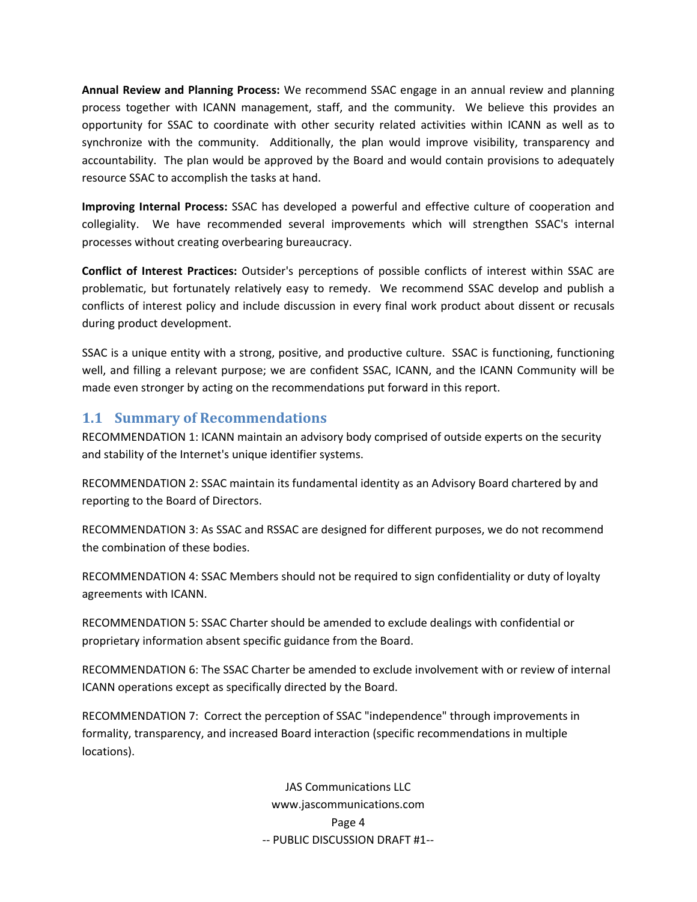<span id="page-5-0"></span>**Annual Review and Planning Process:** We recommend SSAC engage in an annual review and planning process together with ICANN management, staff, and the community. We believe this provides an opportunity for SSAC to coordinate with other security related activities within ICANN as well as to synchronize with the community. Additionally, the plan would improve visibility, transparency and accountability. The plan would be approved by the Board and would contain provisions to adequately resource SSAC to accomplish the tasks at hand.

**Improving Internal Process:** SSAC has developed a powerful and effective culture of cooperation and collegiality. We have recommended several improvements which will strengthen SSAC's internal processes without creating overbearing bureaucracy.

**Conflict of Interest Practices:** Outsider's perceptions of possible conflicts of interest within SSAC are problematic, but fortunately relatively easy to remedy. We recommend SSAC develop and publish a conflicts of interest policy and include discussion in every final work product about dissent or recusals during product development.

SSAC is a unique entity with a strong, positive, and productive culture. SSAC is functioning, functioning well, and filling a relevant purpose; we are confident SSAC, ICANN, and the ICANN Community will be made even stronger by acting on the recommendations put forward in this report.

## **1.1 Summary of Recommendations**

RECOMMENDATION 1: ICANN maintain an advisory body comprised of outside experts on the security and stability of the Internet's unique identifier systems.

RECOMMENDATION 2: SSAC maintain its fundamental identity as an Advisory Board chartered by and reporting to the Board of Directors.

RECOMMENDATION 3: As SSAC and RSSAC are designed for different purposes, we do not recommend the combination of these bodies.

RECOMMENDATION 4: SSAC Members should not be required to sign confidentiality or duty of loyalty agreements with ICANN.

RECOMMENDATION 5: SSAC Charter should be amended to exclude dealings with confidential or proprietary information absent specific guidance from the Board.

RECOMMENDATION 6: The SSAC Charter be amended to exclude involvement with or review of internal ICANN operations except as specifically directed by the Board.

RECOMMENDATION 7: Correct the perception of SSAC "independence" through improvements in formality, transparency, and increased Board interaction (specific recommendations in multiple locations).

> JAS Communications LLC www.jascommunications.com Page 4 ‐‐ PUBLIC DISCUSSION DRAFT #1‐‐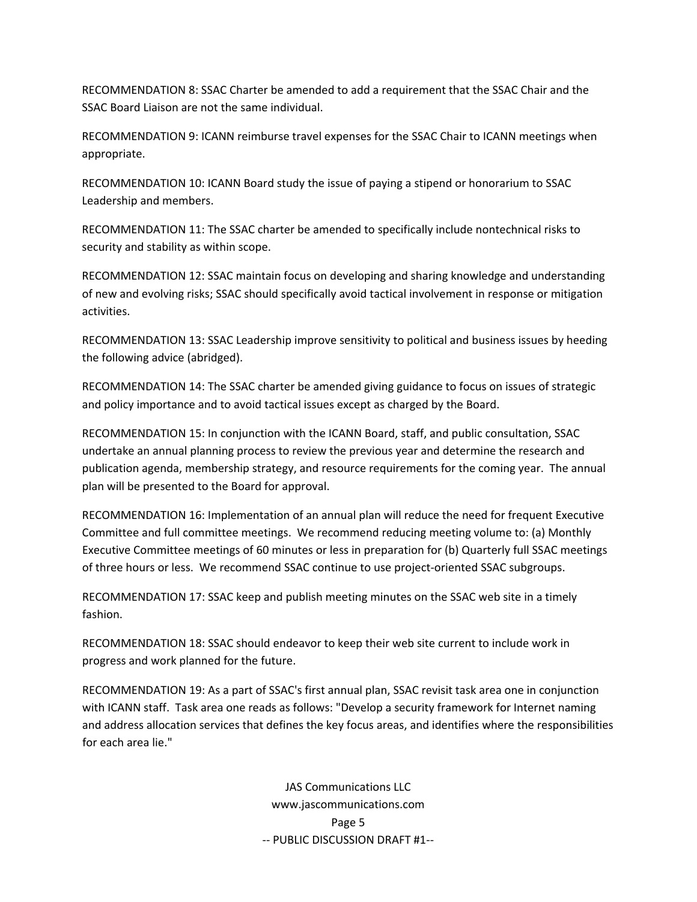RECOMMENDATION 8: SSAC Charter be amended to add a requirement that the SSAC Chair and the SSAC Board Liaison are not the same individual.

RECOMMENDATION 9: ICANN reimburse travel expenses for the SSAC Chair to ICANN meetings when appropriate.

RECOMMENDATION 10: ICANN Board study the issue of paying a stipend or honorarium to SSAC Leadership and members.

RECOMMENDATION 11: The SSAC charter be amended to specifically include nontechnical risks to security and stability as within scope.

RECOMMENDATION 12: SSAC maintain focus on developing and sharing knowledge and understanding of new and evolving risks; SSAC should specifically avoid tactical involvement in response or mitigation activities.

RECOMMENDATION 13: SSAC Leadership improve sensitivity to political and business issues by heeding the following advice (abridged).

RECOMMENDATION 14: The SSAC charter be amended giving guidance to focus on issues of strategic and policy importance and to avoid tactical issues except as charged by the Board.

RECOMMENDATION 15: In conjunction with the ICANN Board, staff, and public consultation, SSAC undertake an annual planning process to review the previous year and determine the research and publication agenda, membership strategy, and resource requirements for the coming year. The annual plan will be presented to the Board for approval.

RECOMMENDATION 16: Implementation of an annual plan will reduce the need for frequent Executive Committee and full committee meetings. We recommend reducing meeting volume to: (a) Monthly Executive Committee meetings of 60 minutes or less in preparation for (b) Quarterly full SSAC meetings of three hours or less. We recommend SSAC continue to use project‐oriented SSAC subgroups.

RECOMMENDATION 17: SSAC keep and publish meeting minutes on the SSAC web site in a timely fashion.

RECOMMENDATION 18: SSAC should endeavor to keep their web site current to include work in progress and work planned for the future.

RECOMMENDATION 19: As a part of SSAC's first annual plan, SSAC revisit task area one in conjunction with ICANN staff. Task area one reads as follows: "Develop a security framework for Internet naming and address allocation services that defines the key focus areas, and identifies where the responsibilities for each area lie."

> JAS Communications LLC www.jascommunications.com Page 5 ‐‐ PUBLIC DISCUSSION DRAFT #1‐‐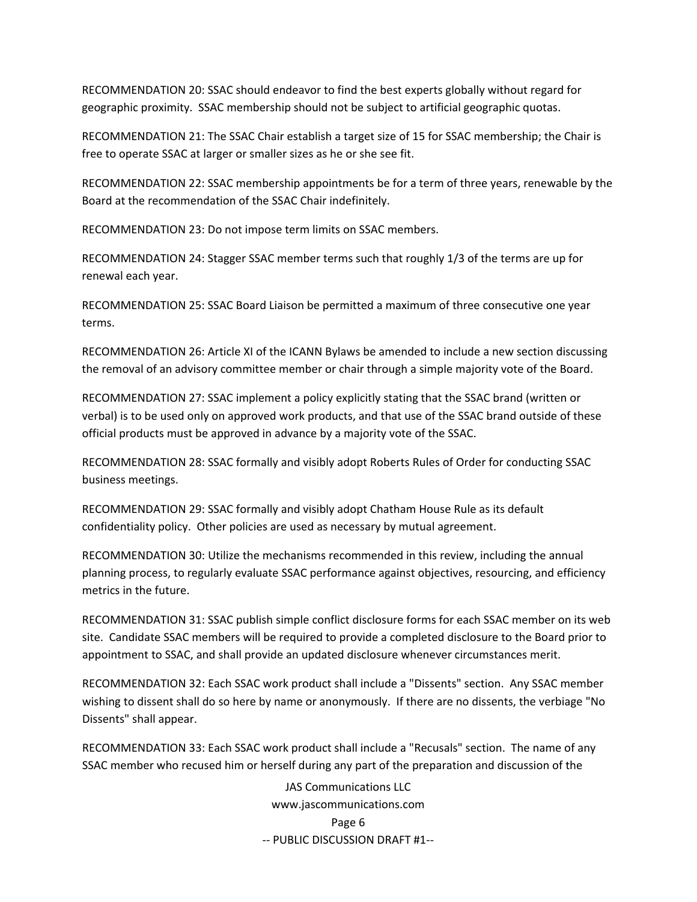RECOMMENDATION 20: SSAC should endeavor to find the best experts globally without regard for geographic proximity. SSAC membership should not be subject to artificial geographic quotas.

RECOMMENDATION 21: The SSAC Chair establish a target size of 15 for SSAC membership; the Chair is free to operate SSAC at larger or smaller sizes as he or she see fit.

RECOMMENDATION 22: SSAC membership appointments be for a term of three years, renewable by the Board at the recommendation of the SSAC Chair indefinitely.

RECOMMENDATION 23: Do not impose term limits on SSAC members.

RECOMMENDATION 24: Stagger SSAC member terms such that roughly 1/3 of the terms are up for renewal each year.

RECOMMENDATION 25: SSAC Board Liaison be permitted a maximum of three consecutive one year terms.

RECOMMENDATION 26: Article XI of the ICANN Bylaws be amended to include a new section discussing the removal of an advisory committee member or chair through a simple majority vote of the Board.

RECOMMENDATION 27: SSAC implement a policy explicitly stating that the SSAC brand (written or verbal) is to be used only on approved work products, and that use of the SSAC brand outside of these official products must be approved in advance by a majority vote of the SSAC.

RECOMMENDATION 28: SSAC formally and visibly adopt Roberts Rules of Order for conducting SSAC business meetings.

RECOMMENDATION 29: SSAC formally and visibly adopt Chatham House Rule as its default confidentiality policy. Other policies are used as necessary by mutual agreement.

RECOMMENDATION 30: Utilize the mechanisms recommended in this review, including the annual planning process, to regularly evaluate SSAC performance against objectives, resourcing, and efficiency metrics in the future.

RECOMMENDATION 31: SSAC publish simple conflict disclosure forms for each SSAC member on its web site. Candidate SSAC members will be required to provide a completed disclosure to the Board prior to appointment to SSAC, and shall provide an updated disclosure whenever circumstances merit.

RECOMMENDATION 32: Each SSAC work product shall include a "Dissents" section. Any SSAC member wishing to dissent shall do so here by name or anonymously. If there are no dissents, the verbiage "No Dissents" shall appear.

RECOMMENDATION 33: Each SSAC work product shall include a "Recusals" section. The name of any SSAC member who recused him or herself during any part of the preparation and discussion of the

> JAS Communications LLC www.jascommunications.com Page 6 ‐‐ PUBLIC DISCUSSION DRAFT #1‐‐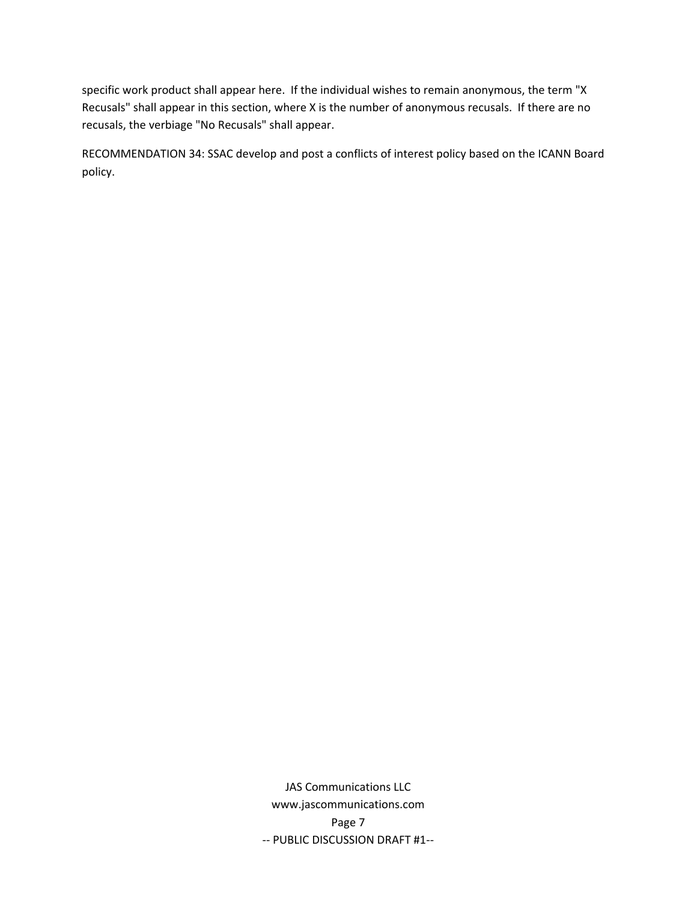specific work product shall appear here. If the individual wishes to remain anonymous, the term "X Recusals" shall appear in this section, where X is the number of anonymous recusals. If there are no recusals, the verbiage "No Recusals" shall appear.

RECOMMENDATION 34: SSAC develop and post a conflicts of interest policy based on the ICANN Board policy.

> JAS Communications LLC www.jascommunications.com Page 7 ‐‐ PUBLIC DISCUSSION DRAFT #1‐‐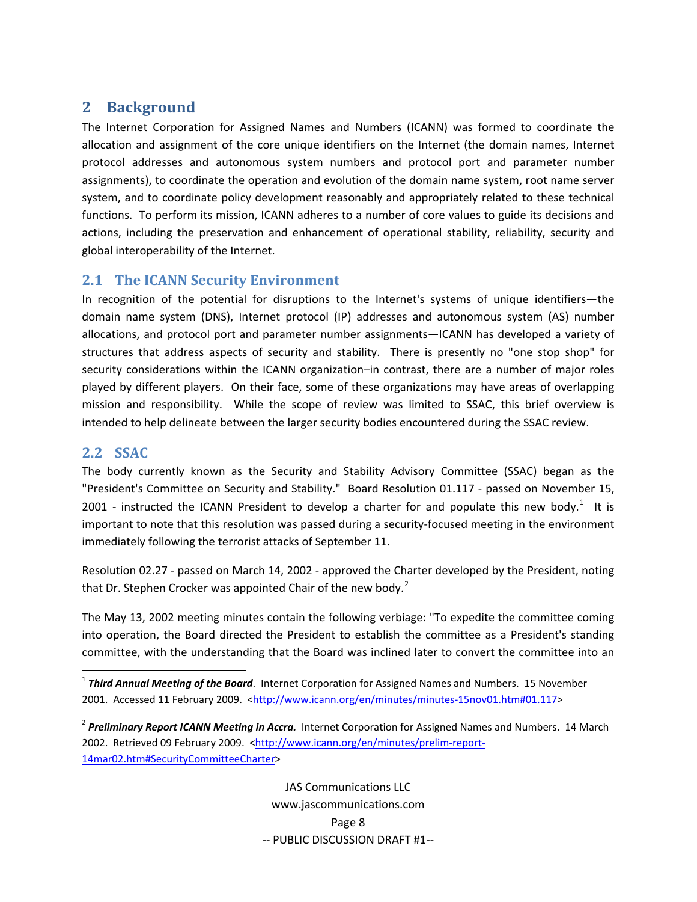# <span id="page-9-0"></span>**2 Background**

The Internet Corporation for Assigned Names and Numbers (ICANN) was formed to coordinate the allocation and assignment of the core unique identifiers on the Internet (the domain names, Internet protocol addresses and autonomous system numbers and protocol port and parameter number assignments), to coordinate the operation and evolution of the domain name system, root name server system, and to coordinate policy development reasonably and appropriately related to these technical functions. To perform its mission, ICANN adheres to a number of core values to guide its decisions and actions, including the preservation and enhancement of operational stability, reliability, security and global interoperability of the Internet.

## **2.1 The ICANN Security Environment**

In recognition of the potential for disruptions to the Internet's systems of unique identifiers—the domain name system (DNS), Internet protocol (IP) addresses and autonomous system (AS) number allocations, and protocol port and parameter number assignments—ICANN has developed a variety of structures that address aspects of security and stability. There is presently no "one stop shop" for security considerations within the ICANN organization–in contrast, there are a number of major roles played by different players. On their face, some of these organizations may have areas of overlapping mission and responsibility. While the scope of review was limited to SSAC, this brief overview is intended to help delineate between the larger security bodies encountered during the SSAC review.

### **2.2 SSAC**

The body currently known as the Security and Stability Advisory Committee (SSAC) began as the "President's Committee on Security and Stability." Board Resolution 01.117 ‐ passed on November 15, 200[1](#page-9-1) - instructed the ICANN President to develop a charter for and populate this new body.<sup>1</sup> It is important to note that this resolution was passed during a security-focused meeting in the environment immediately following the terrorist attacks of September 11.

Resolution 02.27 ‐ passed on March 14, 2002 ‐ approved the Charter developed by the President, noting that Dr. Stephen Crocker was appointed Chair of the new body. $2^2$  $2^2$ 

The May 13, 2002 meeting minutes contain the following verbiage: "To expedite the committee coming into operation, the Board directed the President to establish the committee as a President's standing committee, with the understanding that the Board was inclined later to convert the committee into an

<span id="page-9-1"></span><sup>1</sup> *Third Annual Meeting of the Board*. Internet Corporation for Assigned Names and Numbers. 15 November 2001. Accessed 11 February 2009. [<http://www.icann.org/en/minutes/minutes](http://www.icann.org/en/minutes/minutes-15nov01.htm#01.117)-15nov01.htm#01.117>

<span id="page-9-2"></span><sup>2</sup> *Preliminary Report ICANN Meeting in Accra.* Internet Corporation for Assigned Names and Numbers. 14 March 2002. Retrieved 09 February 2009. [<http://www.icann.org/en/minutes/prelim](http://www.icann.org/en/minutes/prelim-report-14mar02.htm#SecurityCommitteeCharter)-report-[14mar02.htm#SecurityCommitteeCharter>](http://www.icann.org/en/minutes/prelim-report-14mar02.htm#SecurityCommitteeCharter)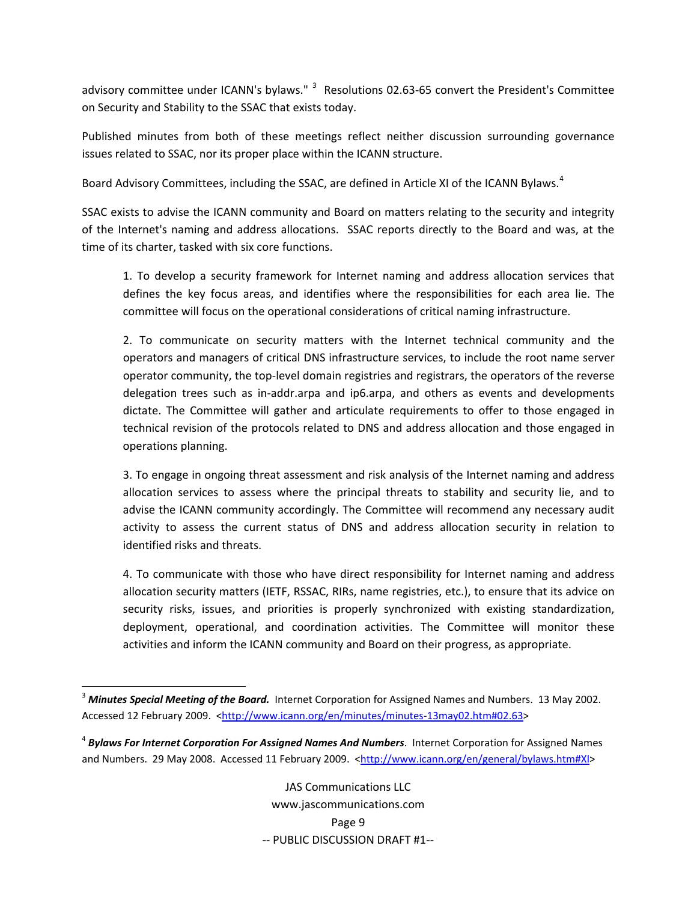advisory committee under ICANN's bylaws." <sup>[3](#page-10-0)</sup> Resolutions 02.63-65 convert the President's Committee on Security and Stability to the SSAC that exists today.

Published minutes from both of these meetings reflect neither discussion surrounding governance issues related to SSAC, nor its proper place within the ICANN structure.

Board Advisory Committees, including the SSAC, are defined in Article XI of the ICANN Bylaws.<sup>[4](#page-10-1)</sup>

SSAC exists to advise the ICANN community and Board on matters relating to the security and integrity of the Internet's naming and address allocations. SSAC reports directly to the Board and was, at the time of its charter, tasked with six core functions.

1. To develop a security framework for Internet naming and address allocation services that defines the key focus areas, and identifies where the responsibilities for each area lie. The committee will focus on the operational considerations of critical naming infrastructure.

2. To communicate on security matters with the Internet technical community and the operators and managers of critical DNS infrastructure services, to include the root name server operator community, the top‐level domain registries and registrars, the operators of the reverse delegation trees such as in‐addr.arpa and ip6.arpa, and others as events and developments dictate. The Committee will gather and articulate requirements to offer to those engaged in technical revision of the protocols related to DNS and address allocation and those engaged in operations planning.

3. To engage in ongoing threat assessment and risk analysis of the Internet naming and address allocation services to assess where the principal threats to stability and security lie, and to advise the ICANN community accordingly. The Committee will recommend any necessary audit activity to assess the current status of DNS and address allocation security in relation to identified risks and threats.

4. To communicate with those who have direct responsibility for Internet naming and address allocation security matters (IETF, RSSAC, RIRs, name registries, etc.), to ensure that its advice on security risks, issues, and priorities is properly synchronized with existing standardization, deployment, operational, and coordination activities. The Committee will monitor these activities and inform the ICANN community and Board on their progress, as appropriate.

<span id="page-10-0"></span><sup>3</sup> *Minutes Special Meeting of the Board.* Internet Corporation for Assigned Names and Numbers. 13 May 2002. Accessed 12 February 2009. <[http://www.icann.org/en/minutes/minutes](http://www.icann.org/en/minutes/minutes-13may02.htm#02.63)‐13may02.htm#02.63>

<span id="page-10-1"></span><sup>4</sup> *Bylaws For Internet Corporation For Assigned Names And Numbers*. Internet Corporation for Assigned Names and Numbers. 29 May 2008. Accessed 11 February 2009. <<http://www.icann.org/en/general/bylaws.htm#XI>>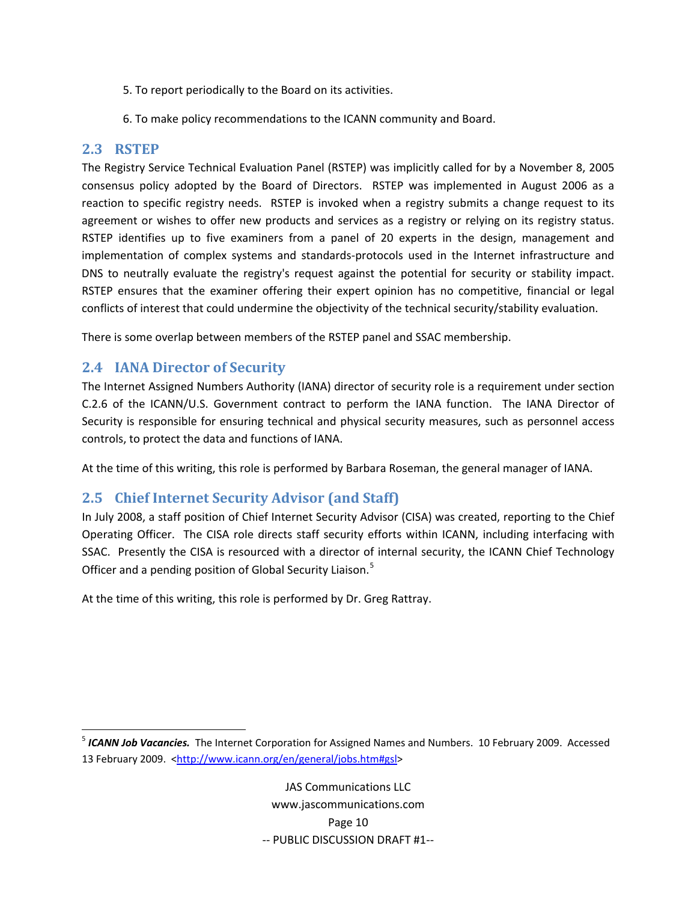- <span id="page-11-0"></span>5. To report periodically to the Board on its activities.
- 6. To make policy recommendations to the ICANN community and Board.

### **2.3 RSTEP**

The Registry Service Technical Evaluation Panel (RSTEP) was implicitly called for by a November 8, 2005 consensus policy adopted by the Board of Directors. RSTEP was implemented in August 2006 as a reaction to specific registry needs. RSTEP is invoked when a registry submits a change request to its agreement or wishes to offer new products and services as a registry or relying on its registry status. RSTEP identifies up to five examiners from a panel of 20 experts in the design, management and implementation of complex systems and standards‐protocols used in the Internet infrastructure and DNS to neutrally evaluate the registry's request against the potential for security or stability impact. RSTEP ensures that the examiner offering their expert opinion has no competitive, financial or legal conflicts of interest that could undermine the objectivity of the technical security/stability evaluation.

There is some overlap between members of the RSTEP panel and SSAC membership.

## **2.4 IANA Director of Security**

The Internet Assigned Numbers Authority (IANA) director of security role is a requirement under section C.2.6 of the ICANN/U.S. Government contract to perform the IANA function. The IANA Director of Security is responsible for ensuring technical and physical security measures, such as personnel access controls, to protect the data and functions of IANA.

At the time of this writing, this role is performed by Barbara Roseman, the general manager of IANA.

# **2.5 Chief Internet Security Advisor (and Staff)**

In July 2008, a staff position of Chief Internet Security Advisor (CISA) was created, reporting to the Chief Operating Officer. The CISA role directs staff security efforts within ICANN, including interfacing with SSAC. Presently the CISA is resourced with a director of internal security, the ICANN Chief Technology Officer and a pending position of Global Security Liaison.<sup>[5](#page-11-1)</sup>

At the time of this writing, this role is performed by Dr. Greg Rattray.

<span id="page-11-1"></span><sup>5</sup> *ICANN Job Vacancies.* The Internet Corporation for Assigned Names and Numbers. 10 February 2009. Accessed 13 February 2009. [<http://www.icann.org/en/general/jobs.htm#gsl>](http://www.icann.org/en/general/jobs.htm#gsl)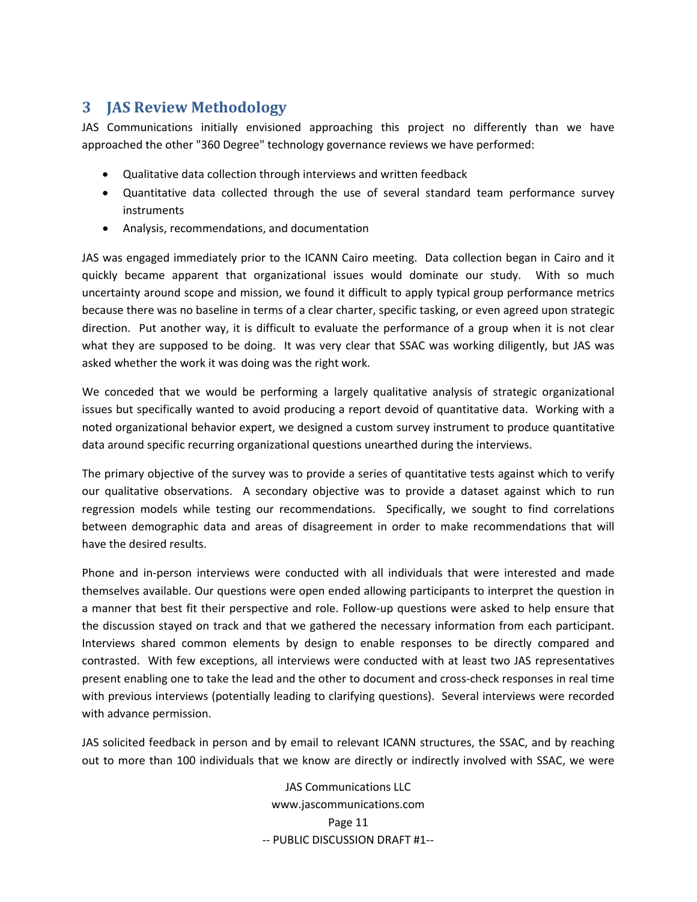# <span id="page-12-0"></span>**3 JAS Review Methodology**

JAS Communications initially envisioned approaching this project no differently than we have approached the other "360 Degree" technology governance reviews we have performed:

- Qualitative data collection through interviews and written feedback
- Quantitative data collected through the use of several standard team performance survey instruments
- Analysis, recommendations, and documentation

JAS was engaged immediately prior to the ICANN Cairo meeting. Data collection began in Cairo and it quickly became apparent that organizational issues would dominate our study. With so much uncertainty around scope and mission, we found it difficult to apply typical group performance metrics because there was no baseline in terms of a clear charter, specific tasking, or even agreed upon strategic direction. Put another way, it is difficult to evaluate the performance of a group when it is not clear what they are supposed to be doing. It was very clear that SSAC was working diligently, but JAS was asked whether the work it was doing was the right work.

We conceded that we would be performing a largely qualitative analysis of strategic organizational issues but specifically wanted to avoid producing a report devoid of quantitative data. Working with a noted organizational behavior expert, we designed a custom survey instrument to produce quantitative data around specific recurring organizational questions unearthed during the interviews.

The primary objective of the survey was to provide a series of quantitative tests against which to verify our qualitative observations. A secondary objective was to provide a dataset against which to run regression models while testing our recommendations. Specifically, we sought to find correlations between demographic data and areas of disagreement in order to make recommendations that will have the desired results.

Phone and in-person interviews were conducted with all individuals that were interested and made themselves available. Our questions were open ended allowing participants to interpret the question in a manner that best fit their perspective and role. Follow‐up questions were asked to help ensure that the discussion stayed on track and that we gathered the necessary information from each participant. Interviews shared common elements by design to enable responses to be directly compared and contrasted. With few exceptions, all interviews were conducted with at least two JAS representatives present enabling one to take the lead and the other to document and cross‐check responses in real time with previous interviews (potentially leading to clarifying questions). Several interviews were recorded with advance permission.

JAS solicited feedback in person and by email to relevant ICANN structures, the SSAC, and by reaching out to more than 100 individuals that we know are directly or indirectly involved with SSAC, we were

> JAS Communications LLC www.jascommunications.com Page 11 ‐‐ PUBLIC DISCUSSION DRAFT #1‐‐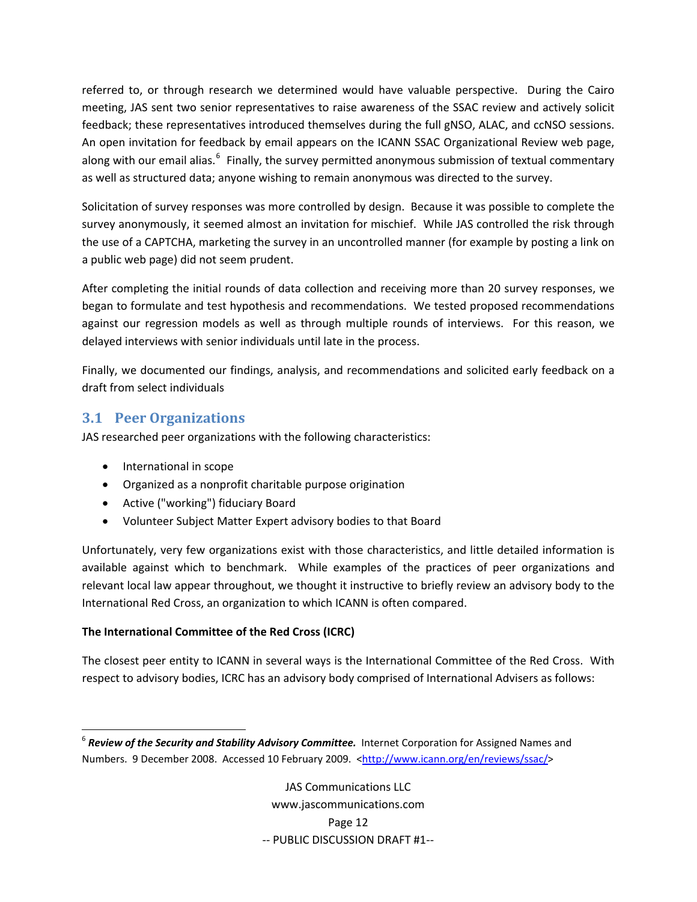<span id="page-13-0"></span>referred to, or through research we determined would have valuable perspective. During the Cairo meeting, JAS sent two senior representatives to raise awareness of the SSAC review and actively solicit feedback; these representatives introduced themselves during the full gNSO, ALAC, and ccNSO sessions. An open invitation for feedback by email appears on the ICANN SSAC Organizational Review web page, along with our email alias.<sup>[6](#page-13-1)</sup> Finally, the survey permitted anonymous submission of textual commentary as well as structured data; anyone wishing to remain anonymous was directed to the survey.

Solicitation of survey responses was more controlled by design. Because it was possible to complete the survey anonymously, it seemed almost an invitation for mischief. While JAS controlled the risk through the use of a CAPTCHA, marketing the survey in an uncontrolled manner (for example by posting a link on a public web page) did not seem prudent.

After completing the initial rounds of data collection and receiving more than 20 survey responses, we began to formulate and test hypothesis and recommendations. We tested proposed recommendations against our regression models as well as through multiple rounds of interviews. For this reason, we delayed interviews with senior individuals until late in the process.

Finally, we documented our findings, analysis, and recommendations and solicited early feedback on a draft from select individuals

# **3.1 Peer Organizations**

JAS researched peer organizations with the following characteristics:

- International in scope
- Organized as a nonprofit charitable purpose origination
- Active ("working") fiduciary Board
- Volunteer Subject Matter Expert advisory bodies to that Board

Unfortunately, very few organizations exist with those characteristics, and little detailed information is available against which to benchmark. While examples of the practices of peer organizations and relevant local law appear throughout, we thought it instructive to briefly review an advisory body to the International Red Cross, an organization to which ICANN is often compared.

### **The International Committee of the Red Cross (ICRC)**

The closest peer entity to ICANN in several ways is the International Committee of the Red Cross. With respect to advisory bodies, ICRC has an advisory body comprised of International Advisers as follows:

<span id="page-13-1"></span> <sup>6</sup> *Review of the Security and Stability Advisory Committee.* Internet Corporation for Assigned Names and Numbers. 9 December 2008. Accessed 10 February 2009. [<http://www.icann.org/en/reviews/ssac/](http://www.icann.org/en/reviews/ssac/)>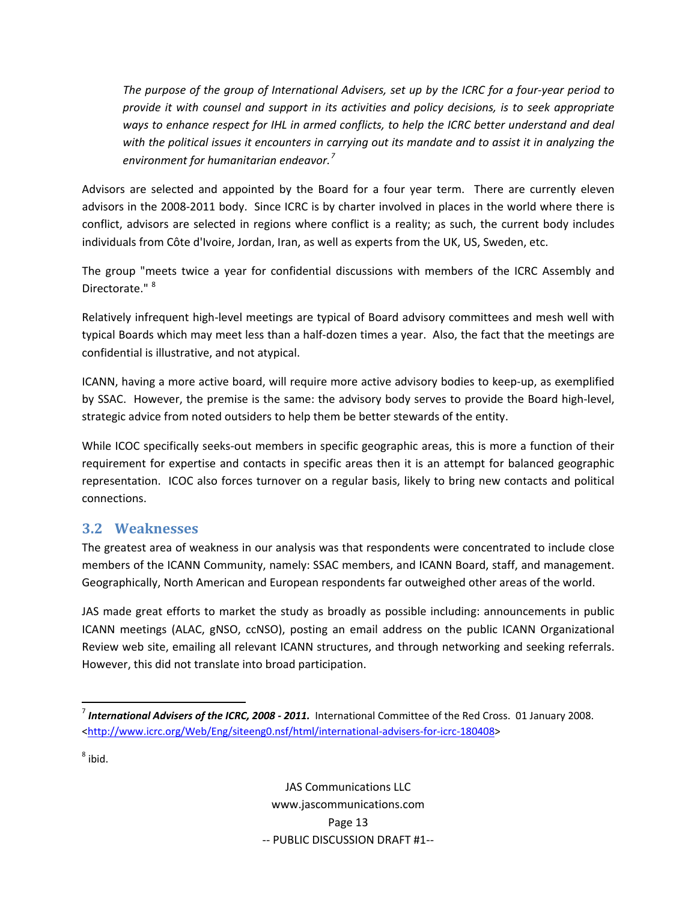<span id="page-14-0"></span>The purpose of the group of International Advisers, set up by the ICRC for a four-year period to *provide it with counsel and support in its activities and policy decisions, is to seek appropriate ways to enhance respect for IHL in armed conflicts, to help the ICRC better understand and deal* with the political issues it encounters in carrying out its mandate and to assist it in analyzing the *environment for humanitarian endeavor.[7](#page-14-1)*

Advisors are selected and appointed by the Board for a four year term. There are currently eleven advisors in the 2008‐2011 body. Since ICRC is by charter involved in places in the world where there is conflict, advisors are selected in regions where conflict is a reality; as such, the current body includes individuals from Côte d'Ivoire, Jordan, Iran, as well as experts from the UK, US, Sweden, etc.

The group "meets twice a year for confidential discussions with members of the ICRC Assembly and Directorate."<sup>[8](#page-14-2)</sup>

Relatively infrequent high-level meetings are typical of Board advisory committees and mesh well with typical Boards which may meet less than a half‐dozen times a year. Also, the fact that the meetings are confidential is illustrative, and not atypical.

ICANN, having a more active board, will require more active advisory bodies to keep‐up, as exemplified by SSAC. However, the premise is the same: the advisory body serves to provide the Board high‐level, strategic advice from noted outsiders to help them be better stewards of the entity.

While ICOC specifically seeks-out members in specific geographic areas, this is more a function of their requirement for expertise and contacts in specific areas then it is an attempt for balanced geographic representation. ICOC also forces turnover on a regular basis, likely to bring new contacts and political connections.

# **3.2 Weaknesses**

The greatest area of weakness in our analysis was that respondents were concentrated to include close members of the ICANN Community, namely: SSAC members, and ICANN Board, staff, and management. Geographically, North American and European respondents far outweighed other areas of the world.

JAS made great efforts to market the study as broadly as possible including: announcements in public ICANN meetings (ALAC, gNSO, ccNSO), posting an email address on the public ICANN Organizational Review web site, emailing all relevant ICANN structures, and through networking and seeking referrals. However, this did not translate into broad participation.

<span id="page-14-2"></span> $8$  ibid.

<span id="page-14-1"></span> <sup>7</sup> *International Advisers of the ICRC, 2008 ‐ 2011.* International Committee of the Red Cross. 01 January 2008. [<http://www.icrc.org/Web/Eng/siteeng0.nsf/html/international](http://www.icrc.org/Web/Eng/siteeng0.nsf/html/international-advisers-for-icrc-180408)‐advisers‐for‐icrc‐180408>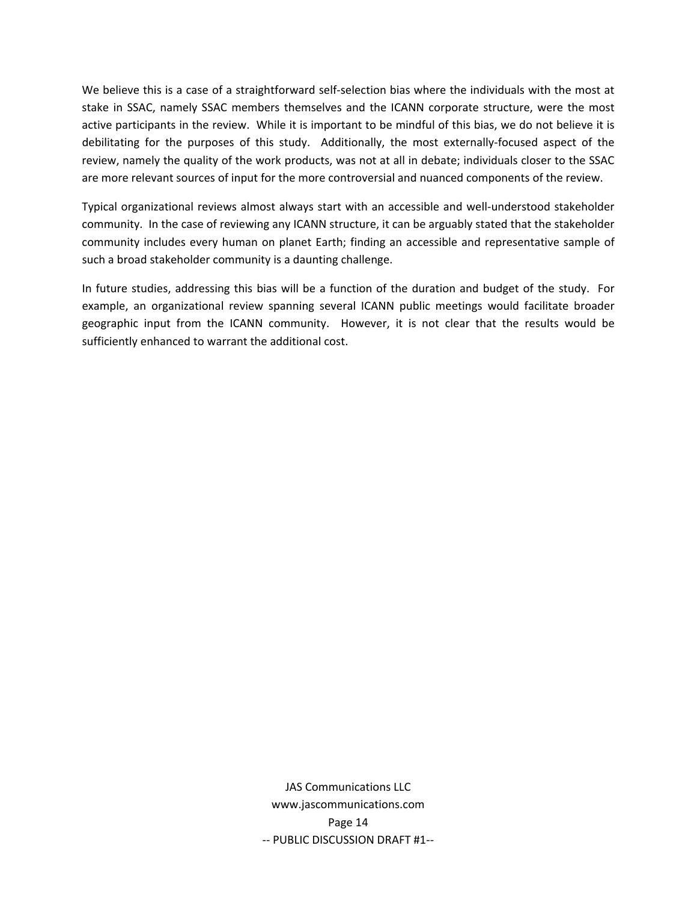We believe this is a case of a straightforward self-selection bias where the individuals with the most at stake in SSAC, namely SSAC members themselves and the ICANN corporate structure, were the most active participants in the review. While it is important to be mindful of this bias, we do not believe it is debilitating for the purposes of this study. Additionally, the most externally‐focused aspect of the review, namely the quality of the work products, was not at all in debate; individuals closer to the SSAC are more relevant sources of input for the more controversial and nuanced components of the review.

Typical organizational reviews almost always start with an accessible and well-understood stakeholder community. In the case of reviewing any ICANN structure, it can be arguably stated that the stakeholder community includes every human on planet Earth; finding an accessible and representative sample of such a broad stakeholder community is a daunting challenge.

In future studies, addressing this bias will be a function of the duration and budget of the study. For example, an organizational review spanning several ICANN public meetings would facilitate broader geographic input from the ICANN community. However, it is not clear that the results would be sufficiently enhanced to warrant the additional cost.

> JAS Communications LLC www.jascommunications.com Page 14 ‐‐ PUBLIC DISCUSSION DRAFT #1‐‐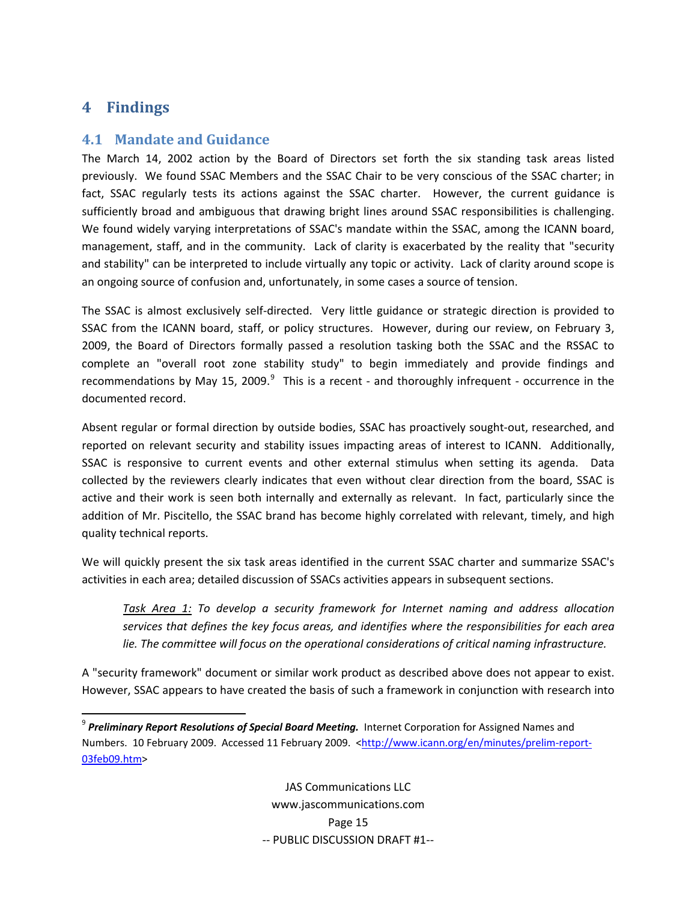# <span id="page-16-0"></span>**4 Findings**

### **4.1 Mandate and Guidance**

The March 14, 2002 action by the Board of Directors set forth the six standing task areas listed previously. We found SSAC Members and the SSAC Chair to be very conscious of the SSAC charter; in fact, SSAC regularly tests its actions against the SSAC charter. However, the current guidance is sufficiently broad and ambiguous that drawing bright lines around SSAC responsibilities is challenging. We found widely varying interpretations of SSAC's mandate within the SSAC, among the ICANN board, management, staff, and in the community. Lack of clarity is exacerbated by the reality that "security and stability" can be interpreted to include virtually any topic or activity. Lack of clarity around scope is an ongoing source of confusion and, unfortunately, in some cases a source of tension.

The SSAC is almost exclusively self‐directed. Very little guidance or strategic direction is provided to SSAC from the ICANN board, staff, or policy structures. However, during our review, on February 3, 2009, the Board of Directors formally passed a resolution tasking both the SSAC and the RSSAC to complete an "overall root zone stability study" to begin immediately and provide findings and recommendations by May 15, 200[9](#page-16-1).<sup>9</sup> This is a recent - and thoroughly infrequent - occurrence in the documented record.

Absent regular or formal direction by outside bodies, SSAC has proactively sought‐out, researched, and reported on relevant security and stability issues impacting areas of interest to ICANN. Additionally, SSAC is responsive to current events and other external stimulus when setting its agenda. Data collected by the reviewers clearly indicates that even without clear direction from the board, SSAC is active and their work is seen both internally and externally as relevant. In fact, particularly since the addition of Mr. Piscitello, the SSAC brand has become highly correlated with relevant, timely, and high quality technical reports.

We will quickly present the six task areas identified in the current SSAC charter and summarize SSAC's activities in each area; detailed discussion of SSACs activities appears in subsequent sections.

*Task Area 1: To develop a security framework for Internet naming and address allocation services that defines the key focus areas, and identifies where the responsibilities for each area lie. The committee will focus on the operational considerations of critical naming infrastructure.*

A "security framework" document or similar work product as described above does not appear to exist. However, SSAC appears to have created the basis of such a framework in conjunction with research into

JAS Communications LLC www.jascommunications.com Page 15 ‐‐ PUBLIC DISCUSSION DRAFT #1‐‐

<span id="page-16-1"></span><sup>9</sup> *Preliminary Report Resolutions of Special Board Meeting.* Internet Corporation for Assigned Names and Numbers. 10 February 2009. Accessed 11 February 2009. <[http://www.icann.org/en/minutes/prelim](http://www.icann.org/en/minutes/prelim-report-03feb09.htm)-report-[03feb09.htm>](http://www.icann.org/en/minutes/prelim-report-03feb09.htm)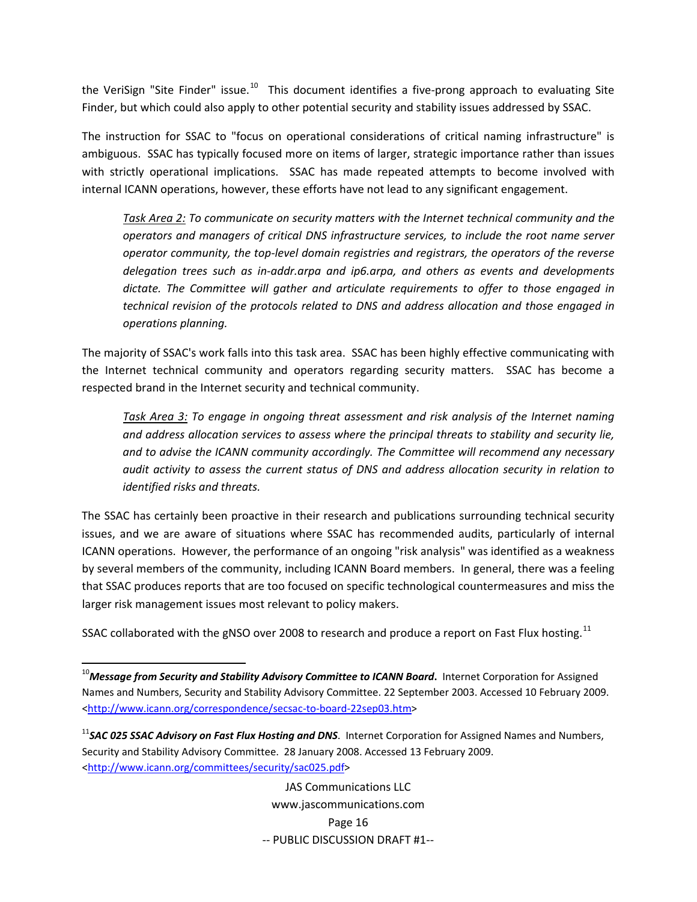the VeriSign "Site Finder" issue.<sup>[10](#page-17-0)</sup> This document identifies a five-prong approach to evaluating Site Finder, but which could also apply to other potential security and stability issues addressed by SSAC.

The instruction for SSAC to "focus on operational considerations of critical naming infrastructure" is ambiguous. SSAC has typically focused more on items of larger, strategic importance rather than issues with strictly operational implications. SSAC has made repeated attempts to become involved with internal ICANN operations, however, these efforts have not lead to any significant engagement.

*Task Area 2: To communicate on security matters with the Internet technical community and the operators and managers of critical DNS infrastructure services, to include the root name server operator community, the top‐level domain registries and registrars, the operators of the reverse delegation trees such as in‐addr.arpa and ip6.arpa, and others as events and developments dictate. The Committee will gather and articulate requirements to offer to those engaged in technical revision of the protocols related to DNS and address allocation and those engaged in operations planning.* 

The majority of SSAC's work falls into this task area. SSAC has been highly effective communicating with the Internet technical community and operators regarding security matters. SSAC has become a respected brand in the Internet security and technical community.

*Task Area 3: To engage in ongoing threat assessment and risk analysis of the Internet naming and address allocation services to assess where the principal threats to stability and security lie, and to advise the ICANN community accordingly. The Committee will recommend any necessary audit activity to assess the current status of DNS and address allocation security in relation to identified risks and threats.*

The SSAC has certainly been proactive in their research and publications surrounding technical security issues, and we are aware of situations where SSAC has recommended audits, particularly of internal ICANN operations. However, the performance of an ongoing "risk analysis" was identified as a weakness by several members of the community, including ICANN Board members. In general, there was a feeling that SSAC produces reports that are too focused on specific technological countermeasures and miss the larger risk management issues most relevant to policy makers.

SSAC collaborated with the gNSO over 2008 to research and produce a report on Fast Flux hosting.<sup>[11](#page-17-1)</sup>

JAS Communications LLC www.jascommunications.com Page 16 ‐‐ PUBLIC DISCUSSION DRAFT #1‐‐

<span id="page-17-0"></span><sup>10</sup>*Message from Security and Stability Advisory Committee to ICANN Board***.** Internet Corporation for Assigned Names and Numbers, Security and Stability Advisory Committee. 22 September 2003. Accessed 10 February 2009. [<http://www.icann.org/correspondence/secsac](http://www.icann.org/correspondence/secsac-to-board-22sep03.htm)-to-board-22sep03.htm>

<span id="page-17-1"></span><sup>11</sup>*SAC 025 SSAC Advisory on Fast Flux Hosting and DNS*. Internet Corporation for Assigned Names and Numbers, Security and Stability Advisory Committee. 28 January 2008. Accessed 13 February 2009. [<http://www.icann.org/committees/security/sac025.pdf>](http://www.icann.org/committees/security/sac025.pdf)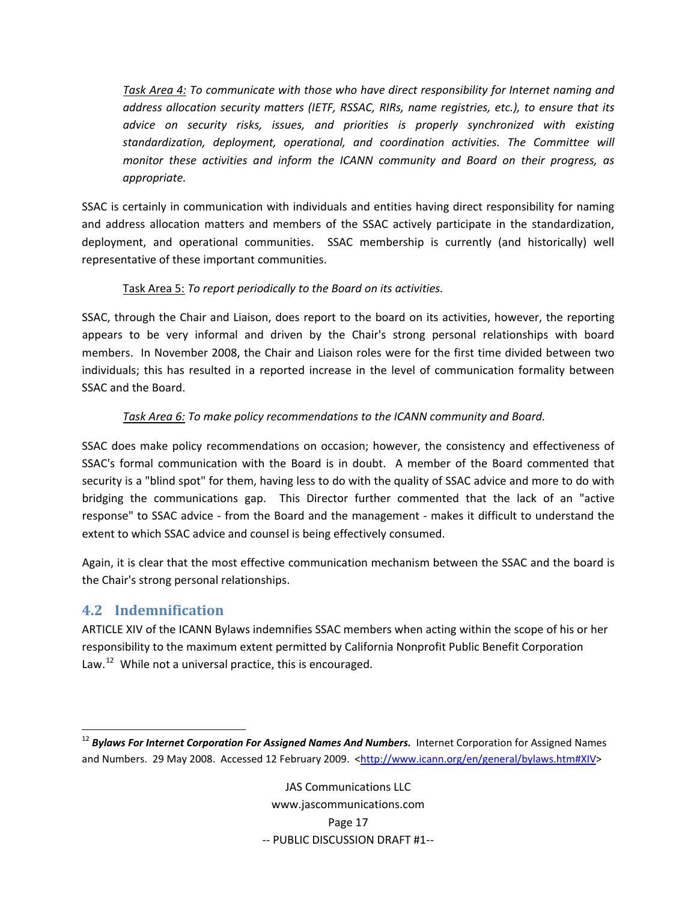<span id="page-18-0"></span>*Task Area 4: To communicate with those who have direct responsibility for Internet naming and address allocation security matters (IETF, RSSAC, RIRs, name registries, etc.), to ensure that its advice on security risks, issues, and priorities is properly synchronized with existing standardization, deployment, operational, and coordination activities. The Committee will monitor these activities and inform the ICANN community and Board on their progress, as appropriate.*

SSAC is certainly in communication with individuals and entities having direct responsibility for naming and address allocation matters and members of the SSAC actively participate in the standardization, deployment, and operational communities. SSAC membership is currently (and historically) well representative of these important communities.

### Task Area 5: *To report periodically to the Board on its activities.*

SSAC, through the Chair and Liaison, does report to the board on its activities, however, the reporting appears to be very informal and driven by the Chair's strong personal relationships with board members. In November 2008, the Chair and Liaison roles were for the first time divided between two individuals; this has resulted in a reported increase in the level of communication formality between SSAC and the Board.

### *Task Area 6: To make policy recommendations to the ICANN community and Board.*

SSAC does make policy recommendations on occasion; however, the consistency and effectiveness of SSAC's formal communication with the Board is in doubt. A member of the Board commented that security is a "blind spot" for them, having less to do with the quality of SSAC advice and more to do with bridging the communications gap. This Director further commented that the lack of an "active response" to SSAC advice ‐ from the Board and the management ‐ makes it difficult to understand the extent to which SSAC advice and counsel is being effectively consumed.

Again, it is clear that the most effective communication mechanism between the SSAC and the board is the Chair's strong personal relationships.

# **4.2 Indemnification**

ARTICLE XIV of the ICANN Bylaws indemnifies SSAC members when acting within the scope of his or her responsibility to the maximum extent permitted by California Nonprofit Public Benefit Corporation Law. $^{12}$  $^{12}$  $^{12}$  While not a universal practice, this is encouraged.

<span id="page-18-1"></span> <sup>12</sup> *Bylaws For Internet Corporation For Assigned Names And Numbers.* Internet Corporation for Assigned Names and Numbers. 29 May 2008. Accessed 12 February 2009. <[http://www.icann.org/en/general/bylaws.htm#XIV>](http://www.icann.org/en/general/bylaws.htm%23XIV)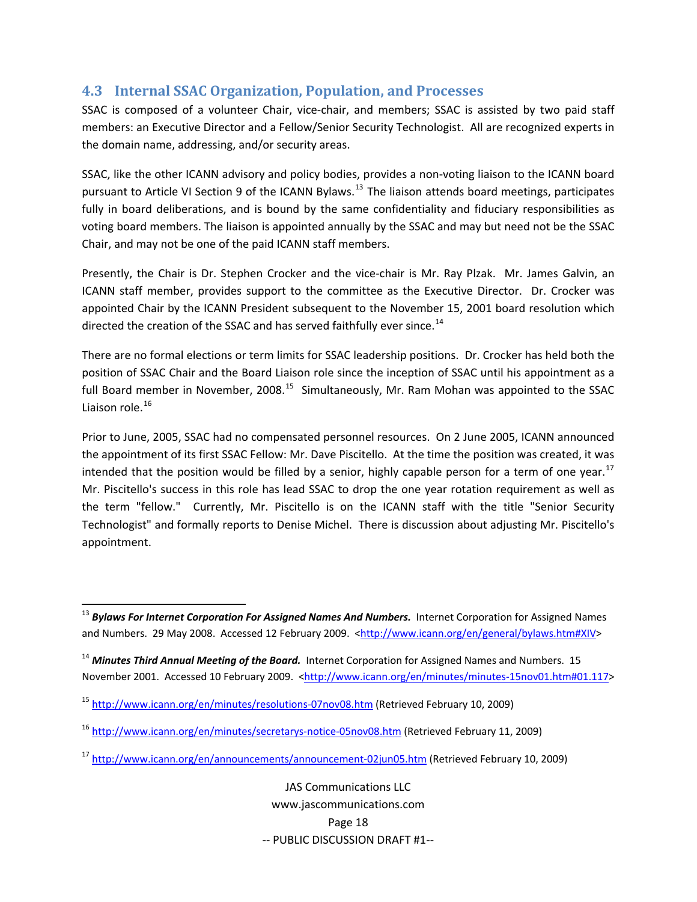# <span id="page-19-0"></span>**4.3 Internal SSAC Organization, Population, and Processes**

SSAC is composed of a volunteer Chair, vice-chair, and members; SSAC is assisted by two paid staff members: an Executive Director and a Fellow/Senior Security Technologist. All are recognized experts in the domain name, addressing, and/or security areas.

SSAC, like the other ICANN advisory and policy bodies, provides a non-voting liaison to the ICANN board pursuant to Article VI Section 9 of the ICANN Bylaws.<sup>[13](#page-19-1)</sup> The liaison attends board meetings, participates fully in board deliberations, and is bound by the same confidentiality and fiduciary responsibilities as voting board members. The liaison is appointed annually by the SSAC and may but need not be the SSAC Chair, and may not be one of the paid ICANN staff members.

Presently, the Chair is Dr. Stephen Crocker and the vice‐chair is Mr. Ray Plzak. Mr. James Galvin, an ICANN staff member, provides support to the committee as the Executive Director. Dr. Crocker was appointed Chair by the ICANN President subsequent to the November 15, 2001 board resolution which directed the creation of the SSAC and has served faithfully ever since.<sup>[14](#page-19-2)</sup>

There are no formal elections or term limits for SSAC leadership positions. Dr. Crocker has held both the position of SSAC Chair and the Board Liaison role since the inception of SSAC until his appointment as a full Board member in November, 2008.<sup>[15](#page-19-3)</sup> Simultaneously, Mr. Ram Mohan was appointed to the SSAC Liaison role.[16](#page-19-4)

Prior to June, 2005, SSAC had no compensated personnel resources. On 2 June 2005, ICANN announced the appointment of its first SSAC Fellow: Mr. Dave Piscitello. At the time the position was created, it was intended that the position would be filled by a senior, highly capable person for a term of one year.<sup>[17](#page-19-5)</sup> Mr. Piscitello's success in this role has lead SSAC to drop the one year rotation requirement as well as the term "fellow." Currently, Mr. Piscitello is on the ICANN staff with the title "Senior Security Technologist" and formally reports to Denise Michel. There is discussion about adjusting Mr. Piscitello's appointment.

<span id="page-19-1"></span><sup>13</sup> *Bylaws For Internet Corporation For Assigned Names And Numbers.* Internet Corporation for Assigned Names and Numbers. 29 May 2008. Accessed 12 February 2009. <[http://www.icann.org/en/general/bylaws.htm#XIV>](http://www.icann.org/en/general/bylaws.htm%23XIV)

<span id="page-19-2"></span><sup>14</sup> *Minutes Third Annual Meeting of the Board.* Internet Corporation for Assigned Names and Numbers. 15 November 2001. Accessed 10 February 2009. [<http://www.icann.org/en/minutes/minutes](http://www.icann.org/en/minutes/minutes-15nov01.htm#01.117)-15nov01.htm#01.117>

<span id="page-19-3"></span><sup>15</sup> [http://www.icann.org/en/minutes/resolutions](http://www.icann.org/en/minutes/resolutions-07nov08.htm)‐07nov08.htm (Retrieved February 10, 2009)

<span id="page-19-4"></span><sup>16</sup> [http://www.icann.org/en/minutes/secretarys](http://www.icann.org/en/minutes/secretarys-notice-05nov08.htm)‐notice‐05nov08.htm (Retrieved February 11, 2009)

<span id="page-19-5"></span><sup>&</sup>lt;sup>17</sup> [http://www.icann.org/en/announcements/announcement](http://www.icann.org/en/announcements/announcement-02jun05.htm)-02jun05.htm (Retrieved February 10, 2009)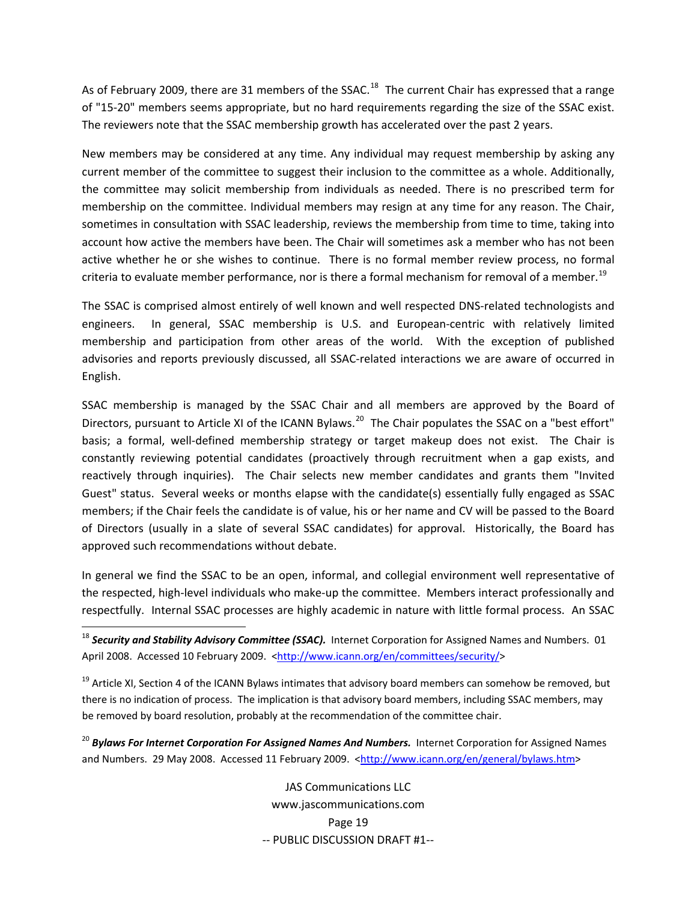As of February 2009, there are 31 members of the SSAC.<sup>[18](#page-20-0)</sup> The current Chair has expressed that a range of "15‐20" members seems appropriate, but no hard requirements regarding the size of the SSAC exist. The reviewers note that the SSAC membership growth has accelerated over the past 2 years.

New members may be considered at any time. Any individual may request membership by asking any current member of the committee to suggest their inclusion to the committee as a whole. Additionally, the committee may solicit membership from individuals as needed. There is no prescribed term for membership on the committee. Individual members may resign at any time for any reason. The Chair, sometimes in consultation with SSAC leadership, reviews the membership from time to time, taking into account how active the members have been. The Chair will sometimes ask a member who has not been active whether he or she wishes to continue. There is no formal member review process, no formal criteria to evaluate member performance, nor is there a formal mechanism for removal of a member.<sup>[19](#page-20-1)</sup>

The SSAC is comprised almost entirely of well known and well respected DNS‐related technologists and engineers. In general, SSAC membership is U.S. and European-centric with relatively limited membership and participation from other areas of the world. With the exception of published advisories and reports previously discussed, all SSAC‐related interactions we are aware of occurred in English.

SSAC membership is managed by the SSAC Chair and all members are approved by the Board of Directors, pursuant to Article XI of the ICANN Bylaws.<sup>[20](#page-20-2)</sup> The Chair populates the SSAC on a "best effort" basis; a formal, well-defined membership strategy or target makeup does not exist. The Chair is constantly reviewing potential candidates (proactively through recruitment when a gap exists, and reactively through inquiries). The Chair selects new member candidates and grants them "Invited Guest" status. Several weeks or months elapse with the candidate(s) essentially fully engaged as SSAC members; if the Chair feels the candidate is of value, his or her name and CV will be passed to the Board of Directors (usually in a slate of several SSAC candidates) for approval. Historically, the Board has approved such recommendations without debate.

In general we find the SSAC to be an open, informal, and collegial environment well representative of the respected, high‐level individuals who make‐up the committee. Members interact professionally and respectfully. Internal SSAC processes are highly academic in nature with little formal process. An SSAC

<span id="page-20-1"></span><sup>19</sup> Article XI, Section 4 of the ICANN Bylaws intimates that advisory board members can somehow be removed, but there is no indication of process. The implication is that advisory board members, including SSAC members, may be removed by board resolution, probably at the recommendation of the committee chair.

<span id="page-20-2"></span><sup>20</sup> *Bylaws For Internet Corporation For Assigned Names And Numbers.* Internet Corporation for Assigned Names and Numbers. 29 May 2008. Accessed 11 February 2009. <<http://www.icann.org/en/general/bylaws.htm>>

> JAS Communications LLC www.jascommunications.com Page 19 ‐‐ PUBLIC DISCUSSION DRAFT #1‐‐

<span id="page-20-0"></span><sup>18</sup> *Security and Stability Advisory Committee (SSAC).* Internet Corporation for Assigned Names and Numbers. 01 April 2008. Accessed 10 February 2009. <[http://www.icann.org/en/committees/security/>](http://www.icann.org/en/committees/security/)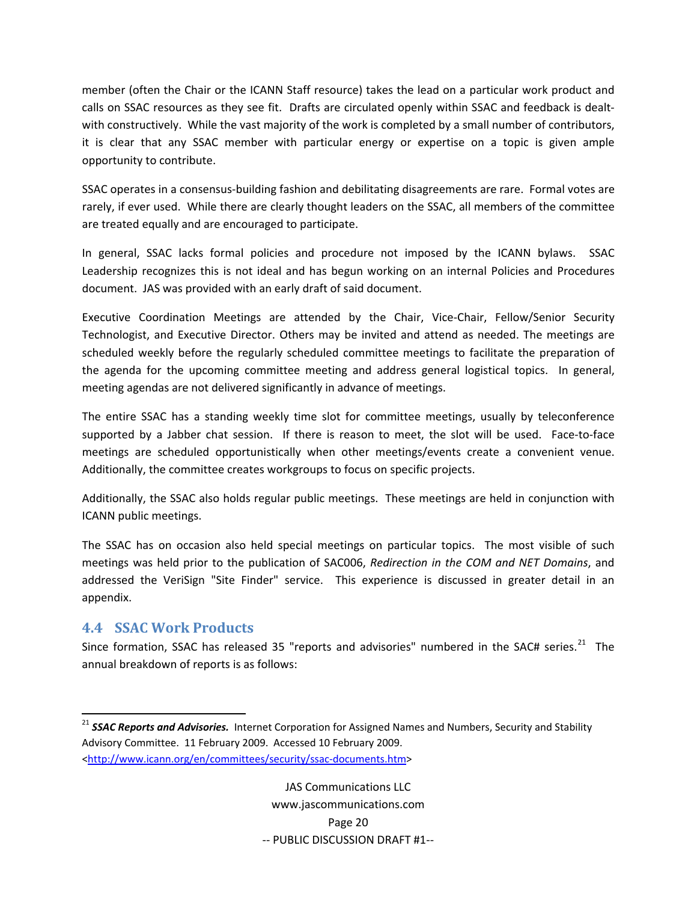<span id="page-21-0"></span>member (often the Chair or the ICANN Staff resource) takes the lead on a particular work product and calls on SSAC resources as they see fit. Drafts are circulated openly within SSAC and feedback is dealt‐ with constructively. While the vast majority of the work is completed by a small number of contributors, it is clear that any SSAC member with particular energy or expertise on a topic is given ample opportunity to contribute.

SSAC operates in a consensus‐building fashion and debilitating disagreements are rare. Formal votes are rarely, if ever used. While there are clearly thought leaders on the SSAC, all members of the committee are treated equally and are encouraged to participate.

In general, SSAC lacks formal policies and procedure not imposed by the ICANN bylaws. SSAC Leadership recognizes this is not ideal and has begun working on an internal Policies and Procedures document. JAS was provided with an early draft of said document.

Executive Coordination Meetings are attended by the Chair, Vice-Chair, Fellow/Senior Security Technologist, and Executive Director. Others may be invited and attend as needed. The meetings are scheduled weekly before the regularly scheduled committee meetings to facilitate the preparation of the agenda for the upcoming committee meeting and address general logistical topics. In general, meeting agendas are not delivered significantly in advance of meetings.

The entire SSAC has a standing weekly time slot for committee meetings, usually by teleconference supported by a Jabber chat session. If there is reason to meet, the slot will be used. Face-to-face meetings are scheduled opportunistically when other meetings/events create a convenient venue. Additionally, the committee creates workgroups to focus on specific projects.

Additionally, the SSAC also holds regular public meetings. These meetings are held in conjunction with ICANN public meetings.

The SSAC has on occasion also held special meetings on particular topics. The most visible of such meetings was held prior to the publication of SAC006, *Redirection in the COM and NET Domains*, and addressed the VeriSign "Site Finder" service. This experience is discussed in greater detail in an appendix.

# **4.4 SSAC Work Products**

Since formation, SSAC has released 35 "reports and advisories" numbered in the SAC# series. $21$  The annual breakdown of reports is as follows:

<span id="page-21-1"></span><sup>21</sup> *SSAC Reports and Advisories.* Internet Corporation for Assigned Names and Numbers, Security and Stability Advisory Committee. 11 February 2009. Accessed 10 February 2009. [<http://www.icann.org/en/committees/security/ssac](http://www.icann.org/en/committees/security/ssac-documents.htm)‐documents.htm>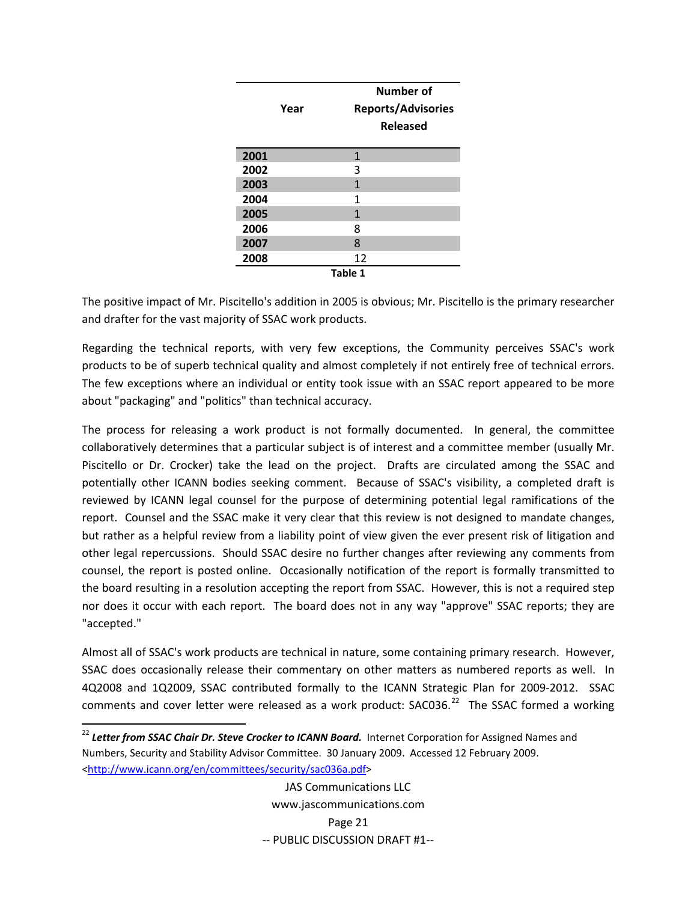|      | Year | Number of<br><b>Reports/Advisories</b><br><b>Released</b> |
|------|------|-----------------------------------------------------------|
| 2001 |      | 1                                                         |
| 2002 |      | 3                                                         |
| 2003 |      | 1                                                         |
| 2004 |      | 1                                                         |
| 2005 |      | 1                                                         |
| 2006 |      | 8                                                         |
| 2007 |      | 8                                                         |
| 2008 |      | 12                                                        |
|      |      | Table 1                                                   |

The positive impact of Mr. Piscitello's addition in 2005 is obvious; Mr. Piscitello is the primary researcher and drafter for the vast majority of SSAC work products.

Regarding the technical reports, with very few exceptions, the Community perceives SSAC's work products to be of superb technical quality and almost completely if not entirely free of technical errors. The few exceptions where an individual or entity took issue with an SSAC report appeared to be more about "packaging" and "politics" than technical accuracy.

The process for releasing a work product is not formally documented. In general, the committee collaboratively determines that a particular subject is of interest and a committee member (usually Mr. Piscitello or Dr. Crocker) take the lead on the project. Drafts are circulated among the SSAC and potentially other ICANN bodies seeking comment. Because of SSAC's visibility, a completed draft is reviewed by ICANN legal counsel for the purpose of determining potential legal ramifications of the report. Counsel and the SSAC make it very clear that this review is not designed to mandate changes, but rather as a helpful review from a liability point of view given the ever present risk of litigation and other legal repercussions. Should SSAC desire no further changes after reviewing any comments from counsel, the report is posted online. Occasionally notification of the report is formally transmitted to the board resulting in a resolution accepting the report from SSAC. However, this is not a required step nor does it occur with each report. The board does not in any way "approve" SSAC reports; they are "accepted."

Almost all of SSAC's work products are technical in nature, some containing primary research. However, SSAC does occasionally release their commentary on other matters as numbered reports as well. In 4Q2008 and 1Q2009, SSAC contributed formally to the ICANN Strategic Plan for 2009-2012. SSAC comments and cover letter were released as a work product:  $SAC036.<sup>22</sup>$  $SAC036.<sup>22</sup>$  $SAC036.<sup>22</sup>$  The SSAC formed a working

<span id="page-22-0"></span><sup>22</sup> *Letter from SSAC Chair Dr. Steve Crocker to ICANN Board.* Internet Corporation for Assigned Names and Numbers, Security and Stability Advisor Committee. 30 January 2009. Accessed 12 February 2009. [<http://www.icann.org/en/committees/security/sac036a.pdf>](http://www.icann.org/en/committees/security/sac036a.pdf)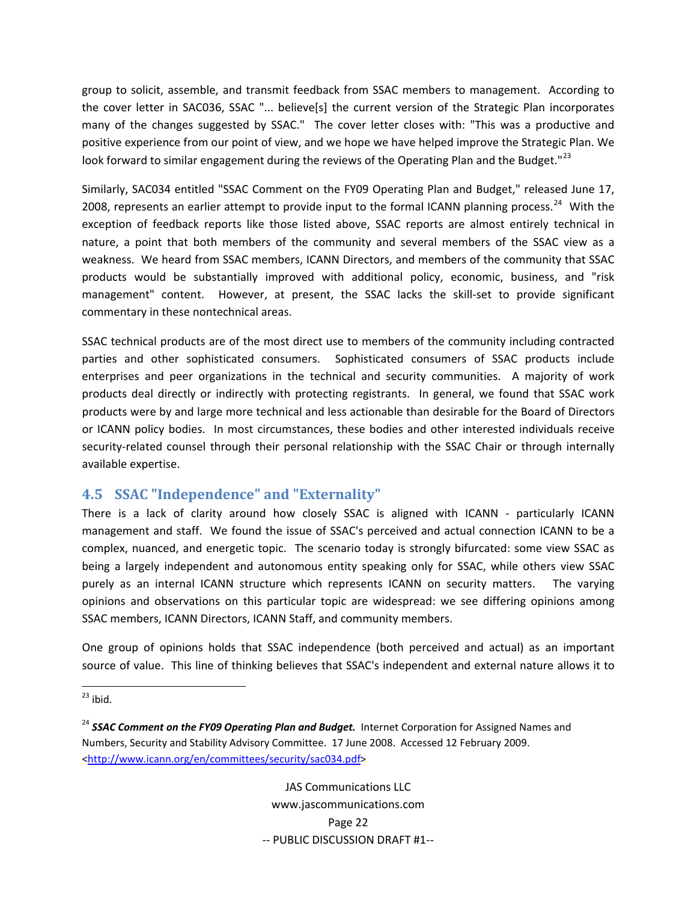<span id="page-23-0"></span>group to solicit, assemble, and transmit feedback from SSAC members to management. According to the cover letter in SAC036, SSAC "... believe[s] the current version of the Strategic Plan incorporates many of the changes suggested by SSAC." The cover letter closes with: "This was a productive and positive experience from our point of view, and we hope we have helped improve the Strategic Plan. We look forward to similar engagement during the reviews of the Operating Plan and the Budget."<sup>[23](#page-23-1)</sup>

Similarly, SAC034 entitled "SSAC Comment on the FY09 Operating Plan and Budget," released June 17, 2008, represents an earlier attempt to provide input to the formal ICANN planning process.<sup>[24](#page-23-2)</sup> With the exception of feedback reports like those listed above, SSAC reports are almost entirely technical in nature, a point that both members of the community and several members of the SSAC view as a weakness. We heard from SSAC members, ICANN Directors, and members of the community that SSAC products would be substantially improved with additional policy, economic, business, and "risk management" content. However, at present, the SSAC lacks the skill-set to provide significant commentary in these nontechnical areas.

SSAC technical products are of the most direct use to members of the community including contracted parties and other sophisticated consumers. Sophisticated consumers of SSAC products include enterprises and peer organizations in the technical and security communities. A majority of work products deal directly or indirectly with protecting registrants. In general, we found that SSAC work products were by and large more technical and less actionable than desirable for the Board of Directors or ICANN policy bodies. In most circumstances, these bodies and other interested individuals receive security-related counsel through their personal relationship with the SSAC Chair or through internally available expertise.

# **4.5 SSAC "Independence" and "Externality"**

There is a lack of clarity around how closely SSAC is aligned with ICANN - particularly ICANN management and staff. We found the issue of SSAC's perceived and actual connection ICANN to be a complex, nuanced, and energetic topic. The scenario today is strongly bifurcated: some view SSAC as being a largely independent and autonomous entity speaking only for SSAC, while others view SSAC purely as an internal ICANN structure which represents ICANN on security matters. The varying opinions and observations on this particular topic are widespread: we see differing opinions among SSAC members, ICANN Directors, ICANN Staff, and community members.

One group of opinions holds that SSAC independence (both perceived and actual) as an important source of value. This line of thinking believes that SSAC's independent and external nature allows it to

JAS Communications LLC www.jascommunications.com Page 22 ‐‐ PUBLIC DISCUSSION DRAFT #1‐‐

<span id="page-23-1"></span>  $23$  ibid.

<span id="page-23-2"></span><sup>24</sup> *SSAC Comment on the FY09 Operating Plan and Budget.* Internet Corporation for Assigned Names and Numbers, Security and Stability Advisory Committee. 17 June 2008. Accessed 12 February 2009. [<http://www.icann.org/en/committees/security/sac034.pdf>](http://www.icann.org/en/committees/security/sac034.pdf)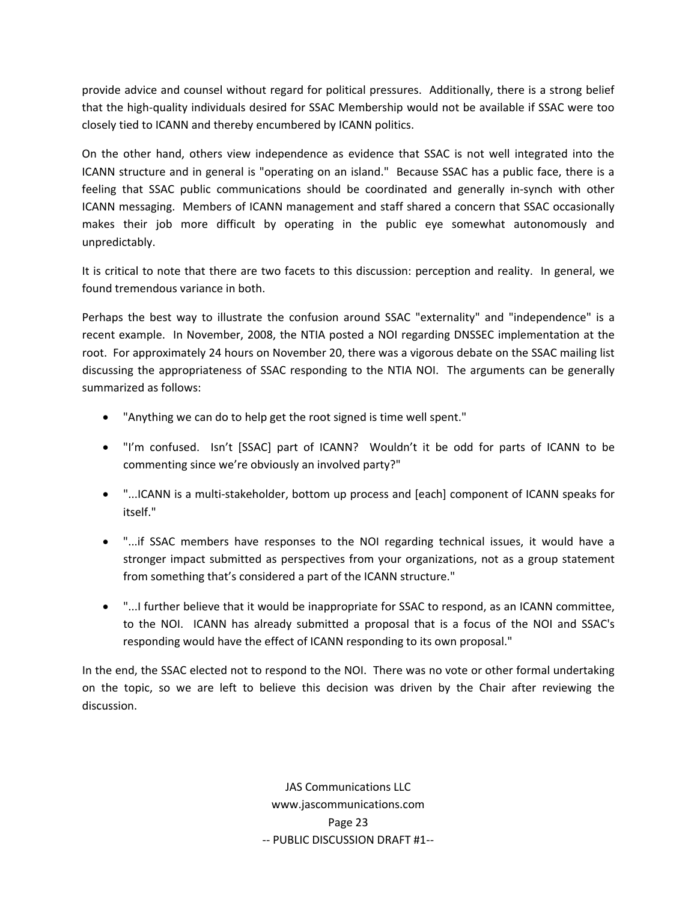provide advice and counsel without regard for political pressures. Additionally, there is a strong belief that the high‐quality individuals desired for SSAC Membership would not be available if SSAC were too closely tied to ICANN and thereby encumbered by ICANN politics.

On the other hand, others view independence as evidence that SSAC is not well integrated into the ICANN structure and in general is "operating on an island." Because SSAC has a public face, there is a feeling that SSAC public communications should be coordinated and generally in‐synch with other ICANN messaging. Members of ICANN management and staff shared a concern that SSAC occasionally makes their job more difficult by operating in the public eye somewhat autonomously and unpredictably.

It is critical to note that there are two facets to this discussion: perception and reality. In general, we found tremendous variance in both.

Perhaps the best way to illustrate the confusion around SSAC "externality" and "independence" is a recent example. In November, 2008, the NTIA posted a NOI regarding DNSSEC implementation at the root. For approximately 24 hours on November 20, there was a vigorous debate on the SSAC mailing list discussing the appropriateness of SSAC responding to the NTIA NOI. The arguments can be generally summarized as follows:

- "Anything we can do to help get the root signed is time well spent."
- "I'm confused. Isn't [SSAC] part of ICANN? Wouldn't it be odd for parts of ICANN to be commenting since we're obviously an involved party?"
- "...ICANN is a multi‐stakeholder, bottom up process and [each] component of ICANN speaks for itself."
- "...if SSAC members have responses to the NOI regarding technical issues, it would have a stronger impact submitted as perspectives from your organizations, not as a group statement from something that's considered a part of the ICANN structure."
- "...I further believe that it would be inappropriate for SSAC to respond, as an ICANN committee, to the NOI. ICANN has already submitted a proposal that is a focus of the NOI and SSAC's responding would have the effect of ICANN responding to its own proposal."

In the end, the SSAC elected not to respond to the NOI. There was no vote or other formal undertaking on the topic, so we are left to believe this decision was driven by the Chair after reviewing the discussion.

> JAS Communications LLC www.jascommunications.com Page 23 ‐‐ PUBLIC DISCUSSION DRAFT #1‐‐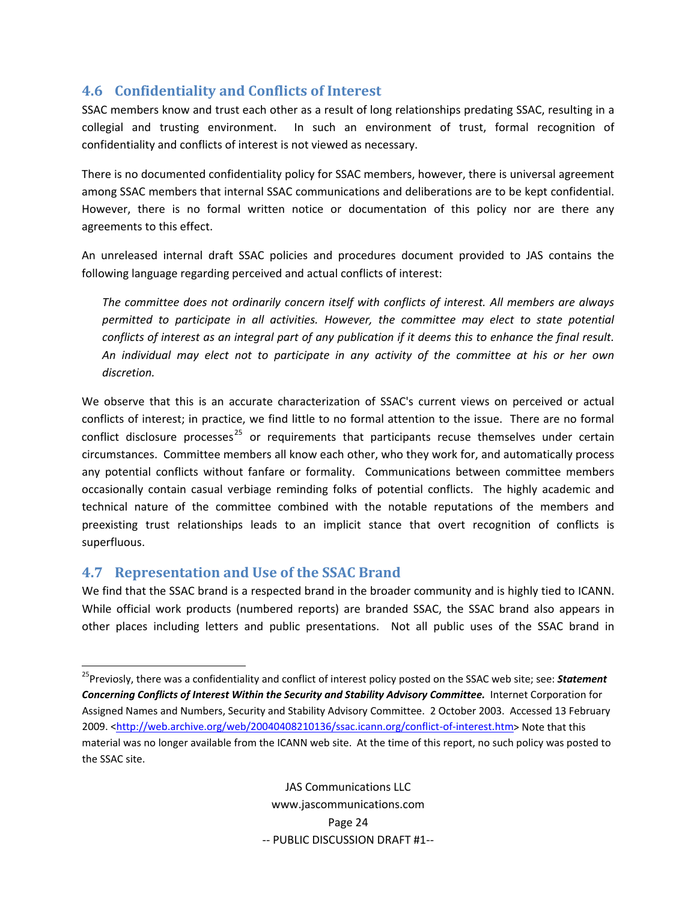# <span id="page-25-0"></span>**4.6 Confidentiality and Conflicts of Interest**

SSAC members know and trust each other as a result of long relationships predating SSAC, resulting in a collegial and trusting environment. In such an environment of trust, formal recognition of confidentiality and conflicts of interest is not viewed as necessary.

There is no documented confidentiality policy for SSAC members, however, there is universal agreement among SSAC members that internal SSAC communications and deliberations are to be kept confidential. However, there is no formal written notice or documentation of this policy nor are there any agreements to this effect.

An unreleased internal draft SSAC policies and procedures document provided to JAS contains the following language regarding perceived and actual conflicts of interest:

*The committee does not ordinarily concern itself with conflicts of interest. All members are always permitted to participate in all activities. However, the committee may elect to state potential* conflicts of interest as an integral part of any publication if it deems this to enhance the final result. *An individual may elect not to participate in any activity of the committee at his or her own discretion.*

We observe that this is an accurate characterization of SSAC's current views on perceived or actual conflicts of interest; in practice, we find little to no formal attention to the issue. There are no formal conflict disclosure processes<sup>[25](#page-25-1)</sup> or requirements that participants recuse themselves under certain circumstances. Committee members all know each other, who they work for, and automatically process any potential conflicts without fanfare or formality. Communications between committee members occasionally contain casual verbiage reminding folks of potential conflicts. The highly academic and technical nature of the committee combined with the notable reputations of the members and preexisting trust relationships leads to an implicit stance that overt recognition of conflicts is superfluous.

# **4.7 Representation and Use of the SSAC Brand**

We find that the SSAC brand is a respected brand in the broader community and is highly tied to ICANN. While official work products (numbered reports) are branded SSAC, the SSAC brand also appears in other places including letters and public presentations. Not all public uses of the SSAC brand in

<span id="page-25-1"></span> 25Previosly, there was a confidentiality and conflict of interest policy posted on the SSAC web site; see: *Statement Concerning Conflicts of Interest Within the Security and Stability Advisory Committee.* Internet Corporation for Assigned Names and Numbers, Security and Stability Advisory Committee. 2 October 2003. Accessed 13 February 2009. [<http://web.archive.org/web/20040408210136/ssac.icann.org/conflict](http://web.archive.org/web/20040408210136/ssac.icann.org/conflict-of-interest.htm)‐of‐interest.htm> Note that this material was no longer available from the ICANN web site. At the time of this report, no such policy was posted to the SSAC site.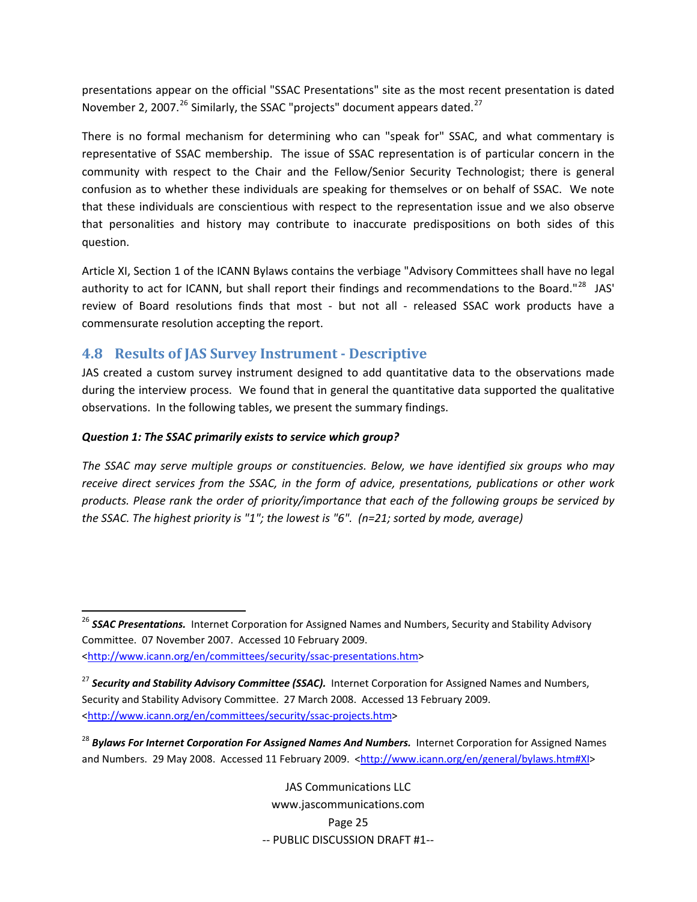<span id="page-26-0"></span>presentations appear on the official "SSAC Presentations" site as the most recent presentation is dated November 2, 2007.<sup>[26](#page-26-1)</sup> Similarly, the SSAC "projects" document appears dated.<sup>[27](#page-26-2)</sup>

There is no formal mechanism for determining who can "speak for" SSAC, and what commentary is representative of SSAC membership. The issue of SSAC representation is of particular concern in the community with respect to the Chair and the Fellow/Senior Security Technologist; there is general confusion as to whether these individuals are speaking for themselves or on behalf of SSAC. We note that these individuals are conscientious with respect to the representation issue and we also observe that personalities and history may contribute to inaccurate predispositions on both sides of this question.

Article XI, Section 1 of the ICANN Bylaws contains the verbiage "Advisory Committees shall have no legal authority to act for ICANN, but shall report their findings and recommendations to the Board."<sup>[28](#page-26-3)</sup> JAS' review of Board resolutions finds that most - but not all - released SSAC work products have a commensurate resolution accepting the report.

### **4.8 Results of JAS Survey Instrument Descriptive**

JAS created a custom survey instrument designed to add quantitative data to the observations made during the interview process. We found that in general the quantitative data supported the qualitative observations. In the following tables, we present the summary findings.

#### *Question 1: The SSAC primarily exists to service which group?*

*The SSAC may serve multiple groups or constituencies. Below, we have identified six groups who may receive direct services from the SSAC, in the form of advice, presentations, publications or other work products. Please rank the order of priority/importance that each of the following groups be serviced by the SSAC. The highest priority is "1"; the lowest is "6". (n=21; sorted by mode, average)*

JAS Communications LLC www.jascommunications.com Page 25 ‐‐ PUBLIC DISCUSSION DRAFT #1‐‐

<span id="page-26-1"></span><sup>&</sup>lt;sup>26</sup> SSAC Presentations. Internet Corporation for Assigned Names and Numbers, Security and Stability Advisory Committee. 07 November 2007. Accessed 10 February 2009. [<http://www.icann.org/en/committees/security/ssac](http://www.icann.org/en/committees/security/ssac-presentations.htm)‐presentations.htm>

<span id="page-26-2"></span><sup>27</sup> *Security and Stability Advisory Committee (SSAC).* Internet Corporation for Assigned Names and Numbers, Security and Stability Advisory Committee. 27 March 2008. Accessed 13 February 2009. [<http://www.icann.org/en/committees/security/ssac](http://www.icann.org/en/committees/security/ssac-projects.htm)-projects.htm>

<span id="page-26-3"></span><sup>28</sup> *Bylaws For Internet Corporation For Assigned Names And Numbers.* Internet Corporation for Assigned Names and Numbers. 29 May 2008. Accessed 11 February 2009. <<http://www.icann.org/en/general/bylaws.htm#XI>>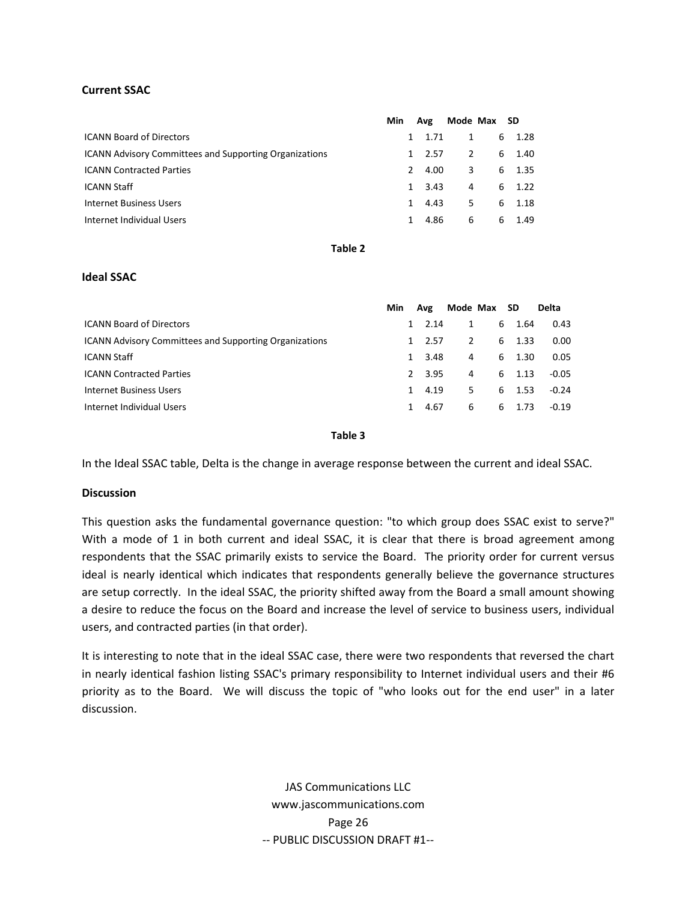#### **Current SSAC**

|                                                               | Min | Avg                   |    | Mode Max SD |          |
|---------------------------------------------------------------|-----|-----------------------|----|-------------|----------|
| <b>ICANN Board of Directors</b>                               |     | 1.71                  | 1  |             | 6 1.28   |
| <b>ICANN Advisory Committees and Supporting Organizations</b> |     | 2.57<br>1             | 2  |             | 6 1.40   |
| <b>ICANN Contracted Parties</b>                               |     | 4.00<br>$\mathcal{L}$ | 3  |             | $6$ 1.35 |
| <b>ICANN Staff</b>                                            |     | 3.43<br>$\mathbf{1}$  | 4  |             | 6, 1.22  |
| <b>Internet Business Users</b>                                |     | 4.43<br>1             | 5. |             | 6 1.18   |
| Internet Individual Users                                     |     | 4.86<br>1             | 6  | 6           | 1.49     |
|                                                               |     |                       |    |             |          |

#### **Table 2**

#### **Ideal SSAC**

|                                                               | Min           | Avg  |    | Mode Max SD |           | <b>Delta</b> |
|---------------------------------------------------------------|---------------|------|----|-------------|-----------|--------------|
| <b>ICANN Board of Directors</b>                               | 1             | 2.14 | 1  | 6           | 1.64      | 0.43         |
| <b>ICANN Advisory Committees and Supporting Organizations</b> | 1             | 2.57 | 2  |             | 1.33<br>6 | 0.00         |
| <b>ICANN Staff</b>                                            | 1             | 3.48 | 4  |             | 1.30<br>6 | 0.05         |
| <b>ICANN Contracted Parties</b>                               | $\mathcal{L}$ | 3.95 | 4  |             | 6 1.13    | $-0.05$      |
| Internet Business Users                                       | 1             | 4.19 | 5. |             | 1.53<br>6 | $-0.24$      |
| Internet Individual Users                                     | $\mathbf{1}$  | 4.67 | 6  | 6           | 1.73      | $-0.19$      |
|                                                               |               |      |    |             |           |              |

**Table 3**

In the Ideal SSAC table, Delta is the change in average response between the current and ideal SSAC.

#### **Discussion**

This question asks the fundamental governance question: "to which group does SSAC exist to serve?" With a mode of 1 in both current and ideal SSAC, it is clear that there is broad agreement among respondents that the SSAC primarily exists to service the Board. The priority order for current versus ideal is nearly identical which indicates that respondents generally believe the governance structures are setup correctly. In the ideal SSAC, the priority shifted away from the Board a small amount showing a desire to reduce the focus on the Board and increase the level of service to business users, individual users, and contracted parties (in that order).

It is interesting to note that in the ideal SSAC case, there were two respondents that reversed the chart in nearly identical fashion listing SSAC's primary responsibility to Internet individual users and their #6 priority as to the Board. We will discuss the topic of "who looks out for the end user" in a later discussion.

> JAS Communications LLC www.jascommunications.com Page 26 ‐‐ PUBLIC DISCUSSION DRAFT #1‐‐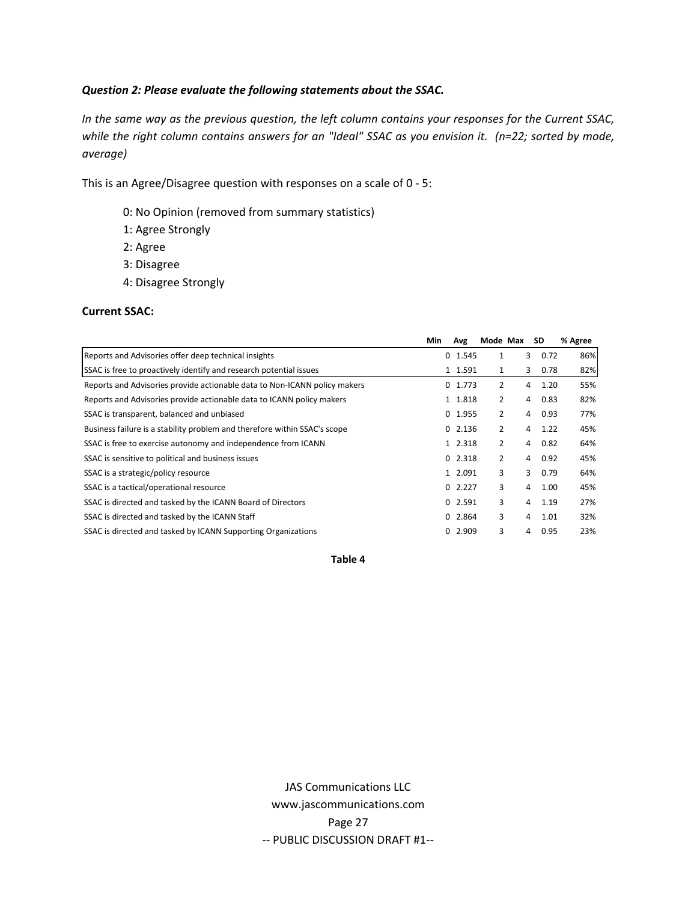#### *Question 2: Please evaluate the following statements about the SSAC.*

In the same way as the previous question, the left column contains your responses for the Current SSAC, while the right column contains answers for an "Ideal" SSAC as you envision it. (n=22; sorted by mode, *average)*

This is an Agree/Disagree question with responses on a scale of 0 ‐ 5:

- 0: No Opinion (removed from summary statistics)
- 1: Agree Strongly
- 2: Agree
- 3: Disagree
- 4: Disagree Strongly

#### **Current SSAC:**

|                                                                           | Min | Avg         | Mode Max |   | SD        | % Agree |
|---------------------------------------------------------------------------|-----|-------------|----------|---|-----------|---------|
| Reports and Advisories offer deep technical insights                      |     | $0$ 1.545   | 1        |   | 3<br>0.72 | 86%     |
| SSAC is free to proactively identify and research potential issues        |     | 1 1.591     | 1        | 3 | 0.78      | 82%     |
| Reports and Advisories provide actionable data to Non-ICANN policy makers |     | $0 \t1.773$ | 2        | 4 | 1.20      | 55%     |
| Reports and Advisories provide actionable data to ICANN policy makers     |     | 1 1.818     | 2        | 4 | 0.83      | 82%     |
| SSAC is transparent, balanced and unbiased                                |     | $0$ 1.955   | 2        | 4 | 0.93      | 77%     |
| Business failure is a stability problem and therefore within SSAC's scope |     | 02.136      | 2        | 4 | 1.22      | 45%     |
| SSAC is free to exercise autonomy and independence from ICANN             |     | 1 2.318     | 2        | 4 | 0.82      | 64%     |
| SSAC is sensitive to political and business issues                        |     | 02.318      | 2        | 4 | 0.92      | 45%     |
| SSAC is a strategic/policy resource                                       |     | 1 2.091     | 3        | 3 | 0.79      | 64%     |
| SSAC is a tactical/operational resource                                   |     | 02.227      | 3        | 4 | 1.00      | 45%     |
| SSAC is directed and tasked by the ICANN Board of Directors               |     | 02.591      | 3        | 4 | 1.19      | 27%     |
| SSAC is directed and tasked by the ICANN Staff                            |     | 02.864      | 3        | 4 | 1.01      | 32%     |
| SSAC is directed and tasked by ICANN Supporting Organizations             |     | 0, 2.909    | 3        | 4 | 0.95      | 23%     |

**Table 4**

JAS Communications LLC www.jascommunications.com Page 27 ‐‐ PUBLIC DISCUSSION DRAFT #1‐‐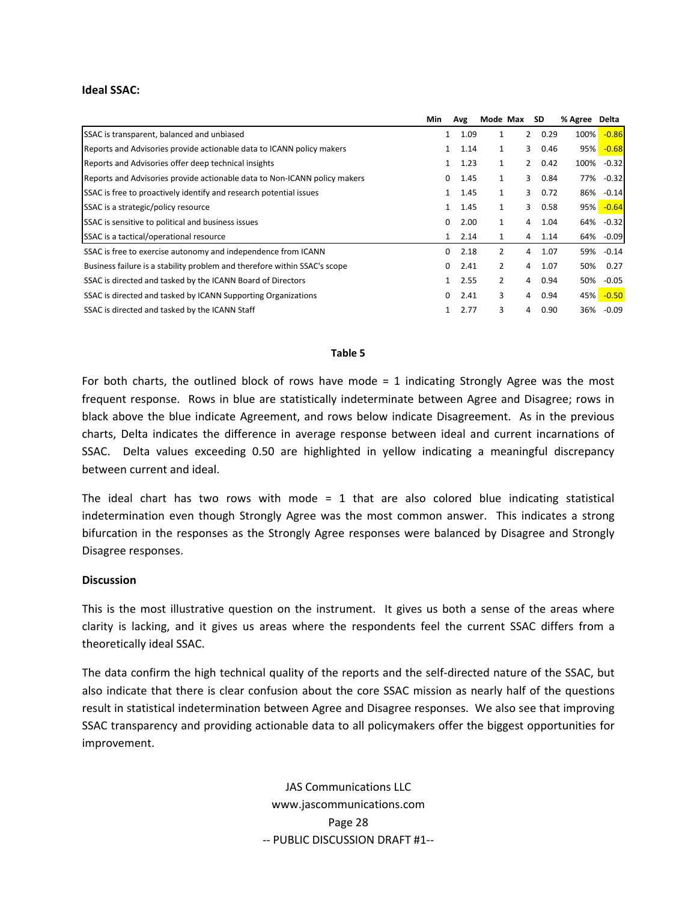#### **Ideal SSAC:**

|                                                                           | Min          | Avg  | Mode Max       |                | <b>SD</b> | % Agree Delta |              |
|---------------------------------------------------------------------------|--------------|------|----------------|----------------|-----------|---------------|--------------|
| SSAC is transparent, balanced and unbiased                                |              | 1.09 | 1              |                | 20.29     | 100%          | $-0.86$      |
| Reports and Advisories provide actionable data to ICANN policy makers     | 1            | 1.14 | 1              | 3              | 0.46      | 95%           | $-0.68$      |
| Reports and Advisories offer deep technical insights                      |              | 1.23 | 1              | $\overline{2}$ | 0.42      | 100%          | $-0.32$      |
| Reports and Advisories provide actionable data to Non-ICANN policy makers | 0            | 1.45 | 1              | 3              | 0.84      | 77%           | $-0.32$      |
| SSAC is free to proactively identify and research potential issues        |              | 1.45 | 1              | 3              | 0.72      | 86%           | $-0.14$      |
| SSAC is a strategic/policy resource                                       | 1            | 1.45 | $\mathbf{1}$   | 3              | 0.58      |               | $95\% -0.64$ |
| SSAC is sensitive to political and business issues                        | 0            | 2.00 | 1              | 4              | 1.04      | 64%           | $-0.32$      |
| SSAC is a tactical/operational resource                                   | 1            | 2.14 | 1              | 4              | 1.14      |               | 64% -0.09    |
| SSAC is free to exercise autonomy and independence from ICANN             | 0            | 2.18 | $\overline{2}$ | 4              | 1.07      |               | 59% -0.14    |
| Business failure is a stability problem and therefore within SSAC's scope | 0            | 2.41 | 2              | 4              | 1.07      | 50%           | 0.27         |
| SSAC is directed and tasked by the ICANN Board of Directors               | $\mathbf{1}$ | 2.55 | $\overline{2}$ | 4              | 0.94      |               | 50% -0.05    |
| SSAC is directed and tasked by ICANN Supporting Organizations             | 0            | 2.41 | 3              | 4              | 0.94      |               | 45% - 0.50   |
| SSAC is directed and tasked by the ICANN Staff                            |              | 2.77 | 3              | 4              | 0.90      |               | 36% -0.09    |

#### **Table 5**

For both charts, the outlined block of rows have mode = 1 indicating Strongly Agree was the most frequent response. Rows in blue are statistically indeterminate between Agree and Disagree; rows in black above the blue indicate Agreement, and rows below indicate Disagreement. As in the previous charts, Delta indicates the difference in average response between ideal and current incarnations of SSAC. Delta values exceeding 0.50 are highlighted in yellow indicating a meaningful discrepancy between current and ideal.

The ideal chart has two rows with mode  $= 1$  that are also colored blue indicating statistical indetermination even though Strongly Agree was the most common answer. This indicates a strong bifurcation in the responses as the Strongly Agree responses were balanced by Disagree and Strongly Disagree responses.

#### **Discussion**

This is the most illustrative question on the instrument. It gives us both a sense of the areas where clarity is lacking, and it gives us areas where the respondents feel the current SSAC differs from a theoretically ideal SSAC.

The data confirm the high technical quality of the reports and the self‐directed nature of the SSAC, but also indicate that there is clear confusion about the core SSAC mission as nearly half of the questions result in statistical indetermination between Agree and Disagree responses. We also see that improving SSAC transparency and providing actionable data to all policymakers offer the biggest opportunities for improvement.

> JAS Communications LLC www.jascommunications.com Page 28 ‐‐ PUBLIC DISCUSSION DRAFT #1‐‐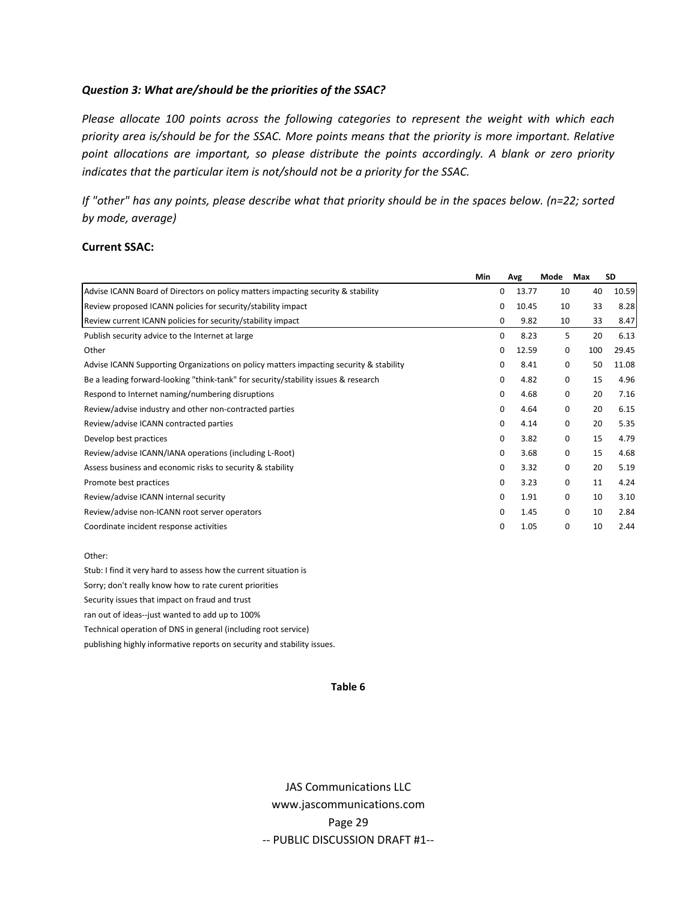#### *Question 3: What are/should be the priorities of the SSAC?*

*Please allocate 100 points across the following categories to represent the weight with which each priority area is/should be for the SSAC. More points means that the priority is more important. Relative point allocations are important, so please distribute the points accordingly. A blank or zero priority indicates that the particular item is not/should not be a priority for the SSAC.*

If "other" has any points, please describe what that priority should be in the spaces below. (n=22; sorted *by mode, average)*

#### **Current SSAC:**

|                                                                                        | Min |             | Avg   | Mode        | Max | SD    |
|----------------------------------------------------------------------------------------|-----|-------------|-------|-------------|-----|-------|
| Advise ICANN Board of Directors on policy matters impacting security & stability       |     | 0           | 13.77 | 10          | 40  | 10.59 |
| Review proposed ICANN policies for security/stability impact                           |     | 0           | 10.45 | 10          | 33  | 8.28  |
| Review current ICANN policies for security/stability impact                            |     | 0           | 9.82  | 10          | 33  | 8.47  |
| Publish security advice to the Internet at large                                       |     | 0           | 8.23  | 5           | 20  | 6.13  |
| Other                                                                                  |     | $\mathbf 0$ | 12.59 | 0           | 100 | 29.45 |
| Advise ICANN Supporting Organizations on policy matters impacting security & stability |     | 0           | 8.41  | $\mathbf 0$ | 50  | 11.08 |
| Be a leading forward-looking "think-tank" for security/stability issues & research     |     | $\mathbf 0$ | 4.82  | $\mathbf 0$ | 15  | 4.96  |
| Respond to Internet naming/numbering disruptions                                       |     | $\mathbf 0$ | 4.68  | $\mathbf 0$ | 20  | 7.16  |
| Review/advise industry and other non-contracted parties                                |     | 0           | 4.64  | 0           | 20  | 6.15  |
| Review/advise ICANN contracted parties                                                 |     | 0           | 4.14  | $\mathbf 0$ | 20  | 5.35  |
| Develop best practices                                                                 |     | 0           | 3.82  | 0           | 15  | 4.79  |
| Review/advise ICANN/IANA operations (including L-Root)                                 |     | 0           | 3.68  | $\mathbf 0$ | 15  | 4.68  |
| Assess business and economic risks to security & stability                             |     | 0           | 3.32  | 0           | 20  | 5.19  |
| Promote best practices                                                                 |     | $\mathbf 0$ | 3.23  | $\mathbf 0$ | 11  | 4.24  |
| Review/advise ICANN internal security                                                  |     | 0           | 1.91  | 0           | 10  | 3.10  |
| Review/advise non-ICANN root server operators                                          |     | 0           | 1.45  | 0           | 10  | 2.84  |
| Coordinate incident response activities                                                |     | 0           | 1.05  | $\mathbf 0$ | 10  | 2.44  |

Other:

Stub: I find it very hard to assess how the current situation is Sorry; don't really know how to rate curent priorities Security issues that impact on fraud and trust ran out of ideas‐‐just wanted to add up to 100% Technical operation of DNS in general (including root service) publishing highly informative reports on security and stability issues.

#### **Table 6**

JAS Communications LLC www.jascommunications.com Page 29 ‐‐ PUBLIC DISCUSSION DRAFT #1‐‐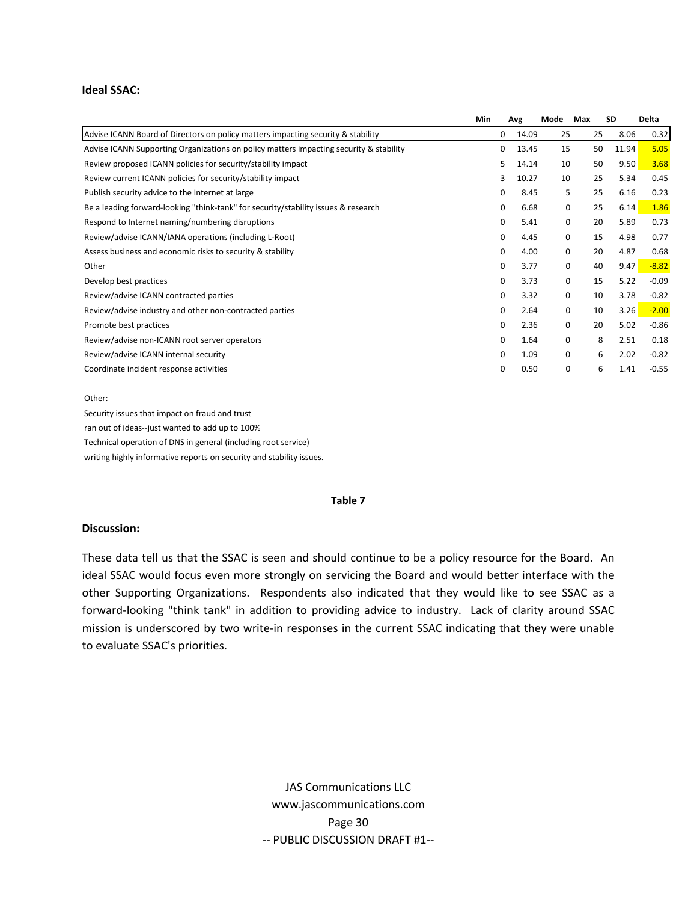#### **Ideal SSAC:**

|                                                                                        | Min |             | Avg   | Mode        | Max | <b>SD</b> | Delta   |
|----------------------------------------------------------------------------------------|-----|-------------|-------|-------------|-----|-----------|---------|
| Advise ICANN Board of Directors on policy matters impacting security & stability       |     | 0           | 14.09 | 25          | 25  | 8.06      | 0.32    |
| Advise ICANN Supporting Organizations on policy matters impacting security & stability |     | 0           | 13.45 | 15          | 50  | 11.94     | 5.05    |
| Review proposed ICANN policies for security/stability impact                           |     | 5           | 14.14 | 10          | 50  | 9.50      | 3.68    |
| Review current ICANN policies for security/stability impact                            |     | 3           | 10.27 | 10          | 25  | 5.34      | 0.45    |
| Publish security advice to the Internet at large                                       |     | 0           | 8.45  | 5           | 25  | 6.16      | 0.23    |
| Be a leading forward-looking "think-tank" for security/stability issues & research     |     | 0           | 6.68  | $\mathbf 0$ | 25  | 6.14      | 1.86    |
| Respond to Internet naming/numbering disruptions                                       |     | 0           | 5.41  | 0           | 20  | 5.89      | 0.73    |
| Review/advise ICANN/IANA operations (including L-Root)                                 |     | 0           | 4.45  | 0           | 15  | 4.98      | 0.77    |
| Assess business and economic risks to security & stability                             |     | 0           | 4.00  | 0           | 20  | 4.87      | 0.68    |
| Other                                                                                  |     | 0           | 3.77  | 0           | 40  | 9.47      | $-8.82$ |
| Develop best practices                                                                 |     | $\Omega$    | 3.73  | 0           | 15  | 5.22      | $-0.09$ |
| Review/advise ICANN contracted parties                                                 |     | $\Omega$    | 3.32  | 0           | 10  | 3.78      | $-0.82$ |
| Review/advise industry and other non-contracted parties                                |     | $\Omega$    | 2.64  | 0           | 10  | 3.26      | $-2.00$ |
| Promote best practices                                                                 |     | $\mathbf 0$ | 2.36  | 0           | 20  | 5.02      | $-0.86$ |
| Review/advise non-ICANN root server operators                                          |     | $\Omega$    | 1.64  | 0           |     | 8<br>2.51 | 0.18    |
| Review/advise ICANN internal security                                                  |     | $\Omega$    | 1.09  | 0           |     | 6<br>2.02 | $-0.82$ |
| Coordinate incident response activities                                                |     | 0           | 0.50  | 0           |     | 6<br>1.41 | $-0.55$ |
|                                                                                        |     |             |       |             |     |           |         |

#### Other:

Security issues that impact on fraud and trust ran out of ideas‐‐just wanted to add up to 100% Technical operation of DNS in general (including root service) writing highly informative reports on security and stability issues.

#### **Table 7**

#### **Discussion:**

These data tell us that the SSAC is seen and should continue to be a policy resource for the Board. An ideal SSAC would focus even more strongly on servicing the Board and would better interface with the other Supporting Organizations. Respondents also indicated that they would like to see SSAC as a forward-looking "think tank" in addition to providing advice to industry. Lack of clarity around SSAC mission is underscored by two write‐in responses in the current SSAC indicating that they were unable to evaluate SSAC's priorities.

> JAS Communications LLC www.jascommunications.com Page 30 ‐‐ PUBLIC DISCUSSION DRAFT #1‐‐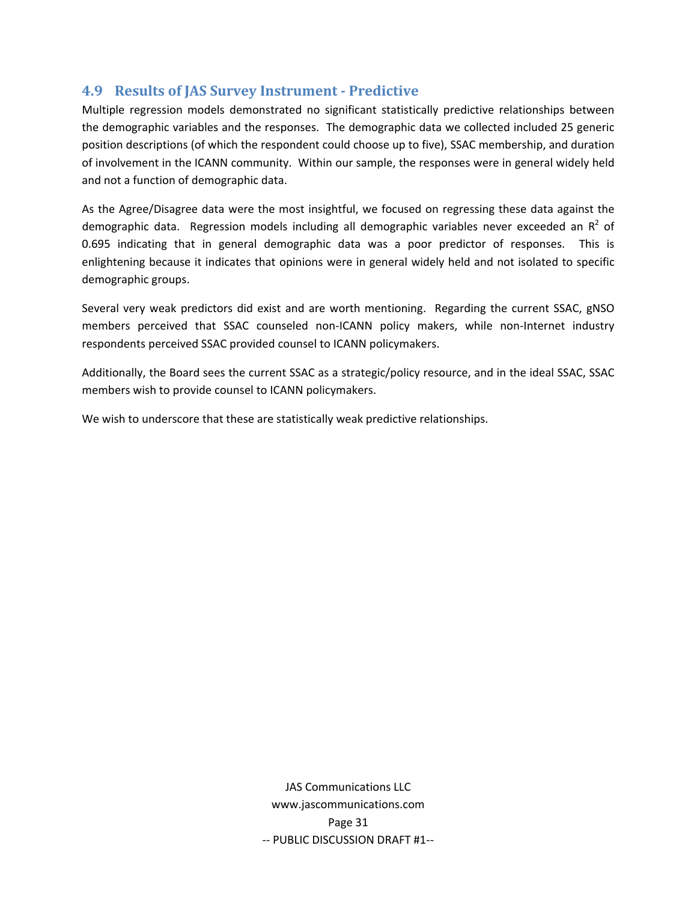## <span id="page-32-0"></span>**4.9 Results of JAS Survey Instrument Predictive**

Multiple regression models demonstrated no significant statistically predictive relationships between the demographic variables and the responses. The demographic data we collected included 25 generic position descriptions (of which the respondent could choose up to five), SSAC membership, and duration of involvement in the ICANN community. Within our sample, the responses were in general widely held and not a function of demographic data.

As the Agree/Disagree data were the most insightful, we focused on regressing these data against the demographic data. Regression models including all demographic variables never exceeded an  $R^2$  of 0.695 indicating that in general demographic data was a poor predictor of responses. This is enlightening because it indicates that opinions were in general widely held and not isolated to specific demographic groups.

Several very weak predictors did exist and are worth mentioning. Regarding the current SSAC, gNSO members perceived that SSAC counseled non-ICANN policy makers, while non-Internet industry respondents perceived SSAC provided counsel to ICANN policymakers.

Additionally, the Board sees the current SSAC as a strategic/policy resource, and in the ideal SSAC, SSAC members wish to provide counsel to ICANN policymakers.

We wish to underscore that these are statistically weak predictive relationships.

JAS Communications LLC www.jascommunications.com Page 31 ‐‐ PUBLIC DISCUSSION DRAFT #1‐‐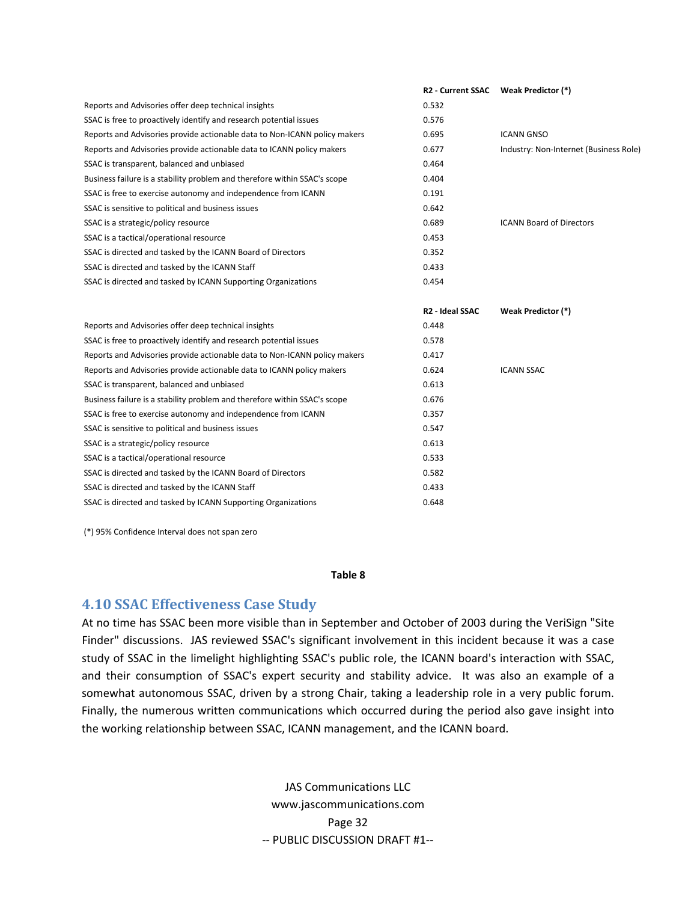<span id="page-33-0"></span>

|                                                                           | R2 - Current SSAC Weak Predictor (*) |                                        |
|---------------------------------------------------------------------------|--------------------------------------|----------------------------------------|
| Reports and Advisories offer deep technical insights                      | 0.532                                |                                        |
| SSAC is free to proactively identify and research potential issues        | 0.576                                |                                        |
| Reports and Advisories provide actionable data to Non-ICANN policy makers | 0.695                                | <b>ICANN GNSO</b>                      |
| Reports and Advisories provide actionable data to ICANN policy makers     | 0.677                                | Industry: Non-Internet (Business Role) |
| SSAC is transparent, balanced and unbiased                                | 0.464                                |                                        |
| Business failure is a stability problem and therefore within SSAC's scope | 0.404                                |                                        |
| SSAC is free to exercise autonomy and independence from ICANN             | 0.191                                |                                        |
| SSAC is sensitive to political and business issues                        | 0.642                                |                                        |
| SSAC is a strategic/policy resource                                       | 0.689                                | <b>ICANN Board of Directors</b>        |
| SSAC is a tactical/operational resource                                   | 0.453                                |                                        |
| SSAC is directed and tasked by the ICANN Board of Directors               | 0.352                                |                                        |
| SSAC is directed and tasked by the ICANN Staff                            | 0.433                                |                                        |
| SSAC is directed and tasked by ICANN Supporting Organizations             | 0.454                                |                                        |
|                                                                           | <b>R2 - Ideal SSAC</b>               | Weak Predictor (*)                     |
| Reports and Advisories offer deep technical insights                      | 0.448                                |                                        |
| SSAC is free to proactively identify and research potential issues        | 0.578                                |                                        |
| Reports and Advisories provide actionable data to Non-ICANN policy makers | 0.417                                |                                        |
| Reports and Advisories provide actionable data to ICANN policy makers     | 0.624                                | <b>ICANN SSAC</b>                      |
| SSAC is transparent, balanced and unbiased                                | 0.613                                |                                        |
| Business failure is a stability problem and therefore within SSAC's scope | 0.676                                |                                        |
| SSAC is free to exercise autonomy and independence from ICANN             | 0.357                                |                                        |
| SSAC is sensitive to political and business issues                        | 0.547                                |                                        |
| SSAC is a strategic/policy resource                                       | 0.613                                |                                        |
| SSAC is a tactical/operational resource                                   | 0.533                                |                                        |
| SSAC is directed and tasked by the ICANN Board of Directors               | 0.582                                |                                        |
| SSAC is directed and tasked by the ICANN Staff                            | 0.433                                |                                        |
| SSAC is directed and tasked by ICANN Supporting Organizations             | 0.648                                |                                        |

(\*) 95% Confidence Interval does not span zero

#### **Table 8**

### **4.10 SSAC Effectiveness Case Study**

At no time has SSAC been more visible than in September and October of 2003 during the VeriSign "Site Finder" discussions. JAS reviewed SSAC's significant involvement in this incident because it was a case study of SSAC in the limelight highlighting SSAC's public role, the ICANN board's interaction with SSAC, and their consumption of SSAC's expert security and stability advice. It was also an example of a somewhat autonomous SSAC, driven by a strong Chair, taking a leadership role in a very public forum. Finally, the numerous written communications which occurred during the period also gave insight into the working relationship between SSAC, ICANN management, and the ICANN board.

> JAS Communications LLC www.jascommunications.com Page 32 ‐‐ PUBLIC DISCUSSION DRAFT #1‐‐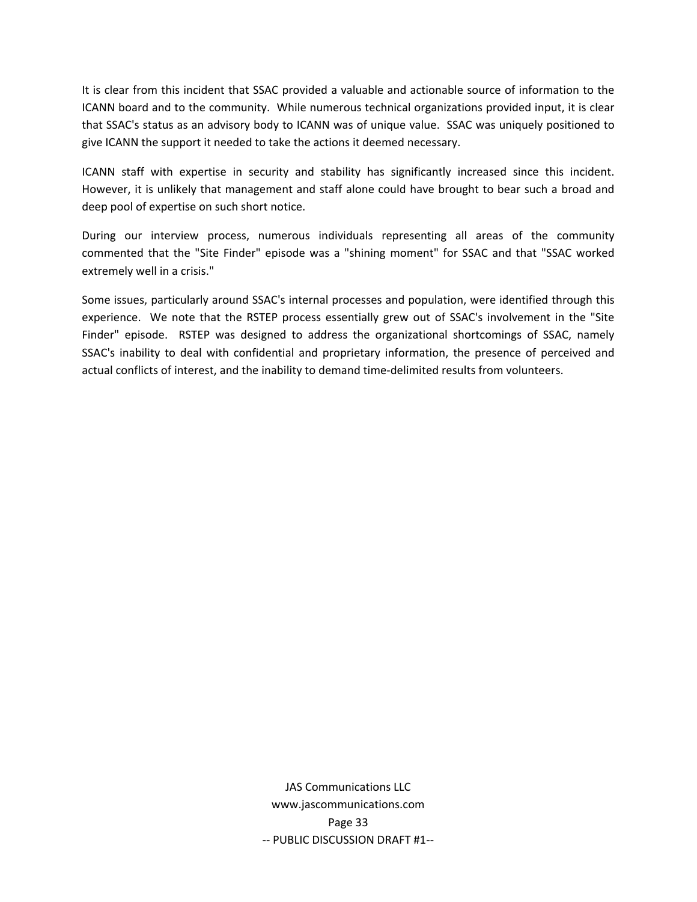It is clear from this incident that SSAC provided a valuable and actionable source of information to the ICANN board and to the community. While numerous technical organizations provided input, it is clear that SSAC's status as an advisory body to ICANN was of unique value. SSAC was uniquely positioned to give ICANN the support it needed to take the actions it deemed necessary.

ICANN staff with expertise in security and stability has significantly increased since this incident. However, it is unlikely that management and staff alone could have brought to bear such a broad and deep pool of expertise on such short notice.

During our interview process, numerous individuals representing all areas of the community commented that the "Site Finder" episode was a "shining moment" for SSAC and that "SSAC worked extremely well in a crisis."

Some issues, particularly around SSAC's internal processes and population, were identified through this experience. We note that the RSTEP process essentially grew out of SSAC's involvement in the "Site Finder" episode. RSTEP was designed to address the organizational shortcomings of SSAC, namely SSAC's inability to deal with confidential and proprietary information, the presence of perceived and actual conflicts of interest, and the inability to demand time‐delimited results from volunteers.

> JAS Communications LLC www.jascommunications.com Page 33 ‐‐ PUBLIC DISCUSSION DRAFT #1‐‐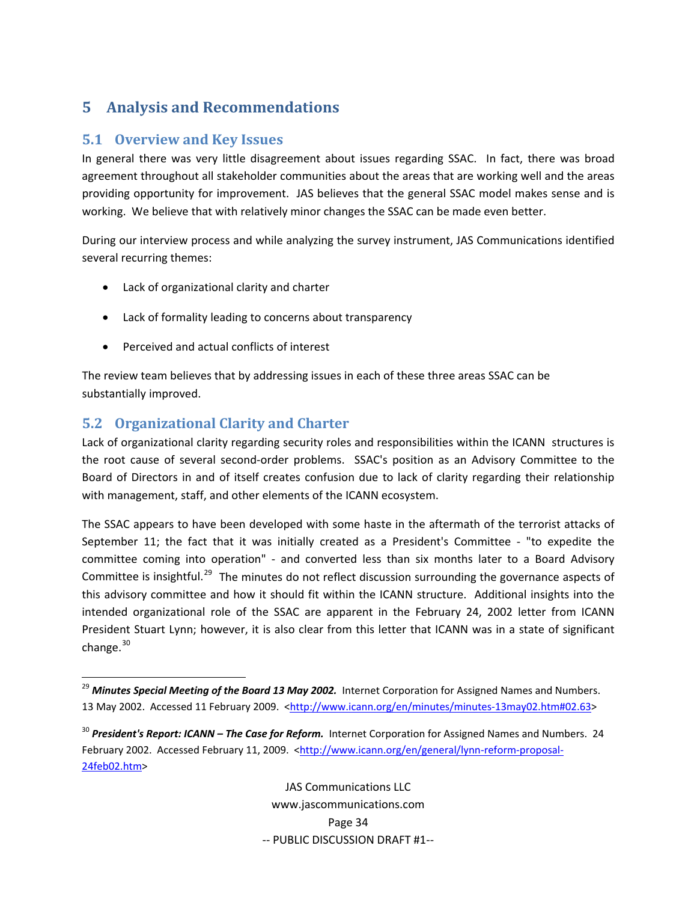# <span id="page-35-0"></span>**5 Analysis and Recommendations**

# **5.1 Overview and Key Issues**

In general there was very little disagreement about issues regarding SSAC. In fact, there was broad agreement throughout all stakeholder communities about the areas that are working well and the areas providing opportunity for improvement. JAS believes that the general SSAC model makes sense and is working. We believe that with relatively minor changes the SSAC can be made even better.

During our interview process and while analyzing the survey instrument, JAS Communications identified several recurring themes:

- Lack of organizational clarity and charter
- Lack of formality leading to concerns about transparency
- Perceived and actual conflicts of interest

The review team believes that by addressing issues in each of these three areas SSAC can be substantially improved.

# **5.2 Organizational Clarity and Charter**

Lack of organizational clarity regarding security roles and responsibilities within the ICANN structures is the root cause of several second‐order problems. SSAC's position as an Advisory Committee to the Board of Directors in and of itself creates confusion due to lack of clarity regarding their relationship with management, staff, and other elements of the ICANN ecosystem.

The SSAC appears to have been developed with some haste in the aftermath of the terrorist attacks of September 11; the fact that it was initially created as a President's Committee - "to expedite the committee coming into operation" - and converted less than six months later to a Board Advisory Committee is insightful.<sup>[29](#page-35-1)</sup> The minutes do not reflect discussion surrounding the governance aspects of this advisory committee and how it should fit within the ICANN structure. Additional insights into the intended organizational role of the SSAC are apparent in the February 24, 2002 letter from ICANN President Stuart Lynn; however, it is also clear from this letter that ICANN was in a state of significant change. $30$ 

JAS Communications LLC www.jascommunications.com Page 34 ‐‐ PUBLIC DISCUSSION DRAFT #1‐‐

<span id="page-35-1"></span><sup>29</sup> *Minutes Special Meeting of the Board 13 May 2002.* Internet Corporation for Assigned Names and Numbers. 13 May 2002. Accessed 11 February 2009. <[http://www.icann.org/en/minutes/minutes](http://www.icann.org/en/minutes/minutes-13may02.htm#02.63)-13may02.htm#02.63>

<span id="page-35-2"></span><sup>30</sup> *President's Report: ICANN – The Case for Reform.* Internet Corporation for Assigned Names and Numbers. 24 February 2002. Accessed February 11, 2009. [<http://www.icann.org/en/general/lynn](http://www.icann.org/en/general/lynn-reform-proposal-24feb02.htm)-reform-proposal-[24feb02.htm>](http://www.icann.org/en/general/lynn-reform-proposal-24feb02.htm)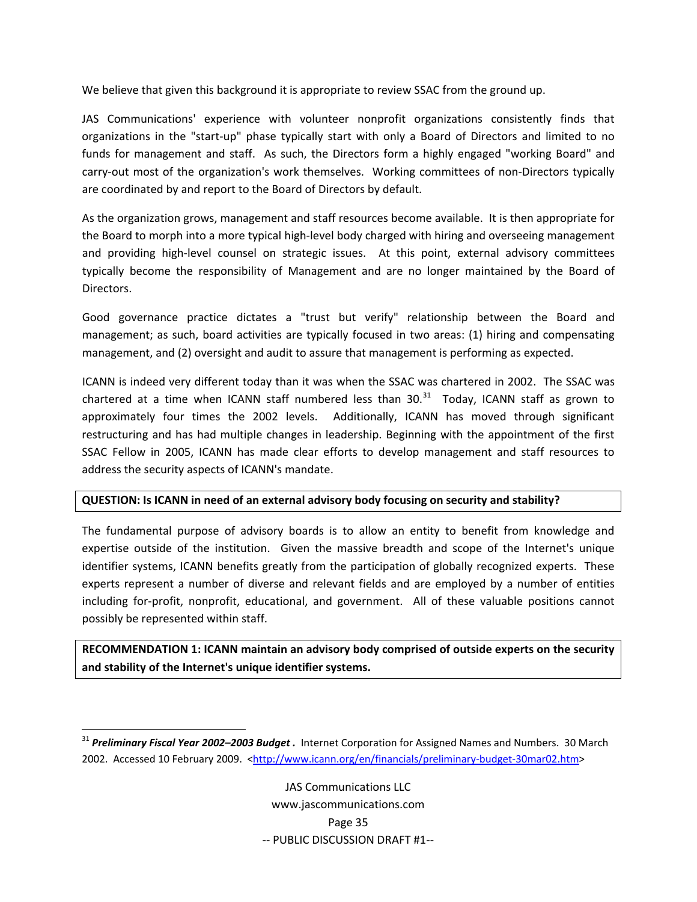We believe that given this background it is appropriate to review SSAC from the ground up.

JAS Communications' experience with volunteer nonprofit organizations consistently finds that organizations in the "start‐up" phase typically start with only a Board of Directors and limited to no funds for management and staff. As such, the Directors form a highly engaged "working Board" and carry-out most of the organization's work themselves. Working committees of non-Directors typically are coordinated by and report to the Board of Directors by default.

As the organization grows, management and staff resources become available. It is then appropriate for the Board to morph into a more typical high-level body charged with hiring and overseeing management and providing high-level counsel on strategic issues. At this point, external advisory committees typically become the responsibility of Management and are no longer maintained by the Board of Directors.

Good governance practice dictates a "trust but verify" relationship between the Board and management; as such, board activities are typically focused in two areas: (1) hiring and compensating management, and (2) oversight and audit to assure that management is performing as expected.

ICANN is indeed very different today than it was when the SSAC was chartered in 2002. The SSAC was chartered at a time when ICANN staff numbered less than  $30.^{31}$  $30.^{31}$  $30.^{31}$  Today, ICANN staff as grown to approximately four times the 2002 levels. Additionally, ICANN has moved through significant restructuring and has had multiple changes in leadership. Beginning with the appointment of the first SSAC Fellow in 2005, ICANN has made clear efforts to develop management and staff resources to address the security aspects of ICANN's mandate.

#### **QUESTION: Is ICANN in need of an external advisory body focusing on security and stability?**

The fundamental purpose of advisory boards is to allow an entity to benefit from knowledge and expertise outside of the institution. Given the massive breadth and scope of the Internet's unique identifier systems, ICANN benefits greatly from the participation of globally recognized experts. These experts represent a number of diverse and relevant fields and are employed by a number of entities including for-profit, nonprofit, educational, and government. All of these valuable positions cannot possibly be represented within staff.

**RECOMMENDATION 1: ICANN maintain an advisory body comprised of outside experts on the security and stability of the Internet's unique identifier systems.**

<span id="page-36-0"></span><sup>31</sup> *Preliminary Fiscal Year 2002–2003 Budget .* Internet Corporation for Assigned Names and Numbers. 30 March 2002. Accessed 10 February 2009. [<http://www.icann.org/en/financials/preliminary](http://www.icann.org/en/financials/preliminary-budget-30mar02.htm)-budget-30mar02.htm>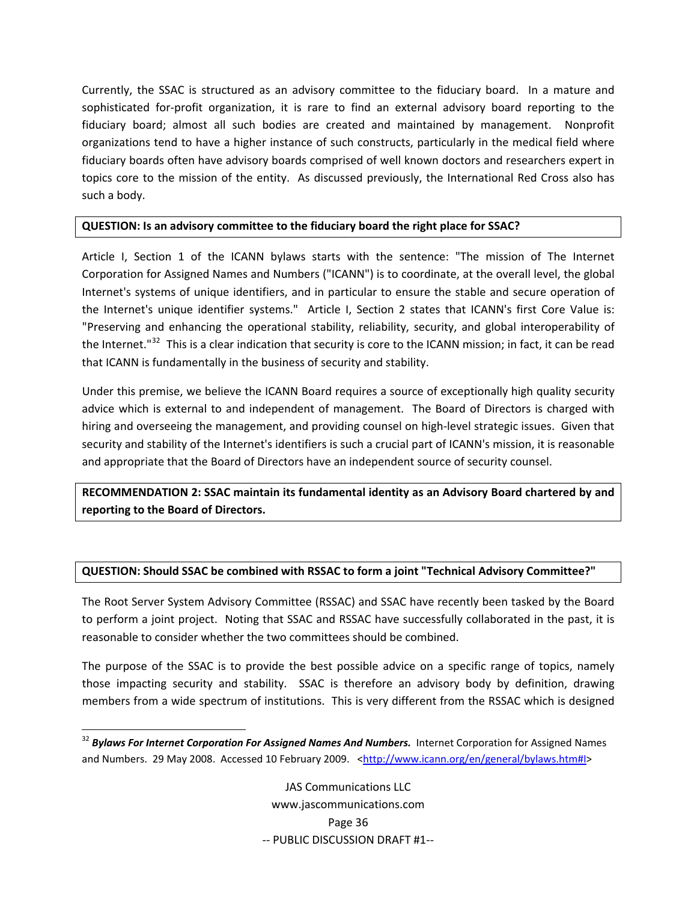Currently, the SSAC is structured as an advisory committee to the fiduciary board. In a mature and sophisticated for‐profit organization, it is rare to find an external advisory board reporting to the fiduciary board; almost all such bodies are created and maintained by management. Nonprofit organizations tend to have a higher instance of such constructs, particularly in the medical field where fiduciary boards often have advisory boards comprised of well known doctors and researchers expert in topics core to the mission of the entity. As discussed previously, the International Red Cross also has such a body.

#### **QUESTION: Is an advisory committee to the fiduciary board the right place for SSAC?**

Article I, Section 1 of the ICANN bylaws starts with the sentence: "The mission of The Internet Corporation for Assigned Names and Numbers ("ICANN") is to coordinate, at the overall level, the global Internet's systems of unique identifiers, and in particular to ensure the stable and secure operation of the Internet's unique identifier systems." Article I, Section 2 states that ICANN's first Core Value is: "Preserving and enhancing the operational stability, reliability, security, and global interoperability of the Internet."<sup>[32](#page-37-0)</sup> This is a clear indication that security is core to the ICANN mission; in fact, it can be read that ICANN is fundamentally in the business of security and stability.

Under this premise, we believe the ICANN Board requires a source of exceptionally high quality security advice which is external to and independent of management. The Board of Directors is charged with hiring and overseeing the management, and providing counsel on high-level strategic issues. Given that security and stability of the Internet's identifiers is such a crucial part of ICANN's mission, it is reasonable and appropriate that the Board of Directors have an independent source of security counsel.

**RECOMMENDATION 2: SSAC maintain its fundamental identity as an Advisory Board chartered by and reporting to the Board of Directors.**

### **QUESTION: Should SSAC be combined with RSSAC to form a joint "Technical Advisory Committee?"**

The Root Server System Advisory Committee (RSSAC) and SSAC have recently been tasked by the Board to perform a joint project. Noting that SSAC and RSSAC have successfully collaborated in the past, it is reasonable to consider whether the two committees should be combined.

The purpose of the SSAC is to provide the best possible advice on a specific range of topics, namely those impacting security and stability. SSAC is therefore an advisory body by definition, drawing members from a wide spectrum of institutions. This is very different from the RSSAC which is designed

<span id="page-37-0"></span> <sup>32</sup> *Bylaws For Internet Corporation For Assigned Names And Numbers.* Internet Corporation for Assigned Names and Numbers. 29 May 2008. Accessed 10 February 2009. <[http://www.icann.org/en/general/bylaws.htm#I](http://www.icann.org/en/general/bylaws.htm%23I)>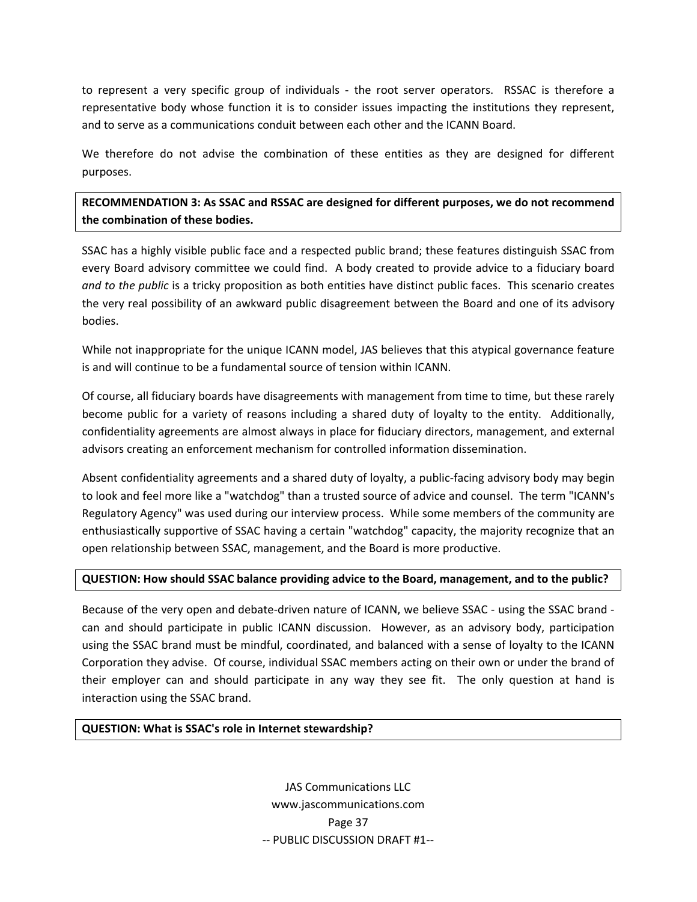to represent a very specific group of individuals - the root server operators. RSSAC is therefore a representative body whose function it is to consider issues impacting the institutions they represent, and to serve as a communications conduit between each other and the ICANN Board.

We therefore do not advise the combination of these entities as they are designed for different purposes.

**RECOMMENDATION 3: As SSAC and RSSAC are designed for different purposes, we do not recommend the combination of these bodies.**

SSAC has a highly visible public face and a respected public brand; these features distinguish SSAC from every Board advisory committee we could find. A body created to provide advice to a fiduciary board *and to the public* is a tricky proposition as both entities have distinct public faces. This scenario creates the very real possibility of an awkward public disagreement between the Board and one of its advisory bodies.

While not inappropriate for the unique ICANN model, JAS believes that this atypical governance feature is and will continue to be a fundamental source of tension within ICANN.

Of course, all fiduciary boards have disagreements with management from time to time, but these rarely become public for a variety of reasons including a shared duty of loyalty to the entity. Additionally, confidentiality agreements are almost always in place for fiduciary directors, management, and external advisors creating an enforcement mechanism for controlled information dissemination.

Absent confidentiality agreements and a shared duty of loyalty, a public‐facing advisory body may begin to look and feel more like a "watchdog" than a trusted source of advice and counsel. The term "ICANN's Regulatory Agency" was used during our interview process. While some members of the community are enthusiastically supportive of SSAC having a certain "watchdog" capacity, the majority recognize that an open relationship between SSAC, management, and the Board is more productive.

### **QUESTION: How should SSAC balance providing advice to the Board, management, and to the public?**

Because of the very open and debate-driven nature of ICANN, we believe SSAC - using the SSAC brand can and should participate in public ICANN discussion. However, as an advisory body, participation using the SSAC brand must be mindful, coordinated, and balanced with a sense of loyalty to the ICANN Corporation they advise. Of course, individual SSAC members acting on their own or under the brand of their employer can and should participate in any way they see fit. The only question at hand is interaction using the SSAC brand.

#### **QUESTION: What is SSAC's role in Internet stewardship?**

JAS Communications LLC www.jascommunications.com Page 37 ‐‐ PUBLIC DISCUSSION DRAFT #1‐‐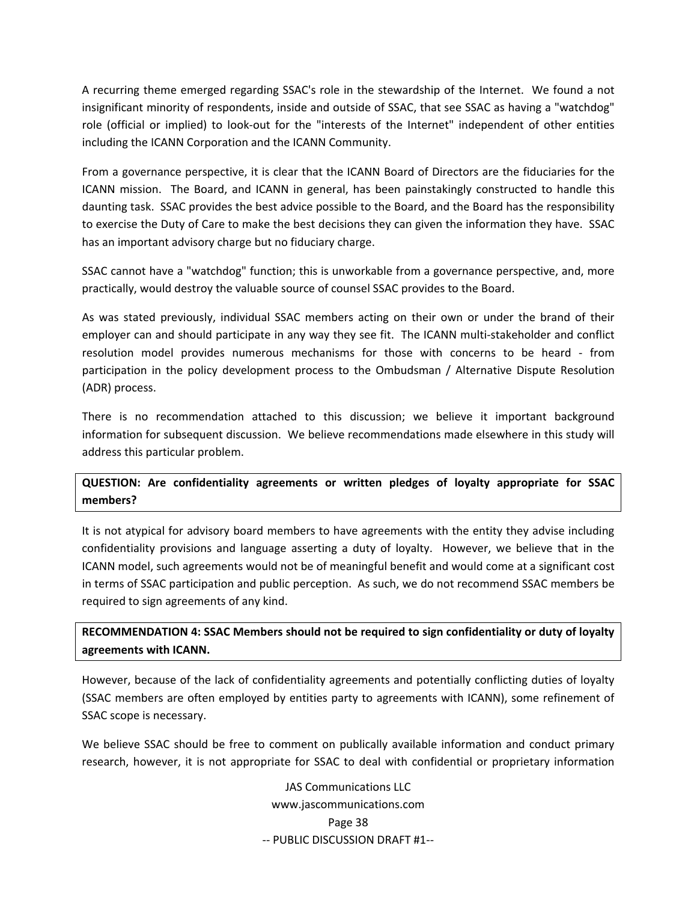A recurring theme emerged regarding SSAC's role in the stewardship of the Internet. We found a not insignificant minority of respondents, inside and outside of SSAC, that see SSAC as having a "watchdog" role (official or implied) to look‐out for the "interests of the Internet" independent of other entities including the ICANN Corporation and the ICANN Community.

From a governance perspective, it is clear that the ICANN Board of Directors are the fiduciaries for the ICANN mission. The Board, and ICANN in general, has been painstakingly constructed to handle this daunting task. SSAC provides the best advice possible to the Board, and the Board has the responsibility to exercise the Duty of Care to make the best decisions they can given the information they have. SSAC has an important advisory charge but no fiduciary charge.

SSAC cannot have a "watchdog" function; this is unworkable from a governance perspective, and, more practically, would destroy the valuable source of counsel SSAC provides to the Board.

As was stated previously, individual SSAC members acting on their own or under the brand of their employer can and should participate in any way they see fit. The ICANN multi-stakeholder and conflict resolution model provides numerous mechanisms for those with concerns to be heard - from participation in the policy development process to the Ombudsman / Alternative Dispute Resolution (ADR) process.

There is no recommendation attached to this discussion; we believe it important background information for subsequent discussion. We believe recommendations made elsewhere in this study will address this particular problem.

### **QUESTION: Are confidentiality agreements or written pledges of loyalty appropriate for SSAC members?**

It is not atypical for advisory board members to have agreements with the entity they advise including confidentiality provisions and language asserting a duty of loyalty. However, we believe that in the ICANN model, such agreements would not be of meaningful benefit and would come at a significant cost in terms of SSAC participation and public perception. As such, we do not recommend SSAC members be required to sign agreements of any kind.

**RECOMMENDATION 4: SSAC Members should not be required to sign confidentiality or duty of loyalty agreements with ICANN.**

However, because of the lack of confidentiality agreements and potentially conflicting duties of loyalty (SSAC members are often employed by entities party to agreements with ICANN), some refinement of SSAC scope is necessary.

We believe SSAC should be free to comment on publically available information and conduct primary research, however, it is not appropriate for SSAC to deal with confidential or proprietary information

> JAS Communications LLC www.jascommunications.com Page 38 ‐‐ PUBLIC DISCUSSION DRAFT #1‐‐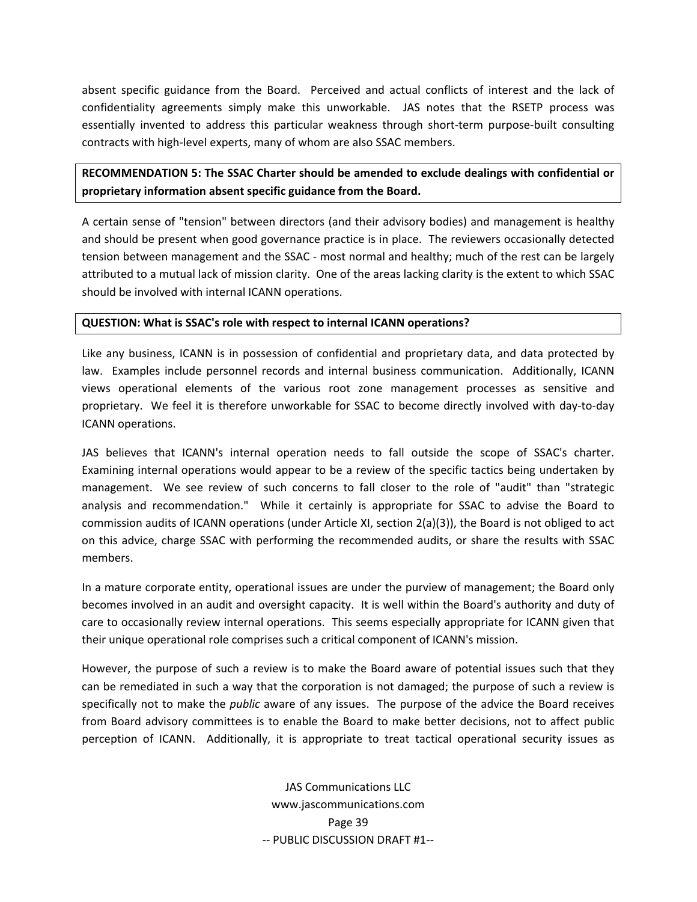absent specific guidance from the Board. Perceived and actual conflicts of interest and the lack of confidentiality agreements simply make this unworkable. JAS notes that the RSETP process was essentially invented to address this particular weakness through short-term purpose-built consulting contracts with high-level experts, many of whom are also SSAC members.

### **RECOMMENDATION 5: The SSAC Charter should be amended to exclude dealings with confidential or proprietary information absent specific guidance from the Board.**

A certain sense of "tension" between directors (and their advisory bodies) and management is healthy and should be present when good governance practice is in place. The reviewers occasionally detected tension between management and the SSAC ‐ most normal and healthy; much of the rest can be largely attributed to a mutual lack of mission clarity. One of the areas lacking clarity is the extent to which SSAC should be involved with internal ICANN operations.

#### **QUESTION: What is SSAC's role with respect to internal ICANN operations?**

Like any business, ICANN is in possession of confidential and proprietary data, and data protected by law. Examples include personnel records and internal business communication. Additionally, ICANN views operational elements of the various root zone management processes as sensitive and proprietary. We feel it is therefore unworkable for SSAC to become directly involved with day‐to‐day ICANN operations.

JAS believes that ICANN's internal operation needs to fall outside the scope of SSAC's charter. Examining internal operations would appear to be a review of the specific tactics being undertaken by management. We see review of such concerns to fall closer to the role of "audit" than "strategic analysis and recommendation." While it certainly is appropriate for SSAC to advise the Board to commission audits of ICANN operations (under Article XI, section 2(a)(3)), the Board is not obliged to act on this advice, charge SSAC with performing the recommended audits, or share the results with SSAC members.

In a mature corporate entity, operational issues are under the purview of management; the Board only becomes involved in an audit and oversight capacity. It is well within the Board's authority and duty of care to occasionally review internal operations. This seems especially appropriate for ICANN given that their unique operational role comprises such a critical component of ICANN's mission.

However, the purpose of such a review is to make the Board aware of potential issues such that they can be remediated in such a way that the corporation is not damaged; the purpose of such a review is specifically not to make the *public* aware of any issues. The purpose of the advice the Board receives from Board advisory committees is to enable the Board to make better decisions, not to affect public perception of ICANN. Additionally, it is appropriate to treat tactical operational security issues as

> JAS Communications LLC www.jascommunications.com Page 39 ‐‐ PUBLIC DISCUSSION DRAFT #1‐‐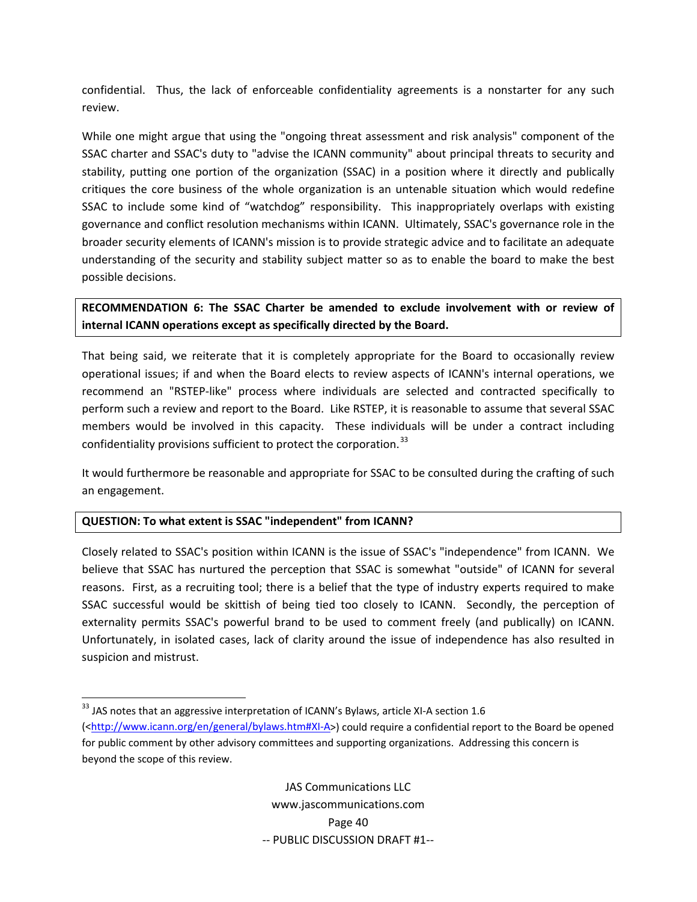confidential. Thus, the lack of enforceable confidentiality agreements is a nonstarter for any such review.

While one might argue that using the "ongoing threat assessment and risk analysis" component of the SSAC charter and SSAC's duty to "advise the ICANN community" about principal threats to security and stability, putting one portion of the organization (SSAC) in a position where it directly and publically critiques the core business of the whole organization is an untenable situation which would redefine SSAC to include some kind of "watchdog" responsibility. This inappropriately overlaps with existing governance and conflict resolution mechanisms within ICANN. Ultimately, SSAC's governance role in the broader security elements of ICANN's mission is to provide strategic advice and to facilitate an adequate understanding of the security and stability subject matter so as to enable the board to make the best possible decisions.

**RECOMMENDATION 6: The SSAC Charter be amended to exclude involvement with or review of internal ICANN operations except as specifically directed by the Board.**

That being said, we reiterate that it is completely appropriate for the Board to occasionally review operational issues; if and when the Board elects to review aspects of ICANN's internal operations, we recommend an "RSTEP‐like" process where individuals are selected and contracted specifically to perform such a review and report to the Board. Like RSTEP, it is reasonable to assume that several SSAC members would be involved in this capacity. These individuals will be under a contract including confidentiality provisions sufficient to protect the corporation.<sup>[33](#page-41-0)</sup>

It would furthermore be reasonable and appropriate for SSAC to be consulted during the crafting of such an engagement.

#### **QUESTION: To what extent is SSAC "independent" from ICANN?**

Closely related to SSAC's position within ICANN is the issue of SSAC's "independence" from ICANN. We believe that SSAC has nurtured the perception that SSAC is somewhat "outside" of ICANN for several reasons. First, as a recruiting tool; there is a belief that the type of industry experts required to make SSAC successful would be skittish of being tied too closely to ICANN. Secondly, the perception of externality permits SSAC's powerful brand to be used to comment freely (and publically) on ICANN. Unfortunately, in isolated cases, lack of clarity around the issue of independence has also resulted in suspicion and mistrust.

<span id="page-41-0"></span> $^{33}$  JAS notes that an aggressive interpretation of ICANN's Bylaws, article XI-A section 1.6 ([<http://www.icann.org/en/general/bylaws.htm#XI](http://www.icann.org/en/general/bylaws.htm%23XI-A)‐A>) could require a confidential report to the Board be opened for public comment by other advisory committees and supporting organizations. Addressing this concern is beyond the scope of this review.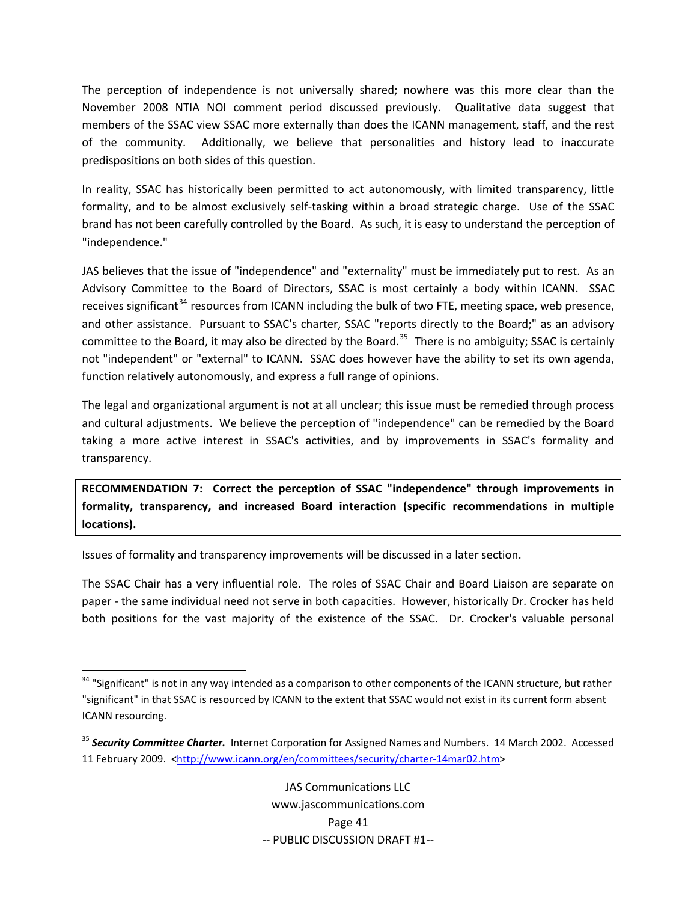The perception of independence is not universally shared; nowhere was this more clear than the November 2008 NTIA NOI comment period discussed previously. Qualitative data suggest that members of the SSAC view SSAC more externally than does the ICANN management, staff, and the rest of the community. Additionally, we believe that personalities and history lead to inaccurate predispositions on both sides of this question.

In reality, SSAC has historically been permitted to act autonomously, with limited transparency, little formality, and to be almost exclusively self-tasking within a broad strategic charge. Use of the SSAC brand has not been carefully controlled by the Board. As such, it is easy to understand the perception of "independence."

JAS believes that the issue of "independence" and "externality" must be immediately put to rest. As an Advisory Committee to the Board of Directors, SSAC is most certainly a body within ICANN. SSAC receives significant<sup>[34](#page-42-0)</sup> resources from ICANN including the bulk of two FTE, meeting space, web presence, and other assistance. Pursuant to SSAC's charter, SSAC "reports directly to the Board;" as an advisory committee to the Board, it may also be directed by the Board.<sup>[35](#page-42-1)</sup> There is no ambiguity; SSAC is certainly not "independent" or "external" to ICANN. SSAC does however have the ability to set its own agenda, function relatively autonomously, and express a full range of opinions.

The legal and organizational argument is not at all unclear; this issue must be remedied through process and cultural adjustments. We believe the perception of "independence" can be remedied by the Board taking a more active interest in SSAC's activities, and by improvements in SSAC's formality and transparency.

**RECOMMENDATION 7: Correct the perception of SSAC "independence" through improvements in formality, transparency, and increased Board interaction (specific recommendations in multiple locations).**

Issues of formality and transparency improvements will be discussed in a later section.

The SSAC Chair has a very influential role. The roles of SSAC Chair and Board Liaison are separate on paper - the same individual need not serve in both capacities. However, historically Dr. Crocker has held both positions for the vast majority of the existence of the SSAC. Dr. Crocker's valuable personal

<span id="page-42-0"></span><sup>&</sup>lt;sup>34</sup> "Significant" is not in any way intended as a comparison to other components of the ICANN structure, but rather "significant" in that SSAC is resourced by ICANN to the extent that SSAC would not exist in its current form absent ICANN resourcing.

<span id="page-42-1"></span><sup>35</sup> *Security Committee Charter.* Internet Corporation for Assigned Names and Numbers. 14 March 2002. Accessed 11 February 2009. [<http://www.icann.org/en/committees/security/charter](http://www.icann.org/en/committees/security/charter-14mar02.htm)-14mar02.htm>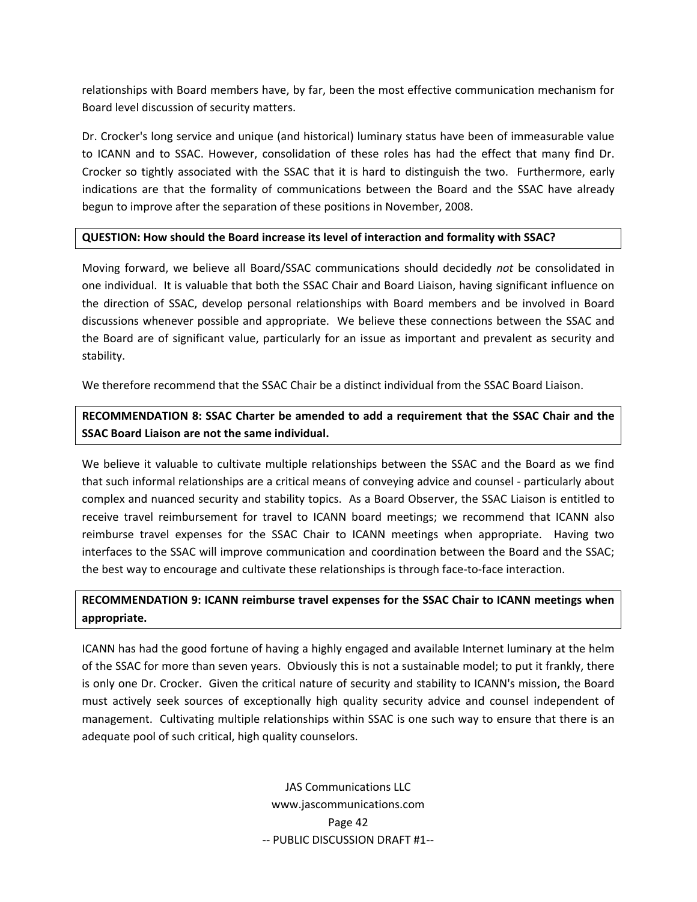relationships with Board members have, by far, been the most effective communication mechanism for Board level discussion of security matters.

Dr. Crocker's long service and unique (and historical) luminary status have been of immeasurable value to ICANN and to SSAC. However, consolidation of these roles has had the effect that many find Dr. Crocker so tightly associated with the SSAC that it is hard to distinguish the two. Furthermore, early indications are that the formality of communications between the Board and the SSAC have already begun to improve after the separation of these positions in November, 2008.

#### **QUESTION: How should the Board increase its level of interaction and formality with SSAC?**

Moving forward, we believe all Board/SSAC communications should decidedly *not* be consolidated in one individual. It is valuable that both the SSAC Chair and Board Liaison, having significant influence on the direction of SSAC, develop personal relationships with Board members and be involved in Board discussions whenever possible and appropriate. We believe these connections between the SSAC and the Board are of significant value, particularly for an issue as important and prevalent as security and stability.

We therefore recommend that the SSAC Chair be a distinct individual from the SSAC Board Liaison.

### **RECOMMENDATION 8: SSAC Charter be amended to add a requirement that the SSAC Chair and the SSAC Board Liaison are not the same individual.**

We believe it valuable to cultivate multiple relationships between the SSAC and the Board as we find that such informal relationships are a critical means of conveying advice and counsel ‐ particularly about complex and nuanced security and stability topics. As a Board Observer, the SSAC Liaison is entitled to receive travel reimbursement for travel to ICANN board meetings; we recommend that ICANN also reimburse travel expenses for the SSAC Chair to ICANN meetings when appropriate. Having two interfaces to the SSAC will improve communication and coordination between the Board and the SSAC; the best way to encourage and cultivate these relationships is through face-to-face interaction.

### **RECOMMENDATION 9: ICANN reimburse travel expenses for the SSAC Chair to ICANN meetings when appropriate.**

ICANN has had the good fortune of having a highly engaged and available Internet luminary at the helm of the SSAC for more than seven years. Obviously this is not a sustainable model; to put it frankly, there is only one Dr. Crocker. Given the critical nature of security and stability to ICANN's mission, the Board must actively seek sources of exceptionally high quality security advice and counsel independent of management. Cultivating multiple relationships within SSAC is one such way to ensure that there is an adequate pool of such critical, high quality counselors.

> JAS Communications LLC www.jascommunications.com Page 42 ‐‐ PUBLIC DISCUSSION DRAFT #1‐‐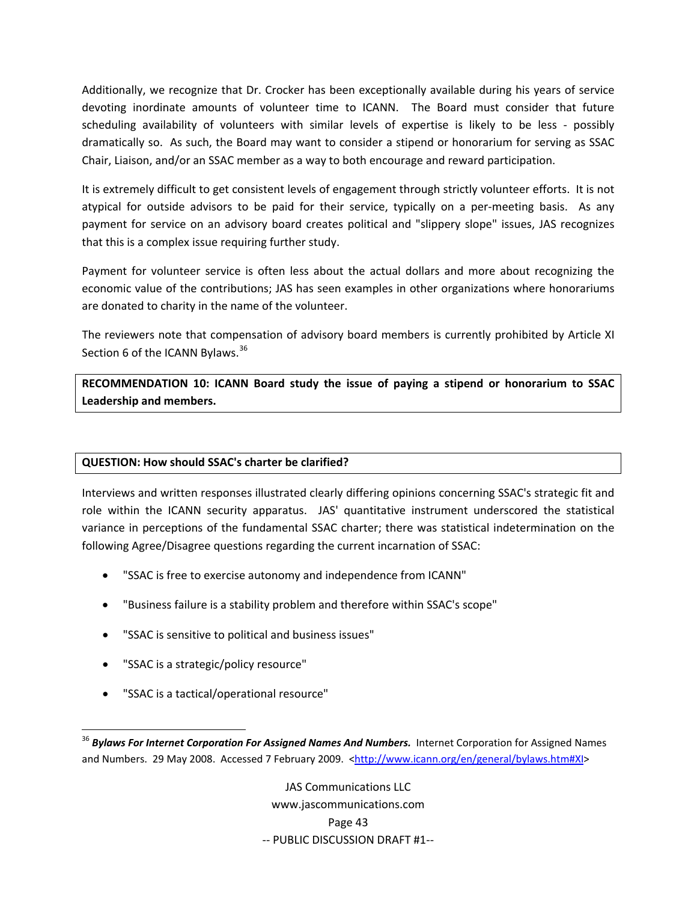Additionally, we recognize that Dr. Crocker has been exceptionally available during his years of service devoting inordinate amounts of volunteer time to ICANN. The Board must consider that future scheduling availability of volunteers with similar levels of expertise is likely to be less - possibly dramatically so. As such, the Board may want to consider a stipend or honorarium for serving as SSAC Chair, Liaison, and/or an SSAC member as a way to both encourage and reward participation.

It is extremely difficult to get consistent levels of engagement through strictly volunteer efforts. It is not atypical for outside advisors to be paid for their service, typically on a per-meeting basis. As any payment for service on an advisory board creates political and "slippery slope" issues, JAS recognizes that this is a complex issue requiring further study.

Payment for volunteer service is often less about the actual dollars and more about recognizing the economic value of the contributions; JAS has seen examples in other organizations where honorariums are donated to charity in the name of the volunteer.

The reviewers note that compensation of advisory board members is currently prohibited by Article XI Section 6 of the ICANN Bylaws.<sup>[36](#page-44-0)</sup>

**RECOMMENDATION 10: ICANN Board study the issue of paying a stipend or honorarium to SSAC Leadership and members.**

### **QUESTION: How should SSAC's charter be clarified?**

Interviews and written responses illustrated clearly differing opinions concerning SSAC's strategic fit and role within the ICANN security apparatus. JAS' quantitative instrument underscored the statistical variance in perceptions of the fundamental SSAC charter; there was statistical indetermination on the following Agree/Disagree questions regarding the current incarnation of SSAC:

- "SSAC is free to exercise autonomy and independence from ICANN"
- "Business failure is a stability problem and therefore within SSAC's scope"
- "SSAC is sensitive to political and business issues"
- "SSAC is a strategic/policy resource"

• "SSAC is a tactical/operational resource"

JAS Communications LLC www.jascommunications.com Page 43 ‐‐ PUBLIC DISCUSSION DRAFT #1‐‐

<span id="page-44-0"></span><sup>36</sup> *Bylaws For Internet Corporation For Assigned Names And Numbers.* Internet Corporation for Assigned Names and Numbers. 29 May 2008. Accessed 7 February 2009. <[http://www.icann.org/en/general/bylaws.htm#XI>](http://www.icann.org/en/general/bylaws.htm#XI)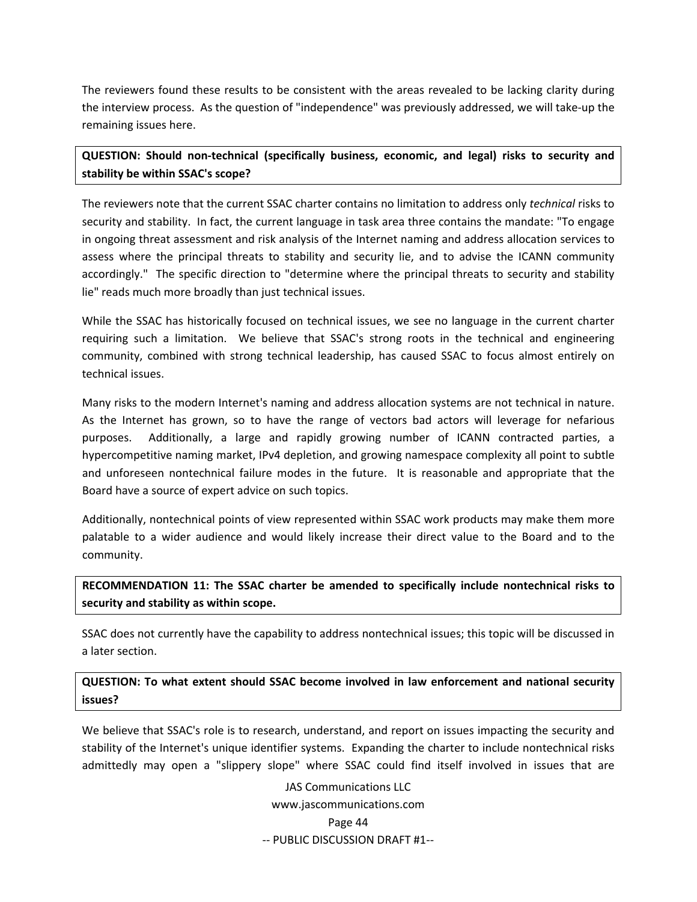The reviewers found these results to be consistent with the areas revealed to be lacking clarity during the interview process. As the question of "independence" was previously addressed, we will take‐up the remaining issues here.

### **QUESTION: Should non‐technical (specifically business, economic, and legal) risks to security and stability be within SSAC's scope?**

The reviewers note that the current SSAC charter contains no limitation to address only *technical* risks to security and stability. In fact, the current language in task area three contains the mandate: "To engage in ongoing threat assessment and risk analysis of the Internet naming and address allocation services to assess where the principal threats to stability and security lie, and to advise the ICANN community accordingly." The specific direction to "determine where the principal threats to security and stability lie" reads much more broadly than just technical issues.

While the SSAC has historically focused on technical issues, we see no language in the current charter requiring such a limitation. We believe that SSAC's strong roots in the technical and engineering community, combined with strong technical leadership, has caused SSAC to focus almost entirely on technical issues.

Many risks to the modern Internet's naming and address allocation systems are not technical in nature. As the Internet has grown, so to have the range of vectors bad actors will leverage for nefarious purposes. Additionally, a large and rapidly growing number of ICANN contracted parties, a hypercompetitive naming market, IPv4 depletion, and growing namespace complexity all point to subtle and unforeseen nontechnical failure modes in the future. It is reasonable and appropriate that the Board have a source of expert advice on such topics.

Additionally, nontechnical points of view represented within SSAC work products may make them more palatable to a wider audience and would likely increase their direct value to the Board and to the community.

**RECOMMENDATION 11: The SSAC charter be amended to specifically include nontechnical risks to security and stability as within scope.**

SSAC does not currently have the capability to address nontechnical issues; this topic will be discussed in a later section.

**QUESTION: To what extent should SSAC become involved in law enforcement and national security issues?**

We believe that SSAC's role is to research, understand, and report on issues impacting the security and stability of the Internet's unique identifier systems. Expanding the charter to include nontechnical risks admittedly may open a "slippery slope" where SSAC could find itself involved in issues that are

> JAS Communications LLC www.jascommunications.com Page 44 ‐‐ PUBLIC DISCUSSION DRAFT #1‐‐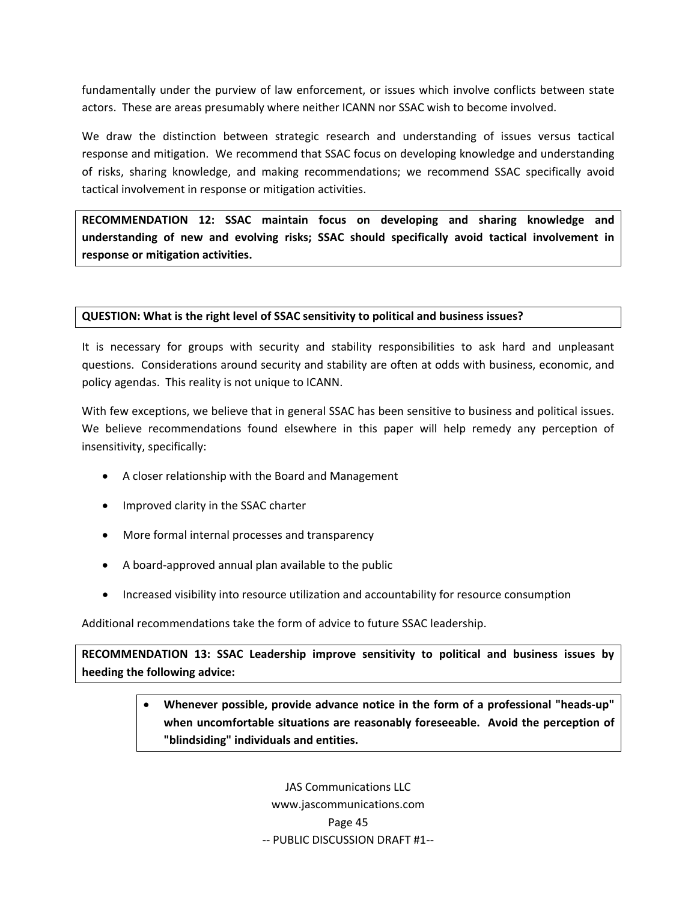fundamentally under the purview of law enforcement, or issues which involve conflicts between state actors. These are areas presumably where neither ICANN nor SSAC wish to become involved.

We draw the distinction between strategic research and understanding of issues versus tactical response and mitigation. We recommend that SSAC focus on developing knowledge and understanding of risks, sharing knowledge, and making recommendations; we recommend SSAC specifically avoid tactical involvement in response or mitigation activities.

**RECOMMENDATION 12: SSAC maintain focus on developing and sharing knowledge and understanding of new and evolving risks; SSAC should specifically avoid tactical involvement in response or mitigation activities.**

#### **QUESTION: What is the right level of SSAC sensitivity to political and business issues?**

It is necessary for groups with security and stability responsibilities to ask hard and unpleasant questions. Considerations around security and stability are often at odds with business, economic, and policy agendas. This reality is not unique to ICANN.

With few exceptions, we believe that in general SSAC has been sensitive to business and political issues. We believe recommendations found elsewhere in this paper will help remedy any perception of insensitivity, specifically:

- A closer relationship with the Board and Management
- Improved clarity in the SSAC charter
- More formal internal processes and transparency
- A board‐approved annual plan available to the public
- Increased visibility into resource utilization and accountability for resource consumption

Additional recommendations take the form of advice to future SSAC leadership.

**RECOMMENDATION 13: SSAC Leadership improve sensitivity to political and business issues by heeding the following advice:**

## • **Whenever possible, provide advance notice in the form of a professional "heads‐up" when uncomfortable situations are reasonably foreseeable. Avoid the perception of "blindsiding" individuals and entities.**

JAS Communications LLC www.jascommunications.com Page 45 ‐‐ PUBLIC DISCUSSION DRAFT #1‐‐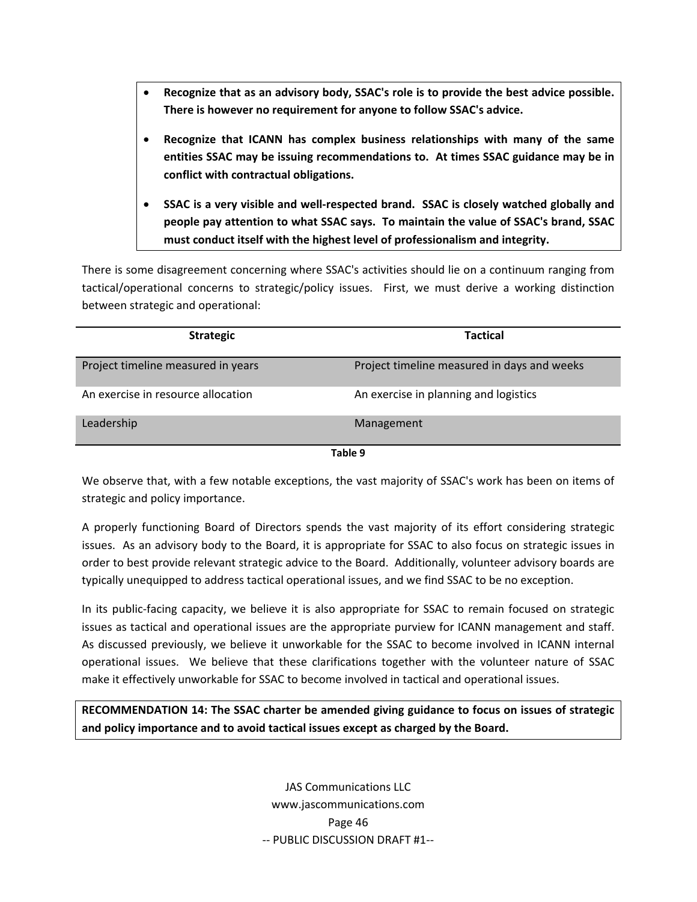- **Recognize that as an advisory body, SSAC's role is to provide the best advice possible. There is however no requirement for anyone to follow SSAC's advice.**
- **Recognize that ICANN has complex business relationships with many of the same entities SSAC may be issuing recommendations to. At times SSAC guidance may be in conflict with contractual obligations.**
- **SSAC is a very visible and well‐respected brand. SSAC is closely watched globally and people pay attention to what SSAC says. To maintain the value of SSAC's brand, SSAC must conduct itself with the highest level of professionalism and integrity.**

There is some disagreement concerning where SSAC's activities should lie on a continuum ranging from tactical/operational concerns to strategic/policy issues. First, we must derive a working distinction between strategic and operational:

| <b>Strategic</b>                   | <b>Tactical</b>                             |  |  |  |  |  |  |
|------------------------------------|---------------------------------------------|--|--|--|--|--|--|
| Project timeline measured in years | Project timeline measured in days and weeks |  |  |  |  |  |  |
| An exercise in resource allocation | An exercise in planning and logistics       |  |  |  |  |  |  |
| Leadership                         | Management                                  |  |  |  |  |  |  |
| Table 9                            |                                             |  |  |  |  |  |  |

We observe that, with a few notable exceptions, the vast majority of SSAC's work has been on items of strategic and policy importance.

A properly functioning Board of Directors spends the vast majority of its effort considering strategic issues. As an advisory body to the Board, it is appropriate for SSAC to also focus on strategic issues in order to best provide relevant strategic advice to the Board. Additionally, volunteer advisory boards are typically unequipped to address tactical operational issues, and we find SSAC to be no exception.

In its public-facing capacity, we believe it is also appropriate for SSAC to remain focused on strategic issues as tactical and operational issues are the appropriate purview for ICANN management and staff. As discussed previously, we believe it unworkable for the SSAC to become involved in ICANN internal operational issues. We believe that these clarifications together with the volunteer nature of SSAC make it effectively unworkable for SSAC to become involved in tactical and operational issues.

**RECOMMENDATION 14: The SSAC charter be amended giving guidance to focus on issues of strategic and policy importance and to avoid tactical issues except as charged by the Board.**

> JAS Communications LLC www.jascommunications.com Page 46 ‐‐ PUBLIC DISCUSSION DRAFT #1‐‐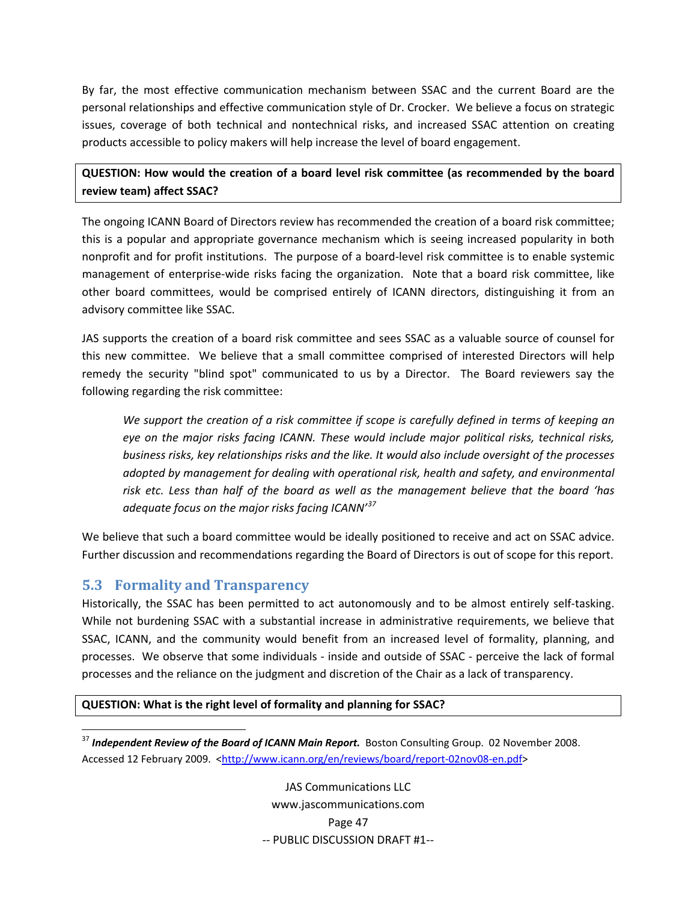<span id="page-48-0"></span>By far, the most effective communication mechanism between SSAC and the current Board are the personal relationships and effective communication style of Dr. Crocker. We believe a focus on strategic issues, coverage of both technical and nontechnical risks, and increased SSAC attention on creating products accessible to policy makers will help increase the level of board engagement.

**QUESTION: How would the creation of a board level risk committee (as recommended by the board review team) affect SSAC?**

The ongoing ICANN Board of Directors review has recommended the creation of a board risk committee; this is a popular and appropriate governance mechanism which is seeing increased popularity in both nonprofit and for profit institutions. The purpose of a board-level risk committee is to enable systemic management of enterprise-wide risks facing the organization. Note that a board risk committee, like other board committees, would be comprised entirely of ICANN directors, distinguishing it from an advisory committee like SSAC.

JAS supports the creation of a board risk committee and sees SSAC as a valuable source of counsel for this new committee. We believe that a small committee comprised of interested Directors will help remedy the security "blind spot" communicated to us by a Director. The Board reviewers say the following regarding the risk committee:

*We support the creation of a risk committee if scope is carefully defined in terms of keeping an eye on the major risks facing ICANN. These would include major political risks, technical risks, business risks, key relationships risks and the like. It would also include oversight of the processes adopted by management for dealing with operational risk, health and safety, and environmental risk etc. Less than half of the board as well as the management believe that the board 'has adequate focus on the major risks facing ICANN'[37](#page-48-1)*

We believe that such a board committee would be ideally positioned to receive and act on SSAC advice. Further discussion and recommendations regarding the Board of Directors is out of scope for this report.

### **5.3 Formality and Transparency**

Historically, the SSAC has been permitted to act autonomously and to be almost entirely self-tasking. While not burdening SSAC with a substantial increase in administrative requirements, we believe that SSAC, ICANN, and the community would benefit from an increased level of formality, planning, and processes. We observe that some individuals ‐ inside and outside of SSAC ‐ perceive the lack of formal processes and the reliance on the judgment and discretion of the Chair as a lack of transparency.

### **QUESTION: What is the right level of formality and planning for SSAC?**

<span id="page-48-1"></span> <sup>37</sup> *Independent Review of the Board of ICANN Main Report.* Boston Consulting Group. 02 November 2008. Accessed 12 February 2009. <[http://www.icann.org/en/reviews/board/report](http://www.icann.org/en/reviews/board/report-02nov08-en.pdf)-02nov08-en.pdf>

> JAS Communications LLC www.jascommunications.com Page 47 ‐‐ PUBLIC DISCUSSION DRAFT #1‐‐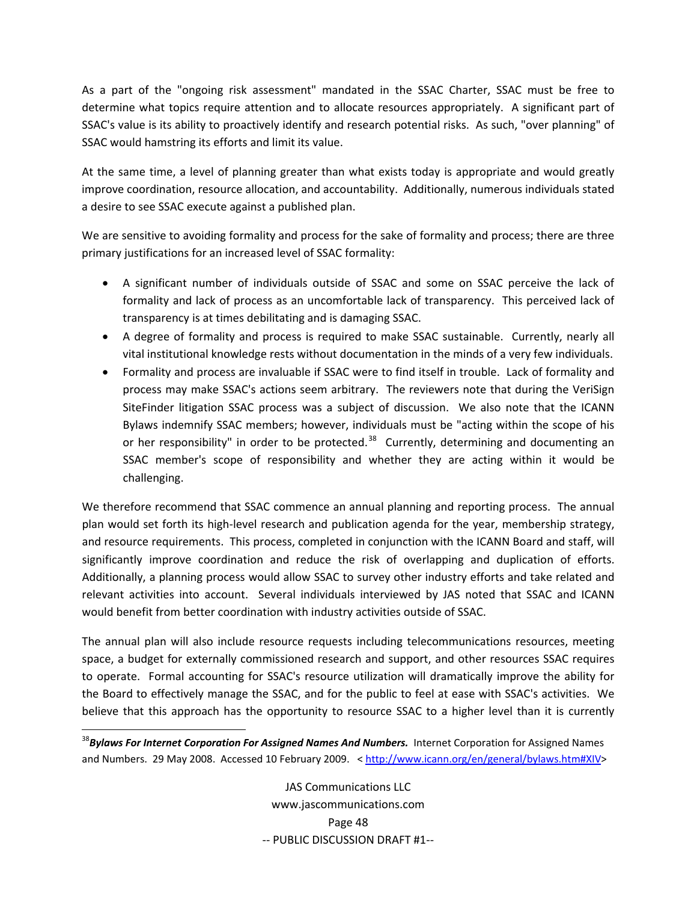As a part of the "ongoing risk assessment" mandated in the SSAC Charter, SSAC must be free to determine what topics require attention and to allocate resources appropriately. A significant part of SSAC's value is its ability to proactively identify and research potential risks. As such, "over planning" of SSAC would hamstring its efforts and limit its value.

At the same time, a level of planning greater than what exists today is appropriate and would greatly improve coordination, resource allocation, and accountability. Additionally, numerous individuals stated a desire to see SSAC execute against a published plan.

We are sensitive to avoiding formality and process for the sake of formality and process; there are three primary justifications for an increased level of SSAC formality:

- A significant number of individuals outside of SSAC and some on SSAC perceive the lack of formality and lack of process as an uncomfortable lack of transparency. This perceived lack of transparency is at times debilitating and is damaging SSAC.
- A degree of formality and process is required to make SSAC sustainable. Currently, nearly all vital institutional knowledge rests without documentation in the minds of a very few individuals.
- Formality and process are invaluable if SSAC were to find itself in trouble. Lack of formality and process may make SSAC's actions seem arbitrary. The reviewers note that during the VeriSign SiteFinder litigation SSAC process was a subject of discussion. We also note that the ICANN Bylaws indemnify SSAC members; however, individuals must be "acting within the scope of his or her responsibility" in order to be protected.<sup>[38](#page-49-0)</sup> Currently, determining and documenting an SSAC member's scope of responsibility and whether they are acting within it would be challenging.

We therefore recommend that SSAC commence an annual planning and reporting process. The annual plan would set forth its high‐level research and publication agenda for the year, membership strategy, and resource requirements. This process, completed in conjunction with the ICANN Board and staff, will significantly improve coordination and reduce the risk of overlapping and duplication of efforts. Additionally, a planning process would allow SSAC to survey other industry efforts and take related and relevant activities into account. Several individuals interviewed by JAS noted that SSAC and ICANN would benefit from better coordination with industry activities outside of SSAC.

The annual plan will also include resource requests including telecommunications resources, meeting space, a budget for externally commissioned research and support, and other resources SSAC requires to operate. Formal accounting for SSAC's resource utilization will dramatically improve the ability for the Board to effectively manage the SSAC, and for the public to feel at ease with SSAC's activities. We believe that this approach has the opportunity to resource SSAC to a higher level than it is currently

JAS Communications LLC www.jascommunications.com Page 48 ‐‐ PUBLIC DISCUSSION DRAFT #1‐‐

<span id="page-49-0"></span> <sup>38</sup>*Bylaws For Internet Corporation For Assigned Names And Numbers.* Internet Corporation for Assigned Names and Numbers. 29 May 2008. Accessed 10 February 2009. < <http://www.icann.org/en/general/bylaws.htm#XIV>>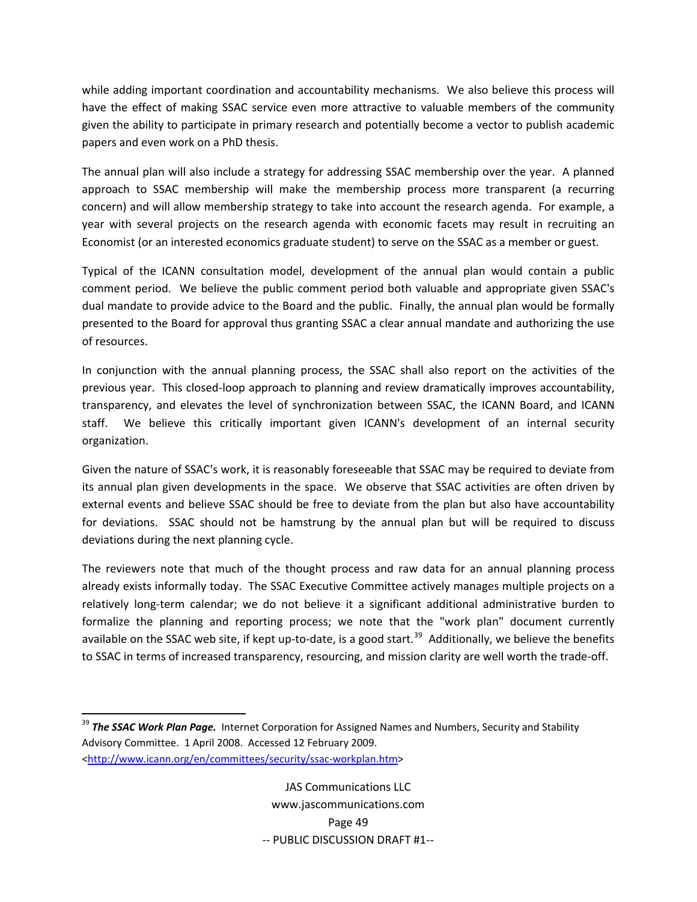while adding important coordination and accountability mechanisms. We also believe this process will have the effect of making SSAC service even more attractive to valuable members of the community given the ability to participate in primary research and potentially become a vector to publish academic papers and even work on a PhD thesis.

The annual plan will also include a strategy for addressing SSAC membership over the year. A planned approach to SSAC membership will make the membership process more transparent (a recurring concern) and will allow membership strategy to take into account the research agenda. For example, a year with several projects on the research agenda with economic facets may result in recruiting an Economist (or an interested economics graduate student) to serve on the SSAC as a member or guest.

Typical of the ICANN consultation model, development of the annual plan would contain a public comment period. We believe the public comment period both valuable and appropriate given SSAC's dual mandate to provide advice to the Board and the public. Finally, the annual plan would be formally presented to the Board for approval thus granting SSAC a clear annual mandate and authorizing the use of resources.

In conjunction with the annual planning process, the SSAC shall also report on the activities of the previous year. This closed‐loop approach to planning and review dramatically improves accountability, transparency, and elevates the level of synchronization between SSAC, the ICANN Board, and ICANN staff. We believe this critically important given ICANN's development of an internal security organization.

Given the nature of SSAC's work, it is reasonably foreseeable that SSAC may be required to deviate from its annual plan given developments in the space. We observe that SSAC activities are often driven by external events and believe SSAC should be free to deviate from the plan but also have accountability for deviations. SSAC should not be hamstrung by the annual plan but will be required to discuss deviations during the next planning cycle.

The reviewers note that much of the thought process and raw data for an annual planning process already exists informally today. The SSAC Executive Committee actively manages multiple projects on a relatively long‐term calendar; we do not believe it a significant additional administrative burden to formalize the planning and reporting process; we note that the "work plan" document currently available on the SSAC web site, if kept up-to-date, is a good start.<sup>[39](#page-50-0)</sup> Additionally, we believe the benefits to SSAC in terms of increased transparency, resourcing, and mission clarity are well worth the trade‐off.

<span id="page-50-0"></span><sup>39</sup> *The SSAC Work Plan Page.* Internet Corporation for Assigned Names and Numbers, Security and Stability Advisory Committee. 1 April 2008. Accessed 12 February 2009. [<http://www.icann.org/en/committees/security/ssac](http://www.icann.org/en/committees/security/ssac-workplan.htm)‐workplan.htm>

JAS Communications LLC www.jascommunications.com Page 49 ‐‐ PUBLIC DISCUSSION DRAFT #1‐‐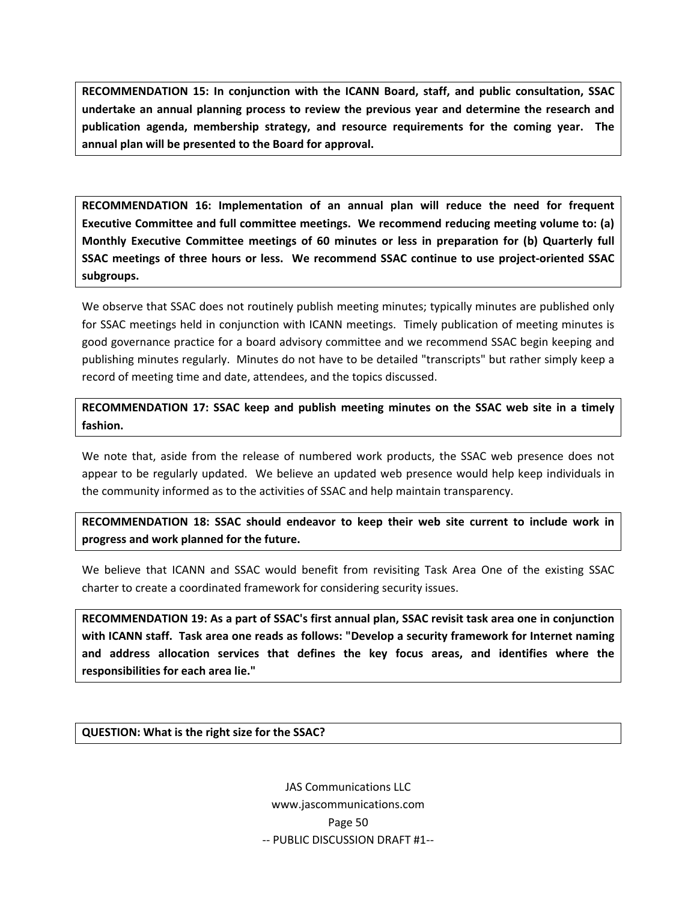**RECOMMENDATION 15: In conjunction with the ICANN Board, staff, and public consultation, SSAC undertake an annual planning process to review the previous year and determine the research and publication agenda, membership strategy, and resource requirements for the coming year. The annual plan will be presented to the Board for approval.**

**RECOMMENDATION 16: Implementation of an annual plan will reduce the need for frequent Executive Committee and full committee meetings. We recommend reducing meeting volume to: (a) Monthly Executive Committee meetings of 60 minutes or less in preparation for (b) Quarterly full SSAC meetings of three hours or less. We recommend SSAC continue to use project‐oriented SSAC subgroups.**

We observe that SSAC does not routinely publish meeting minutes; typically minutes are published only for SSAC meetings held in conjunction with ICANN meetings. Timely publication of meeting minutes is good governance practice for a board advisory committee and we recommend SSAC begin keeping and publishing minutes regularly. Minutes do not have to be detailed "transcripts" but rather simply keep a record of meeting time and date, attendees, and the topics discussed.

**RECOMMENDATION 17: SSAC keep and publish meeting minutes on the SSAC web site in a timely fashion.**

We note that, aside from the release of numbered work products, the SSAC web presence does not appear to be regularly updated. We believe an updated web presence would help keep individuals in the community informed as to the activities of SSAC and help maintain transparency.

**RECOMMENDATION 18: SSAC should endeavor to keep their web site current to include work in progress and work planned for the future.**

We believe that ICANN and SSAC would benefit from revisiting Task Area One of the existing SSAC charter to create a coordinated framework for considering security issues.

**RECOMMENDATION 19: As a part of SSAC's first annual plan, SSAC revisit task area one in conjunction with ICANN staff. Task area one reads as follows: "Develop a security framework for Internet naming and address allocation services that defines the key focus areas, and identifies where the responsibilities for each area lie."**

**QUESTION: What is the right size for the SSAC?**

JAS Communications LLC www.jascommunications.com Page 50 ‐‐ PUBLIC DISCUSSION DRAFT #1‐‐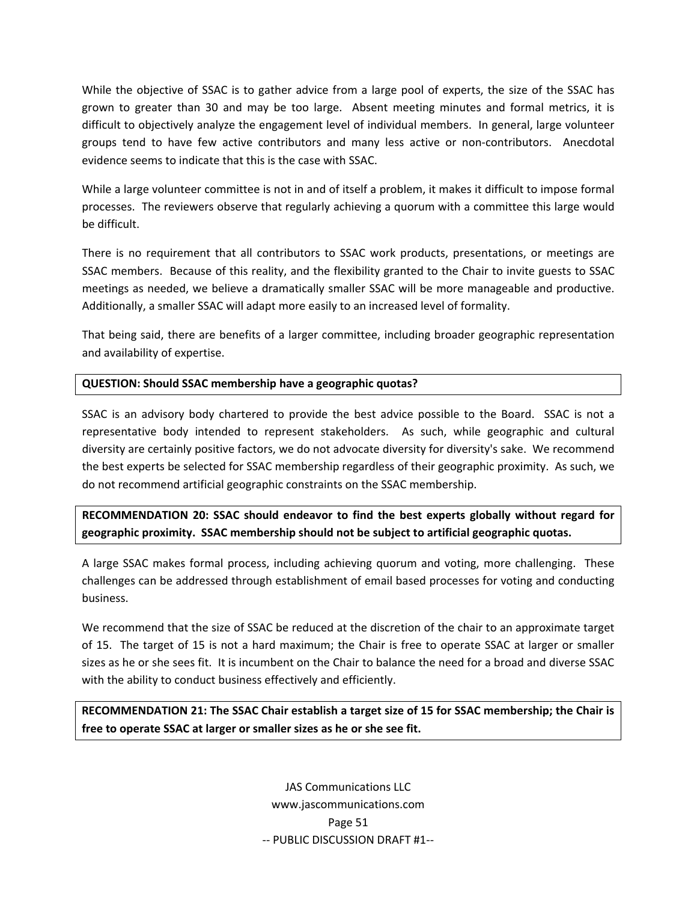While the objective of SSAC is to gather advice from a large pool of experts, the size of the SSAC has grown to greater than 30 and may be too large. Absent meeting minutes and formal metrics, it is difficult to objectively analyze the engagement level of individual members. In general, large volunteer groups tend to have few active contributors and many less active or non-contributors. Anecdotal evidence seems to indicate that this is the case with SSAC.

While a large volunteer committee is not in and of itself a problem, it makes it difficult to impose formal processes. The reviewers observe that regularly achieving a quorum with a committee this large would be difficult.

There is no requirement that all contributors to SSAC work products, presentations, or meetings are SSAC members. Because of this reality, and the flexibility granted to the Chair to invite guests to SSAC meetings as needed, we believe a dramatically smaller SSAC will be more manageable and productive. Additionally, a smaller SSAC will adapt more easily to an increased level of formality.

That being said, there are benefits of a larger committee, including broader geographic representation and availability of expertise.

### **QUESTION: Should SSAC membership have a geographic quotas?**

SSAC is an advisory body chartered to provide the best advice possible to the Board. SSAC is not a representative body intended to represent stakeholders. As such, while geographic and cultural diversity are certainly positive factors, we do not advocate diversity for diversity's sake. We recommend the best experts be selected for SSAC membership regardless of their geographic proximity. As such, we do not recommend artificial geographic constraints on the SSAC membership.

**RECOMMENDATION 20: SSAC should endeavor to find the best experts globally without regard for geographic proximity. SSAC membership should not be subject to artificial geographic quotas.**

A large SSAC makes formal process, including achieving quorum and voting, more challenging. These challenges can be addressed through establishment of email based processes for voting and conducting business.

We recommend that the size of SSAC be reduced at the discretion of the chair to an approximate target of 15. The target of 15 is not a hard maximum; the Chair is free to operate SSAC at larger or smaller sizes as he or she sees fit. It is incumbent on the Chair to balance the need for a broad and diverse SSAC with the ability to conduct business effectively and efficiently.

**RECOMMENDATION 21: The SSAC Chair establish a target size of 15 for SSAC membership; the Chair is free to operate SSAC at larger or smaller sizes as he or she see fit.**

> JAS Communications LLC www.jascommunications.com Page 51 ‐‐ PUBLIC DISCUSSION DRAFT #1‐‐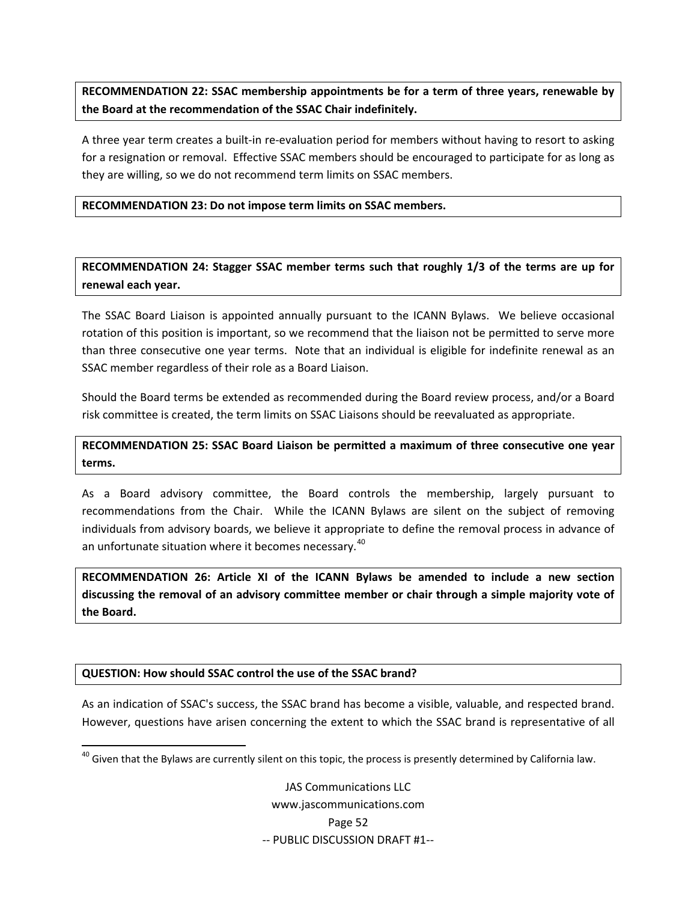**RECOMMENDATION 22: SSAC membership appointments be for a term of three years, renewable by the Board at the recommendation of the SSAC Chair indefinitely.**

A three year term creates a built‐in re‐evaluation period for members without having to resort to asking for a resignation or removal. Effective SSAC members should be encouraged to participate for as long as they are willing, so we do not recommend term limits on SSAC members.

**RECOMMENDATION 23: Do not impose term limits on SSAC members.**

**RECOMMENDATION 24: Stagger SSAC member terms such that roughly 1/3 of the terms are up for renewal each year.** 

The SSAC Board Liaison is appointed annually pursuant to the ICANN Bylaws. We believe occasional rotation of this position is important, so we recommend that the liaison not be permitted to serve more than three consecutive one year terms. Note that an individual is eligible for indefinite renewal as an SSAC member regardless of their role as a Board Liaison.

Should the Board terms be extended as recommended during the Board review process, and/or a Board risk committee is created, the term limits on SSAC Liaisons should be reevaluated as appropriate.

**RECOMMENDATION 25: SSAC Board Liaison be permitted a maximum of three consecutive one year terms.**

As a Board advisory committee, the Board controls the membership, largely pursuant to recommendations from the Chair. While the ICANN Bylaws are silent on the subject of removing individuals from advisory boards, we believe it appropriate to define the removal process in advance of an unfortunate situation where it becomes necessary.<sup>[40](#page-53-0)</sup>

**RECOMMENDATION 26: Article XI of the ICANN Bylaws be amended to include a new section discussing the removal of an advisory committee member or chair through a simple majority vote of the Board.**

### **QUESTION: How should SSAC control the use of the SSAC brand?**

As an indication of SSAC's success, the SSAC brand has become a visible, valuable, and respected brand. However, questions have arisen concerning the extent to which the SSAC brand is representative of all

<span id="page-53-0"></span> $^{40}$  Given that the Bylaws are currently silent on this topic, the process is presently determined by California law.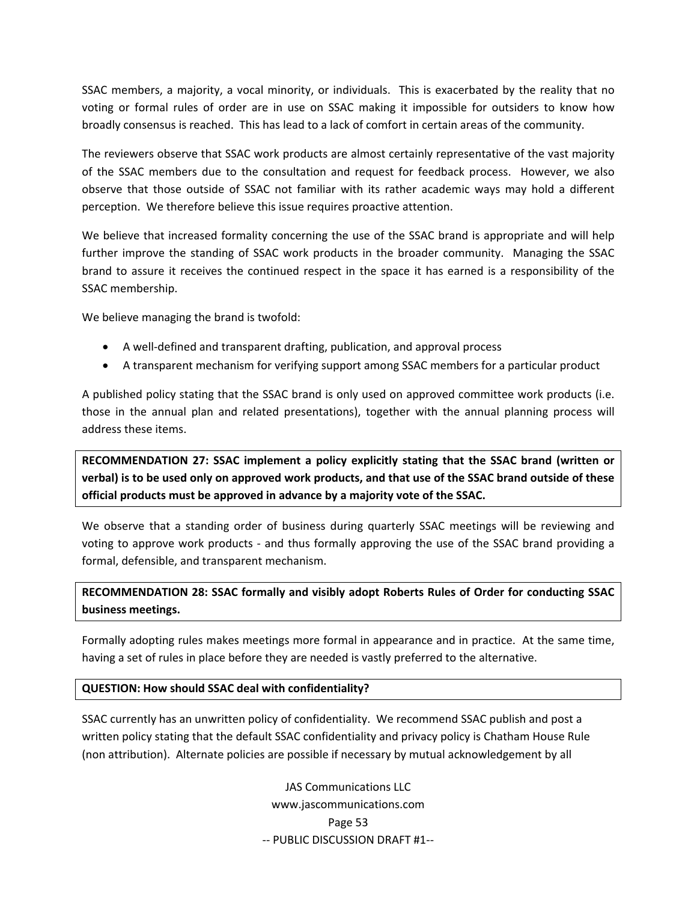SSAC members, a majority, a vocal minority, or individuals. This is exacerbated by the reality that no voting or formal rules of order are in use on SSAC making it impossible for outsiders to know how broadly consensus is reached. This has lead to a lack of comfort in certain areas of the community.

The reviewers observe that SSAC work products are almost certainly representative of the vast majority of the SSAC members due to the consultation and request for feedback process. However, we also observe that those outside of SSAC not familiar with its rather academic ways may hold a different perception. We therefore believe this issue requires proactive attention.

We believe that increased formality concerning the use of the SSAC brand is appropriate and will help further improve the standing of SSAC work products in the broader community. Managing the SSAC brand to assure it receives the continued respect in the space it has earned is a responsibility of the SSAC membership.

We believe managing the brand is twofold:

- A well‐defined and transparent drafting, publication, and approval process
- A transparent mechanism for verifying support among SSAC members for a particular product

A published policy stating that the SSAC brand is only used on approved committee work products (i.e. those in the annual plan and related presentations), together with the annual planning process will address these items.

**RECOMMENDATION 27: SSAC implement a policy explicitly stating that the SSAC brand (written or** verbal) is to be used only on approved work products, and that use of the SSAC brand outside of these **official products must be approved in advance by a majority vote of the SSAC.**

We observe that a standing order of business during quarterly SSAC meetings will be reviewing and voting to approve work products - and thus formally approving the use of the SSAC brand providing a formal, defensible, and transparent mechanism.

## **RECOMMENDATION 28: SSAC formally and visibly adopt Roberts Rules of Order for conducting SSAC business meetings.**

Formally adopting rules makes meetings more formal in appearance and in practice. At the same time, having a set of rules in place before they are needed is vastly preferred to the alternative.

### **QUESTION: How should SSAC deal with confidentiality?**

SSAC currently has an unwritten policy of confidentiality. We recommend SSAC publish and post a written policy stating that the default SSAC confidentiality and privacy policy is Chatham House Rule (non attribution). Alternate policies are possible if necessary by mutual acknowledgement by all

> JAS Communications LLC www.jascommunications.com Page 53 ‐‐ PUBLIC DISCUSSION DRAFT #1‐‐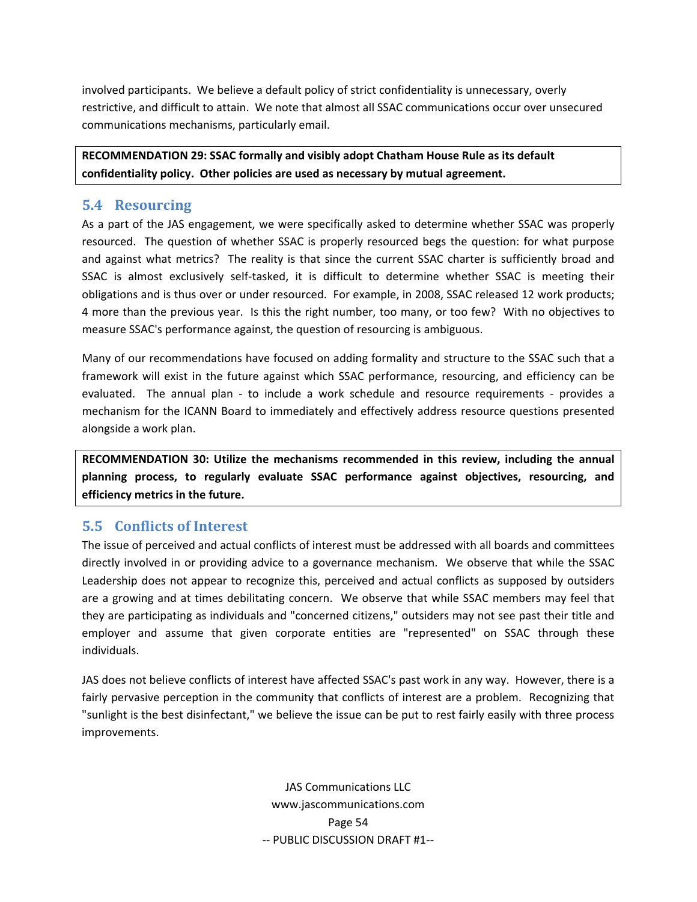<span id="page-55-0"></span>involved participants. We believe a default policy of strict confidentiality is unnecessary, overly restrictive, and difficult to attain. We note that almost all SSAC communications occur over unsecured communications mechanisms, particularly email.

**RECOMMENDATION 29: SSAC formally and visibly adopt Chatham House Rule as its default confidentiality policy. Other policies are used as necessary by mutual agreement.**

### **5.4 Resourcing**

As a part of the JAS engagement, we were specifically asked to determine whether SSAC was properly resourced. The question of whether SSAC is properly resourced begs the question: for what purpose and against what metrics? The reality is that since the current SSAC charter is sufficiently broad and SSAC is almost exclusively self-tasked, it is difficult to determine whether SSAC is meeting their obligations and is thus over or under resourced. For example, in 2008, SSAC released 12 work products; 4 more than the previous year. Is this the right number, too many, or too few? With no objectives to measure SSAC's performance against, the question of resourcing is ambiguous.

Many of our recommendations have focused on adding formality and structure to the SSAC such that a framework will exist in the future against which SSAC performance, resourcing, and efficiency can be evaluated. The annual plan - to include a work schedule and resource requirements - provides a mechanism for the ICANN Board to immediately and effectively address resource questions presented alongside a work plan.

**RECOMMENDATION 30: Utilize the mechanisms recommended in this review, including the annual planning process, to regularly evaluate SSAC performance against objectives, resourcing, and efficiency metrics in the future.**

# **5.5 Conflicts of Interest**

The issue of perceived and actual conflicts of interest must be addressed with all boards and committees directly involved in or providing advice to a governance mechanism. We observe that while the SSAC Leadership does not appear to recognize this, perceived and actual conflicts as supposed by outsiders are a growing and at times debilitating concern. We observe that while SSAC members may feel that they are participating as individuals and "concerned citizens," outsiders may not see past their title and employer and assume that given corporate entities are "represented" on SSAC through these individuals.

JAS does not believe conflicts of interest have affected SSAC's past work in any way. However, there is a fairly pervasive perception in the community that conflicts of interest are a problem. Recognizing that "sunlight is the best disinfectant," we believe the issue can be put to rest fairly easily with three process improvements.

> JAS Communications LLC www.jascommunications.com Page 54 ‐‐ PUBLIC DISCUSSION DRAFT #1‐‐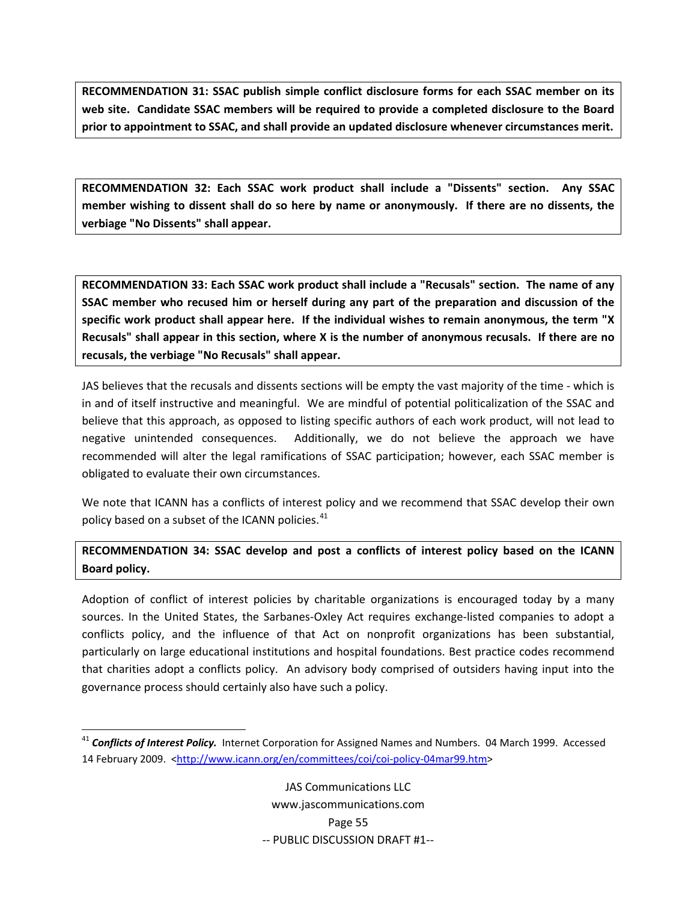**RECOMMENDATION 31: SSAC publish simple conflict disclosure forms for each SSAC member on its web site. Candidate SSAC members will be required to provide a completed disclosure to the Board prior to appointment to SSAC, and shall provide an updated disclosure whenever circumstances merit.**

**RECOMMENDATION 32: Each SSAC work product shall include a "Dissents" section. Any SSAC** member wishing to dissent shall do so here by name or anonymously. If there are no dissents, the **verbiage "No Dissents" shall appear.**

**RECOMMENDATION 33: Each SSAC work product shall include a "Recusals" section. The name of any SSAC member who recused him or herself during any part of the preparation and discussion of the specific work product shall appear here. If the individual wishes to remain anonymous, the term "X** Recusals" shall appear in this section, where X is the number of anonymous recusals. If there are no **recusals, the verbiage "No Recusals" shall appear.**

JAS believes that the recusals and dissents sections will be empty the vast majority of the time ‐ which is in and of itself instructive and meaningful. We are mindful of potential politicalization of the SSAC and believe that this approach, as opposed to listing specific authors of each work product, will not lead to negative unintended consequences. Additionally, we do not believe the approach we have recommended will alter the legal ramifications of SSAC participation; however, each SSAC member is obligated to evaluate their own circumstances.

We note that ICANN has a conflicts of interest policy and we recommend that SSAC develop their own policy based on a subset of the ICANN policies.<sup>[41](#page-56-0)</sup>

### **RECOMMENDATION 34: SSAC develop and post a conflicts of interest policy based on the ICANN Board policy.**

Adoption of conflict of interest policies by charitable organizations is encouraged today by a many sources. In the United States, the Sarbanes-Oxley Act requires exchange-listed companies to adopt a conflicts policy, and the influence of that Act on nonprofit organizations has been substantial, particularly on large educational institutions and hospital foundations. Best practice codes recommend that charities adopt a conflicts policy. An advisory body comprised of outsiders having input into the governance process should certainly also have such a policy.

<span id="page-56-0"></span><sup>41</sup> *Conflicts of Interest Policy.* Internet Corporation for Assigned Names and Numbers. 04 March 1999. Accessed 14 February 2009. [<http://www.icann.org/en/committees/coi/coi](http://www.icann.org/en/committees/coi/coi-policy-04mar99.htm)-policy-04mar99.htm>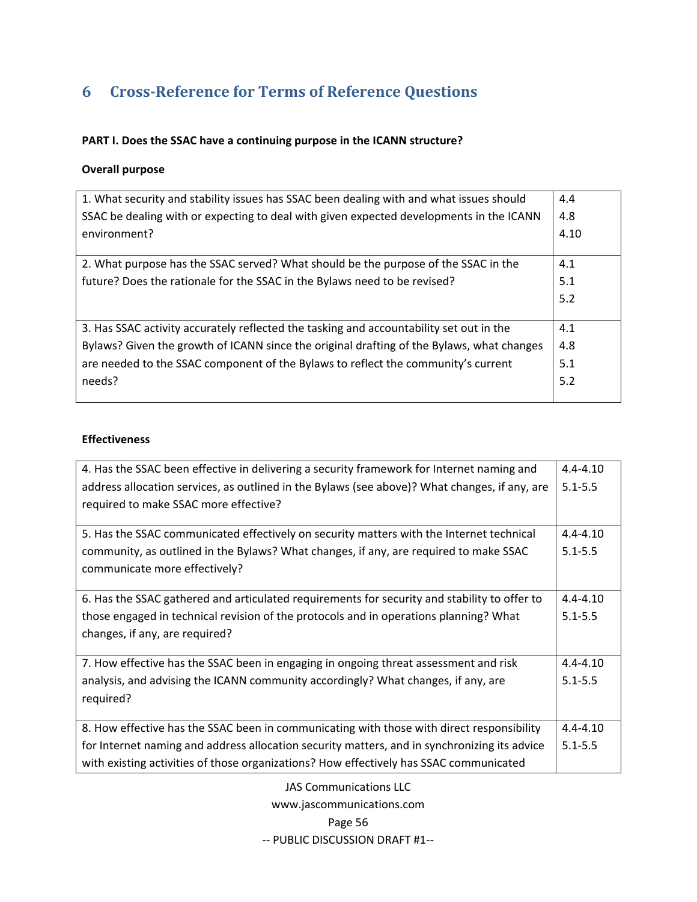# <span id="page-57-0"></span>**6 CrossReference for Terms of Reference Questions**

### **PART I. Does the SSAC have a continuing purpose in the ICANN structure?**

### **Overall purpose**

| 1. What security and stability issues has SSAC been dealing with and what issues should   | 4.4  |
|-------------------------------------------------------------------------------------------|------|
| SSAC be dealing with or expecting to deal with given expected developments in the ICANN   | 4.8  |
| environment?                                                                              | 4.10 |
|                                                                                           |      |
| 2. What purpose has the SSAC served? What should be the purpose of the SSAC in the        | 4.1  |
| future? Does the rationale for the SSAC in the Bylaws need to be revised?                 | 5.1  |
|                                                                                           | 5.2  |
|                                                                                           |      |
| 3. Has SSAC activity accurately reflected the tasking and accountability set out in the   | 4.1  |
| Bylaws? Given the growth of ICANN since the original drafting of the Bylaws, what changes | 4.8  |
| are needed to the SSAC component of the Bylaws to reflect the community's current         | 5.1  |
| needs?                                                                                    | 5.2  |
|                                                                                           |      |

### **Effectiveness**

| 4. Has the SSAC been effective in delivering a security framework for Internet naming and     | $4.4 - 4.10$ |  |  |  |  |  |
|-----------------------------------------------------------------------------------------------|--------------|--|--|--|--|--|
| address allocation services, as outlined in the Bylaws (see above)? What changes, if any, are |              |  |  |  |  |  |
| required to make SSAC more effective?                                                         |              |  |  |  |  |  |
|                                                                                               |              |  |  |  |  |  |
| 5. Has the SSAC communicated effectively on security matters with the Internet technical      | $4.4 - 4.10$ |  |  |  |  |  |
| community, as outlined in the Bylaws? What changes, if any, are required to make SSAC         | $5.1 - 5.5$  |  |  |  |  |  |
| communicate more effectively?                                                                 |              |  |  |  |  |  |
|                                                                                               |              |  |  |  |  |  |
| 6. Has the SSAC gathered and articulated requirements for security and stability to offer to  | $4.4 - 4.10$ |  |  |  |  |  |
| those engaged in technical revision of the protocols and in operations planning? What         |              |  |  |  |  |  |
| changes, if any, are required?                                                                |              |  |  |  |  |  |
|                                                                                               |              |  |  |  |  |  |
| 7. How effective has the SSAC been in engaging in ongoing threat assessment and risk          | $4.4 - 4.10$ |  |  |  |  |  |
| analysis, and advising the ICANN community accordingly? What changes, if any, are             |              |  |  |  |  |  |
| required?                                                                                     |              |  |  |  |  |  |
|                                                                                               |              |  |  |  |  |  |
| 8. How effective has the SSAC been in communicating with those with direct responsibility     | $4.4 - 4.10$ |  |  |  |  |  |
| for Internet naming and address allocation security matters, and in synchronizing its advice  |              |  |  |  |  |  |
| with existing activities of those organizations? How effectively has SSAC communicated        |              |  |  |  |  |  |

JAS Communications LLC www.jascommunications.com Page 56 ‐‐ PUBLIC DISCUSSION DRAFT #1‐‐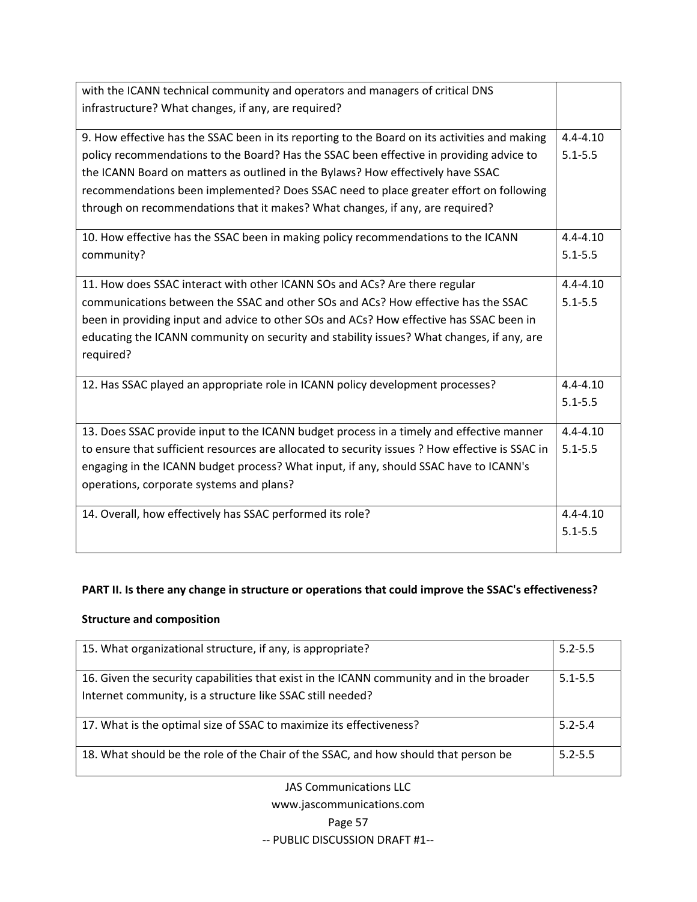| with the ICANN technical community and operators and managers of critical DNS                   |              |  |  |  |  |
|-------------------------------------------------------------------------------------------------|--------------|--|--|--|--|
| infrastructure? What changes, if any, are required?                                             |              |  |  |  |  |
|                                                                                                 |              |  |  |  |  |
| 9. How effective has the SSAC been in its reporting to the Board on its activities and making   | $4.4 - 4.10$ |  |  |  |  |
| policy recommendations to the Board? Has the SSAC been effective in providing advice to         | $5.1 - 5.5$  |  |  |  |  |
| the ICANN Board on matters as outlined in the Bylaws? How effectively have SSAC                 |              |  |  |  |  |
| recommendations been implemented? Does SSAC need to place greater effort on following           |              |  |  |  |  |
| through on recommendations that it makes? What changes, if any, are required?                   |              |  |  |  |  |
| 10. How effective has the SSAC been in making policy recommendations to the ICANN               | $4.4 - 4.10$ |  |  |  |  |
| community?                                                                                      | $5.1 - 5.5$  |  |  |  |  |
| 11. How does SSAC interact with other ICANN SOs and ACs? Are there regular                      | $4.4 - 4.10$ |  |  |  |  |
|                                                                                                 | $5.1 - 5.5$  |  |  |  |  |
| communications between the SSAC and other SOs and ACs? How effective has the SSAC               |              |  |  |  |  |
| been in providing input and advice to other SOs and ACs? How effective has SSAC been in         |              |  |  |  |  |
| educating the ICANN community on security and stability issues? What changes, if any, are       |              |  |  |  |  |
| required?                                                                                       |              |  |  |  |  |
| 12. Has SSAC played an appropriate role in ICANN policy development processes?                  | $4.4 - 4.10$ |  |  |  |  |
|                                                                                                 | $5.1 - 5.5$  |  |  |  |  |
|                                                                                                 |              |  |  |  |  |
| 13. Does SSAC provide input to the ICANN budget process in a timely and effective manner        | $4.4 - 4.10$ |  |  |  |  |
| to ensure that sufficient resources are allocated to security issues ? How effective is SSAC in | $5.1 - 5.5$  |  |  |  |  |
| engaging in the ICANN budget process? What input, if any, should SSAC have to ICANN's           |              |  |  |  |  |
| operations, corporate systems and plans?                                                        |              |  |  |  |  |
| 14. Overall, how effectively has SSAC performed its role?                                       | $4.4 - 4.10$ |  |  |  |  |
|                                                                                                 | $5.1 - 5.5$  |  |  |  |  |
|                                                                                                 |              |  |  |  |  |

## **PART II. Is there any change in structure or operations that could improve the SSAC's effectiveness?**

### **Structure and composition**

| 15. What organizational structure, if any, is appropriate?                                                                                             |             |  |  |  |
|--------------------------------------------------------------------------------------------------------------------------------------------------------|-------------|--|--|--|
| 16. Given the security capabilities that exist in the ICANN community and in the broader<br>Internet community, is a structure like SSAC still needed? | $5.1 - 5.5$ |  |  |  |
| 17. What is the optimal size of SSAC to maximize its effectiveness?                                                                                    | $5.2 - 5.4$ |  |  |  |
| 18. What should be the role of the Chair of the SSAC, and how should that person be                                                                    | $5.2 - 5.5$ |  |  |  |

JAS Communications LLC

www.jascommunications.com

#### Page 57

‐‐ PUBLIC DISCUSSION DRAFT #1‐‐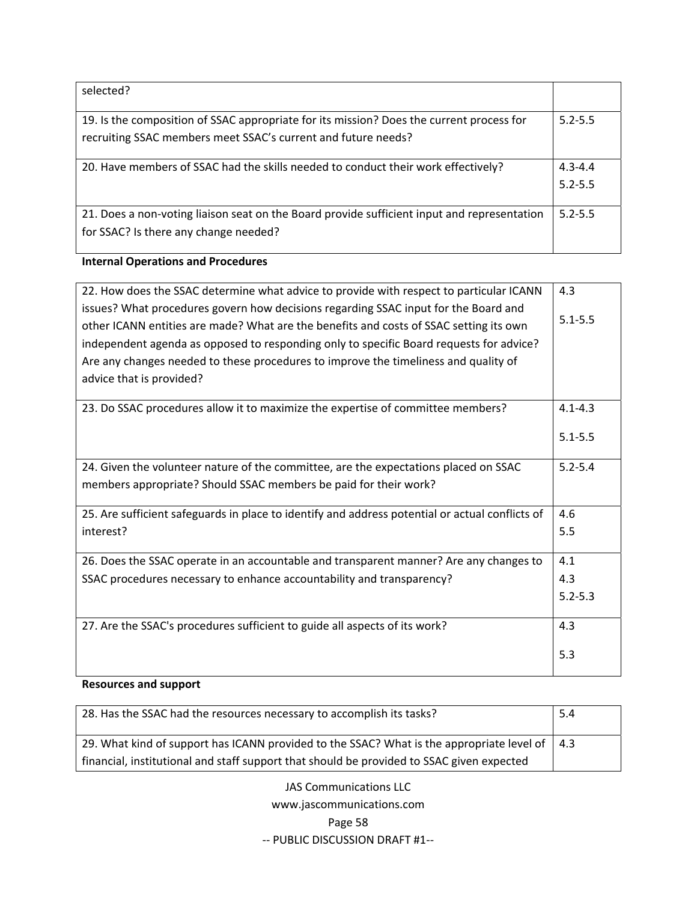| selected?                                                                                                                                                 |                            |
|-----------------------------------------------------------------------------------------------------------------------------------------------------------|----------------------------|
| 19. Is the composition of SSAC appropriate for its mission? Does the current process for<br>recruiting SSAC members meet SSAC's current and future needs? | $5.2 - 5.5$                |
| 20. Have members of SSAC had the skills needed to conduct their work effectively?                                                                         | $4.3 - 4.4$<br>$5.2 - 5.5$ |
| 21. Does a non-voting liaison seat on the Board provide sufficient input and representation<br>for SSAC? Is there any change needed?                      | $5.2 - 5.5$                |

# **Internal Operations and Procedures**

| 22. How does the SSAC determine what advice to provide with respect to particular ICANN<br>issues? What procedures govern how decisions regarding SSAC input for the Board and<br>other ICANN entities are made? What are the benefits and costs of SSAC setting its own<br>independent agenda as opposed to responding only to specific Board requests for advice?<br>Are any changes needed to these procedures to improve the timeliness and quality of<br>advice that is provided? | 4.3<br>$5.1 - 5.5$         |
|----------------------------------------------------------------------------------------------------------------------------------------------------------------------------------------------------------------------------------------------------------------------------------------------------------------------------------------------------------------------------------------------------------------------------------------------------------------------------------------|----------------------------|
| 23. Do SSAC procedures allow it to maximize the expertise of committee members?                                                                                                                                                                                                                                                                                                                                                                                                        | $4.1 - 4.3$<br>$5.1 - 5.5$ |
| 24. Given the volunteer nature of the committee, are the expectations placed on SSAC<br>members appropriate? Should SSAC members be paid for their work?                                                                                                                                                                                                                                                                                                                               | $5.2 - 5.4$                |
| 25. Are sufficient safeguards in place to identify and address potential or actual conflicts of<br>interest?                                                                                                                                                                                                                                                                                                                                                                           | 4.6<br>5.5                 |
| 26. Does the SSAC operate in an accountable and transparent manner? Are any changes to                                                                                                                                                                                                                                                                                                                                                                                                 | 4.1                        |
| SSAC procedures necessary to enhance accountability and transparency?                                                                                                                                                                                                                                                                                                                                                                                                                  | 4.3                        |
|                                                                                                                                                                                                                                                                                                                                                                                                                                                                                        | $5.2 - 5.3$                |
| 27. Are the SSAC's procedures sufficient to guide all aspects of its work?                                                                                                                                                                                                                                                                                                                                                                                                             | 4.3                        |
|                                                                                                                                                                                                                                                                                                                                                                                                                                                                                        | 5.3                        |

## **Resources and support**

| 28. Has the SSAC had the resources necessary to accomplish its tasks?                                 |  |  |  |
|-------------------------------------------------------------------------------------------------------|--|--|--|
| 29. What kind of support has ICANN provided to the SSAC? What is the appropriate level of $\vert$ 4.3 |  |  |  |
| financial, institutional and staff support that should be provided to SSAC given expected             |  |  |  |

JAS Communications LLC www.jascommunications.com Page 58 ‐‐ PUBLIC DISCUSSION DRAFT #1‐‐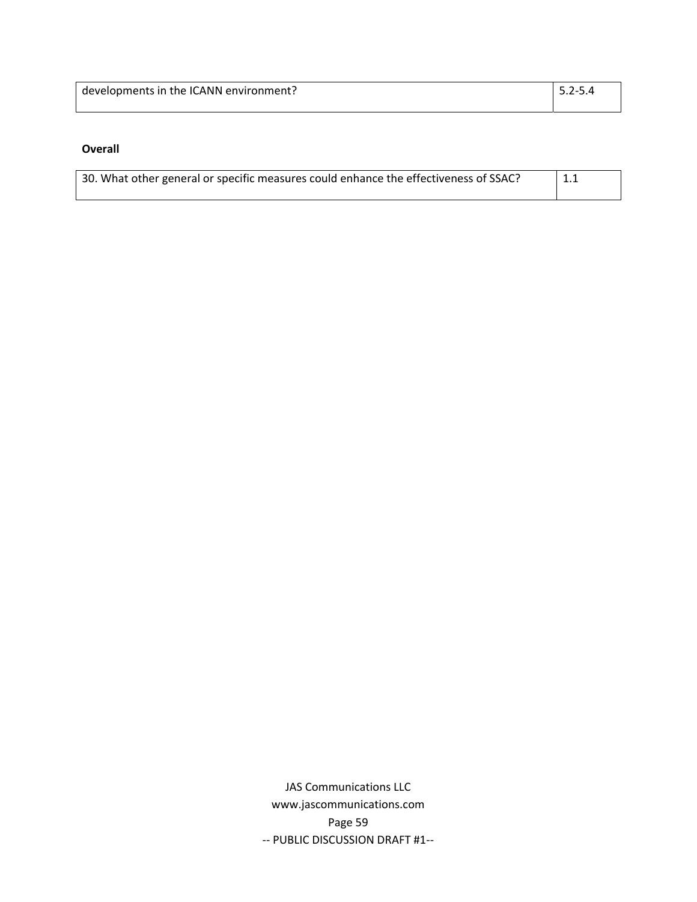| developments in the ICANN environment?<br>$15.2 - 5.4$ |  |
|--------------------------------------------------------|--|
|                                                        |  |

### **Overall**

| 30. What other general or specific measures could enhance the effectiveness of SSAC?<br>$\perp$ 1.1 |  |  |  |  |  |
|-----------------------------------------------------------------------------------------------------|--|--|--|--|--|
|                                                                                                     |  |  |  |  |  |

JAS Communications LLC www.jascommunications.com Page 59 ‐‐ PUBLIC DISCUSSION DRAFT #1‐‐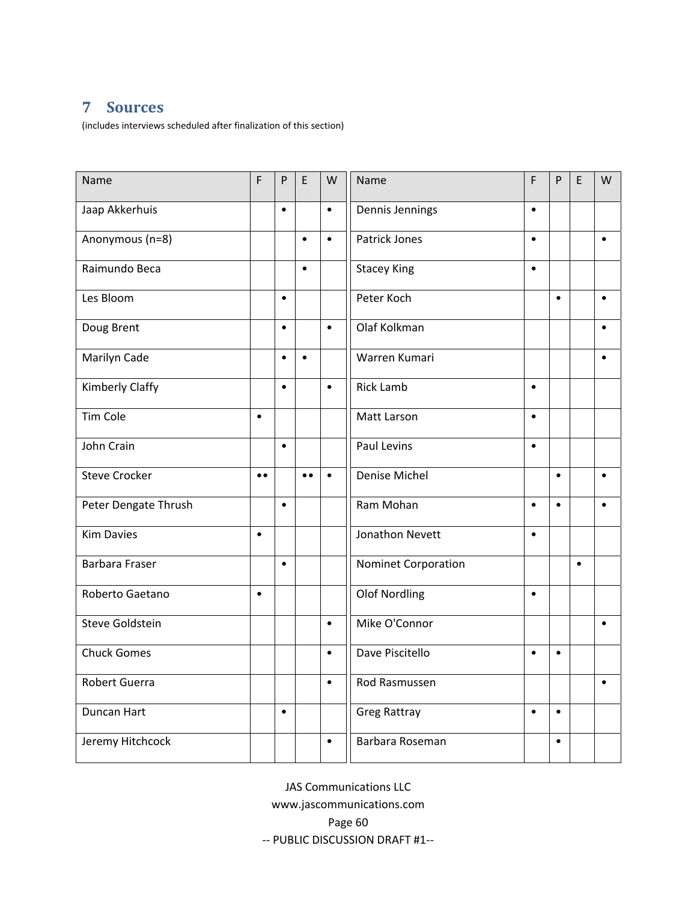# <span id="page-61-0"></span>**7 Sources**

(includes interviews scheduled after finalization of this section)

| Name                  | F         | P         | E         | W         | Name                 | F         | P         | E         | W         |
|-----------------------|-----------|-----------|-----------|-----------|----------------------|-----------|-----------|-----------|-----------|
| Jaap Akkerhuis        |           | $\bullet$ |           | $\bullet$ | Dennis Jennings      | $\bullet$ |           |           |           |
| Anonymous (n=8)       |           |           | $\bullet$ | $\bullet$ | <b>Patrick Jones</b> | $\bullet$ |           |           | $\bullet$ |
| Raimundo Beca         |           |           | $\bullet$ |           | <b>Stacey King</b>   | $\bullet$ |           |           |           |
| Les Bloom             |           | $\bullet$ |           |           | Peter Koch           |           | $\bullet$ |           |           |
| Doug Brent            |           | $\bullet$ |           | $\bullet$ | Olaf Kolkman         |           |           |           |           |
| Marilyn Cade          |           | $\bullet$ | $\bullet$ |           | Warren Kumari        |           |           |           | $\bullet$ |
| Kimberly Claffy       |           | $\bullet$ |           | $\bullet$ | <b>Rick Lamb</b>     | $\bullet$ |           |           |           |
| <b>Tim Cole</b>       | $\bullet$ |           |           |           | Matt Larson          | $\bullet$ |           |           |           |
| John Crain            |           | $\bullet$ |           |           | <b>Paul Levins</b>   |           |           |           |           |
| <b>Steve Crocker</b>  | $\bullet$ |           | $\bullet$ | $\bullet$ | <b>Denise Michel</b> |           | $\bullet$ |           | $\bullet$ |
| Peter Dengate Thrush  |           | $\bullet$ |           |           | Ram Mohan            | $\bullet$ | $\bullet$ |           | $\bullet$ |
| <b>Kim Davies</b>     | $\bullet$ |           |           |           | Jonathon Nevett      | $\bullet$ |           |           |           |
| <b>Barbara Fraser</b> |           | $\bullet$ |           |           | Nominet Corporation  |           |           | $\bullet$ |           |
| Roberto Gaetano       | $\bullet$ |           |           |           | <b>Olof Nordling</b> | $\bullet$ |           |           |           |
| Steve Goldstein       |           |           |           | $\bullet$ | Mike O'Connor        |           |           |           | $\bullet$ |
| <b>Chuck Gomes</b>    |           |           |           | $\bullet$ | Dave Piscitello      | $\bullet$ | $\bullet$ |           |           |
| <b>Robert Guerra</b>  |           |           |           | $\bullet$ | Rod Rasmussen        |           |           |           | $\bullet$ |
| Duncan Hart           |           | $\bullet$ |           |           | <b>Greg Rattray</b>  | $\bullet$ | $\bullet$ |           |           |
| Jeremy Hitchcock      |           |           |           | $\bullet$ | Barbara Roseman      |           | $\bullet$ |           |           |

JAS Communications LLC www.jascommunications.com Page 60 ‐‐ PUBLIC DISCUSSION DRAFT #1‐‐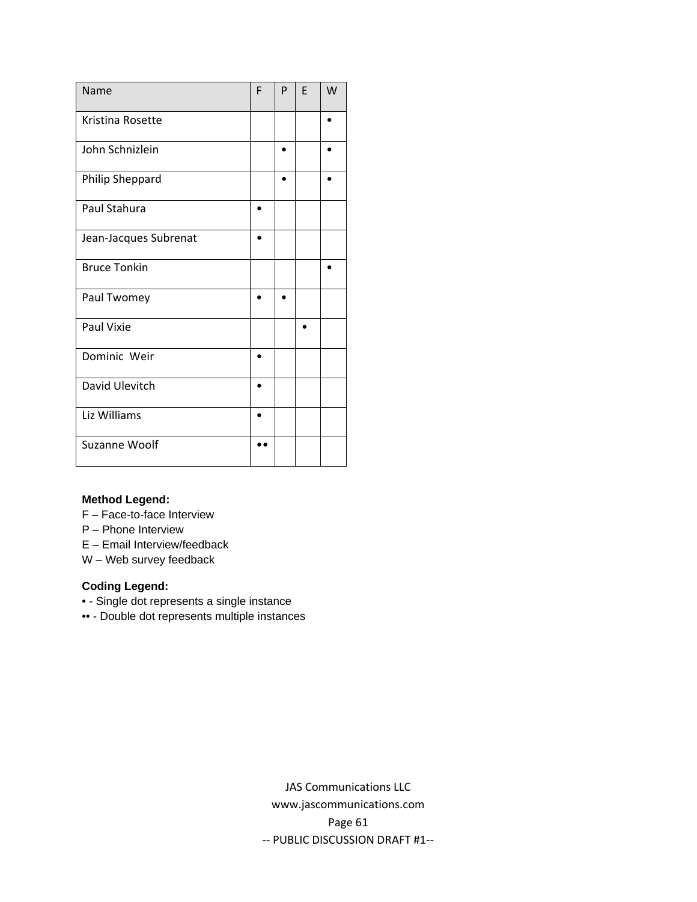| Name                  | F | P | F | W |
|-----------------------|---|---|---|---|
| Kristina Rosette      |   |   |   |   |
| John Schnizlein       |   |   |   |   |
| Philip Sheppard       |   |   |   |   |
| Paul Stahura          |   |   |   |   |
| Jean-Jacques Subrenat |   |   |   |   |
| <b>Bruce Tonkin</b>   |   |   |   |   |
| Paul Twomey           |   |   |   |   |
| Paul Vixie            |   |   |   |   |
| Dominic Weir          |   |   |   |   |
| David Ulevitch        |   |   |   |   |
| Liz Williams          |   |   |   |   |
| Suzanne Woolf         |   |   |   |   |

#### **Method Legend:**

F – Face-to-face Interview

P – Phone Interview

E – Email Interview/feedback

W – Web survey feedback

### **Coding Legend:**

• - Single dot represents a single instance

•• - Double dot represents multiple instances

JAS Communications LLC www.jascommunications.com Page 61 ‐‐ PUBLIC DISCUSSION DRAFT #1‐‐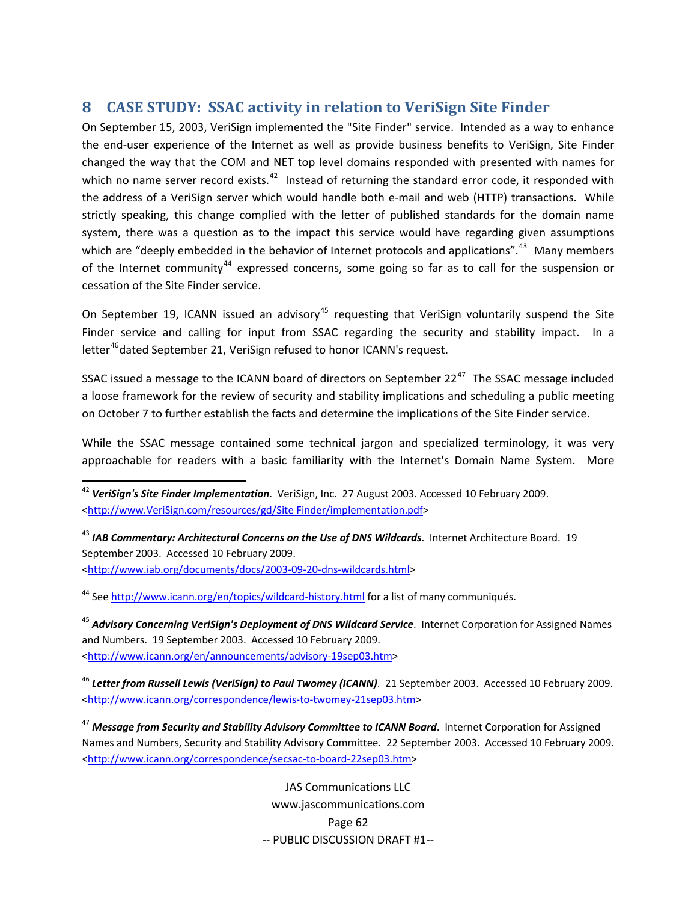# <span id="page-63-0"></span>**8 CASE STUDY: SSAC activity in relation to VeriSign Site Finder**

On September 15, 2003, VeriSign implemented the "Site Finder" service. Intended as a way to enhance the end‐user experience of the Internet as well as provide business benefits to VeriSign, Site Finder changed the way that the COM and NET top level domains responded with presented with names for which no name server record exists. $42$  Instead of returning the standard error code, it responded with the address of a VeriSign server which would handle both e-mail and web (HTTP) transactions. While strictly speaking, this change complied with the letter of published standards for the domain name system, there was a question as to the impact this service would have regarding given assumptions which are "deeply embedded in the behavior of Internet protocols and applications".<sup>[43](#page-63-2)</sup> Many members of the Internet community<sup>[44](#page-63-3)</sup> expressed concerns, some going so far as to call for the suspension or cessation of the Site Finder service.

On September 19, ICANN issued an advisory<sup>[45](#page-63-4)</sup> requesting that VeriSign voluntarily suspend the Site Finder service and calling for input from SSAC regarding the security and stability impact. In a letter<sup>[46](#page-63-5)</sup> dated September 21, VeriSign refused to honor ICANN's request.

SSAC issued a message to the ICANN board of directors on September  $22^{47}$  $22^{47}$  $22^{47}$  The SSAC message included a loose framework for the review of security and stability implications and scheduling a public meeting on October 7 to further establish the facts and determine the implications of the Site Finder service.

While the SSAC message contained some technical jargon and specialized terminology, it was very approachable for readers with a basic familiarity with the Internet's Domain Name System. More

<span id="page-63-2"></span><sup>43</sup> *IAB Commentary: Architectural Concerns on the Use of DNS Wildcards*. Internet Architecture Board. 19 September 2003. Accessed 10 February 2009. [<http://www.iab.org/documents/docs/2003](http://www.iab.org/documents/docs/2003-09-20-dns-wildcards.html)‐09‐20‐dns‐wildcards.html>

<span id="page-63-3"></span><sup>44</sup> See [http://www.icann.org/en/topics/wildcard](http://www.icann.org/en/topics/wildcard-history.html)-history.html for a list of many communiqués.

<span id="page-63-4"></span><sup>45</sup> *Advisory Concerning VeriSign's Deployment of DNS Wildcard Service*. Internet Corporation for Assigned Names and Numbers. 19 September 2003. Accessed 10 February 2009. [<http://www.icann.org/en/announcements/advisory](http://www.icann.org/en/announcements/advisory-19sep03.htm)‐19sep03.htm>

<span id="page-63-5"></span><sup>46</sup> *Letter from Russell Lewis (VeriSign) to Paul Twomey (ICANN)*. 21 September 2003. Accessed 10 February 2009. [<http://www.icann.org/correspondence/lewis](http://www.icann.org/correspondence/lewis-to-twomey-21sep03.htm)‐to‐twomey‐21sep03.htm>

<span id="page-63-6"></span><sup>47</sup> *Message from Security and Stability Advisory Committee to ICANN Board*. Internet Corporation for Assigned Names and Numbers, Security and Stability Advisory Committee. 22 September 2003. Accessed 10 February 2009. [<http://www.icann.org/correspondence/secsac](http://www.icann.org/correspondence/secsac-to-board-22sep03.htm)-to-board-22sep03.htm>

> JAS Communications LLC www.jascommunications.com Page 62 ‐‐ PUBLIC DISCUSSION DRAFT #1‐‐

<span id="page-63-1"></span><sup>42</sup> *VeriSign's Site Finder Implementation*. VeriSign, Inc. 27 August 2003. Accessed 10 February 2009. [<http://www.VeriSign.com/resources/gd/Site](http://www.verisign.com/resources/gd/sitefinder/implementation.pdf) Finder/implementation.pdf>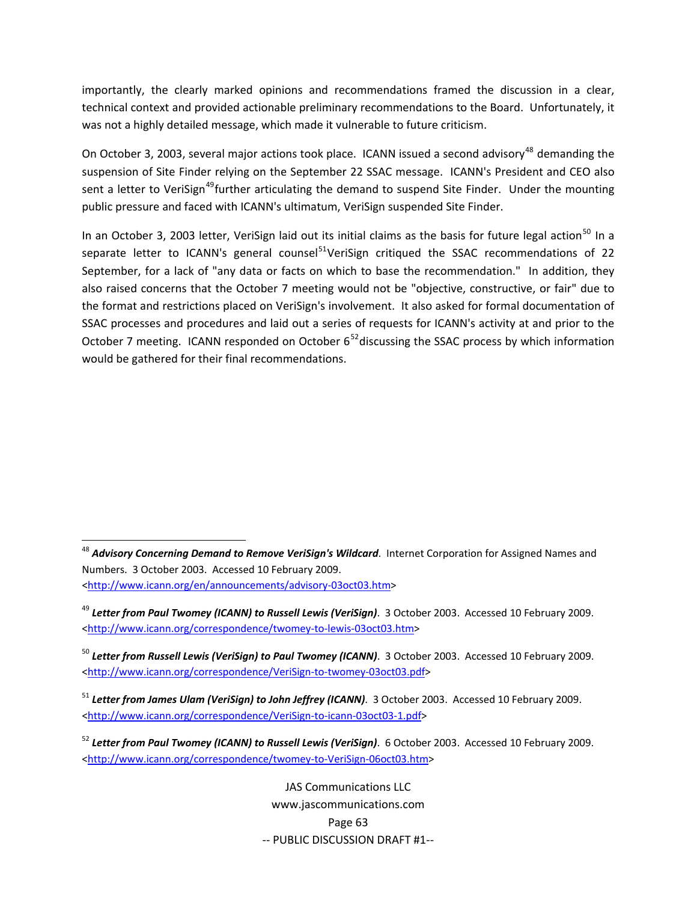importantly, the clearly marked opinions and recommendations framed the discussion in a clear, technical context and provided actionable preliminary recommendations to the Board. Unfortunately, it was not a highly detailed message, which made it vulnerable to future criticism.

On October 3, 2003, several major actions took place. ICANN issued a second advisory<sup>[48](#page-64-0)</sup> demanding the suspension of Site Finder relying on the September 22 SSAC message. ICANN's President and CEO also sent a letter to VeriSign<sup>[49](#page-64-1)</sup>further articulating the demand to suspend Site Finder. Under the mounting public pressure and faced with ICANN's ultimatum, VeriSign suspended Site Finder.

In an October 3, 2003 letter, VeriSign laid out its initial claims as the basis for future legal action<sup>[50](#page-64-2)</sup> In a separate letter to ICANN's general counsel<sup>[51](#page-64-3)</sup>VeriSign critiqued the SSAC recommendations of 22 September, for a lack of "any data or facts on which to base the recommendation." In addition, they also raised concerns that the October 7 meeting would not be "objective, constructive, or fair" due to the format and restrictions placed on VeriSign's involvement. It also asked for formal documentation of SSAC processes and procedures and laid out a series of requests for ICANN's activity at and prior to the October 7 meeting. ICANN responded on October  $6^{52}$  $6^{52}$  $6^{52}$ discussing the SSAC process by which information would be gathered for their final recommendations.

JAS Communications LLC www.jascommunications.com Page 63 ‐‐ PUBLIC DISCUSSION DRAFT #1‐‐

<span id="page-64-0"></span> <sup>48</sup> *Advisory Concerning Demand to Remove VeriSign's Wildcard*. Internet Corporation for Assigned Names and Numbers. 3 October 2003. Accessed 10 February 2009. [<http://www.icann.org/en/announcements/advisory](http://www.icann.org/en/announcements/advisory-03oct03.htm)‐03oct03.htm>

<span id="page-64-1"></span><sup>49</sup> *Letter from Paul Twomey (ICANN) to Russell Lewis (VeriSign)*. 3 October 2003. Accessed 10 February 2009. [<http://www.icann.org/correspondence/twomey](http://www.icann.org/correspondence/twomey-to-lewis-03oct03.htm)‐to‐lewis‐03oct03.htm>

<span id="page-64-2"></span><sup>50</sup> *Letter from Russell Lewis (VeriSign) to Paul Twomey (ICANN)*. 3 October 2003. Accessed 10 February 2009. [<http://www.icann.org/correspondence/VeriSign](http://www.icann.org/correspondence/VeriSign-to-twomey-03oct03.pdf)‐to‐twomey‐03oct03.pdf>

<span id="page-64-3"></span><sup>51</sup> *Letter from James Ulam (VeriSign) to John Jeffrey (ICANN)*. 3 October 2003. Accessed 10 February 2009. [<http://www.icann.org/correspondence/VeriSign](http://www.icann.org/correspondence/VeriSign-to-icann-03oct03-1.pdf)‐to‐icann‐03oct03‐1.pdf>

<span id="page-64-4"></span><sup>52</sup> *Letter from Paul Twomey (ICANN) to Russell Lewis (VeriSign)*. 6 October 2003. Accessed 10 February 2009. [<http://www.icann.org/correspondence/twomey](http://www.icann.org/correspondence/twomey-to-VeriSign-06oct03.htm)‐to‐VeriSign‐06oct03.htm>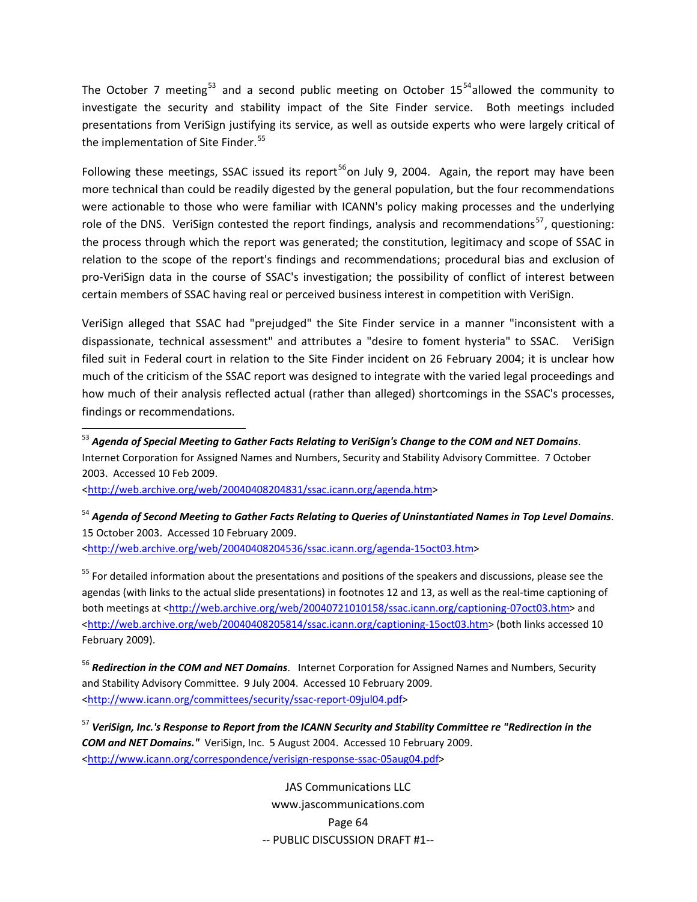The October 7 meeting<sup>[53](#page-65-0)</sup> and a second public meeting on October 15<sup>[54](#page-65-1)</sup> allowed the community to investigate the security and stability impact of the Site Finder service. Both meetings included presentations from VeriSign justifying its service, as well as outside experts who were largely critical of the implementation of Site Finder.<sup>[55](#page-65-2)</sup>

Following these meetings, SSAC issued its report<sup>[56](#page-65-3)</sup>on July 9, 2004. Again, the report may have been more technical than could be readily digested by the general population, but the four recommendations were actionable to those who were familiar with ICANN's policy making processes and the underlying role of the DNS. VeriSign contested the report findings, analysis and recommendations<sup>[57](#page-65-4)</sup>, questioning: the process through which the report was generated; the constitution, legitimacy and scope of SSAC in relation to the scope of the report's findings and recommendations; procedural bias and exclusion of pro‐VeriSign data in the course of SSAC's investigation; the possibility of conflict of interest between certain members of SSAC having real or perceived business interest in competition with VeriSign.

VeriSign alleged that SSAC had "prejudged" the Site Finder service in a manner "inconsistent with a dispassionate, technical assessment" and attributes a "desire to foment hysteria" to SSAC. VeriSign filed suit in Federal court in relation to the Site Finder incident on 26 February 2004; it is unclear how much of the criticism of the SSAC report was designed to integrate with the varied legal proceedings and how much of their analysis reflected actual (rather than alleged) shortcomings in the SSAC's processes, findings or recommendations.

<span id="page-65-0"></span><sup>53</sup> *Agenda of Special Meeting to Gather Facts Relating to VeriSign's Change to the COM and NET Domains*. Internet Corporation for Assigned Names and Numbers, Security and Stability Advisory Committee. 7 October 2003. Accessed 10 Feb 2009.

[<http://web.archive.org/web/20040408204831/ssac.icann.org/agenda.htm>](http://web.archive.org/web/20040408204831/ssac.icann.org/agenda.htm)

<span id="page-65-1"></span><sup>54</sup> Agenda of Second Meeting to Gather Facts Relating to Queries of Uninstantiated Names in Top Level Domains. 15 October 2003. Accessed 10 February 2009. [<http://web.archive.org/web/20040408204536/ssac.icann.org/agenda](http://web.archive.org/web/20040408204536/ssac.icann.org/agenda-15oct03.htm)‐15oct03.htm>

<span id="page-65-2"></span><sup>55</sup> For detailed information about the presentations and positions of the speakers and discussions, please see the agendas (with links to the actual slide presentations) in footnotes 12 and 13, as well as the real-time captioning of both meetings at [<http://web.archive.org/web/20040721010158/ssac.icann.org/captioning](http://web.archive.org/web/20040721010158/ssac.icann.org/captioning-07oct03.htm)-07oct03.htm> and <[http://web.archive.org/web/20040408205814/ssac.icann.org/captioning](http://web.archive.org/web/20040408205814/ssac.icann.org/captioning-15oct03.htm)-15oct03.htm> (both links accessed 10 February 2009).

<span id="page-65-3"></span><sup>56</sup> *Redirection in the COM and NET Domains*. Internet Corporation for Assigned Names and Numbers, Security and Stability Advisory Committee. 9 July 2004. Accessed 10 February 2009. [<http://www.icann.org/committees/security/ssac](http://www.icann.org/committees/security/ssac-report-09jul04.pdf)‐report‐09jul04.pdf>

<span id="page-65-4"></span><sup>57</sup> *VeriSign, Inc.'s Response to Report from the ICANN Security and Stability Committee re "Redirection in the COM and NET Domains."* VeriSign, Inc. 5 August 2004. Accessed 10 February 2009. [<http://www.icann.org/correspondence/verisign](http://www.icann.org/correspondence/verisign-response-ssac-05aug04.pdf)‐response‐ssac‐05aug04.pdf>

> JAS Communications LLC www.jascommunications.com Page 64 ‐‐ PUBLIC DISCUSSION DRAFT #1‐‐